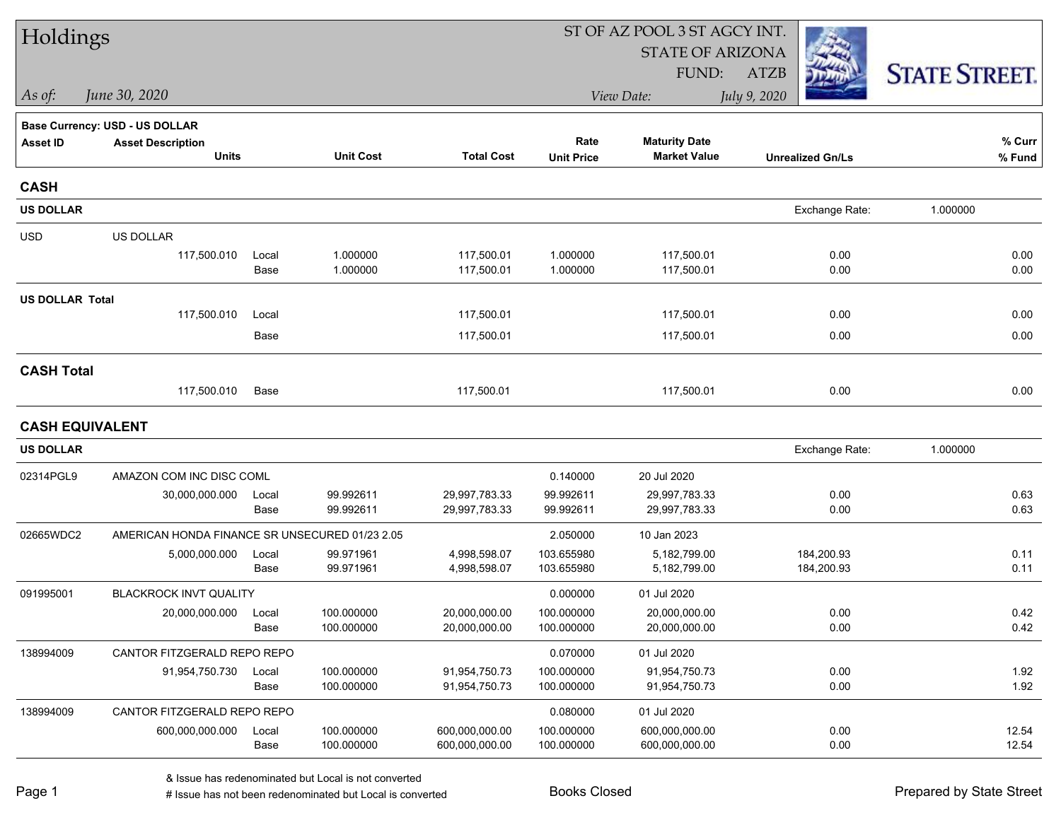| Holdings               |                                                |               |                          |                                  | ST OF AZ POOL 3 ST AGCY INT. |                                             |                          |                      |  |
|------------------------|------------------------------------------------|---------------|--------------------------|----------------------------------|------------------------------|---------------------------------------------|--------------------------|----------------------|--|
|                        |                                                |               |                          |                                  |                              | <b>STATE OF ARIZONA</b>                     |                          |                      |  |
|                        |                                                |               |                          |                                  |                              | FUND:                                       | <b>ATZB</b>              | <b>STATE STREET.</b> |  |
| As of:                 | June 30, 2020                                  |               |                          |                                  |                              | View Date:                                  | July 9, 2020             |                      |  |
|                        | <b>Base Currency: USD - US DOLLAR</b>          |               |                          |                                  |                              |                                             |                          |                      |  |
| <b>Asset ID</b>        | <b>Asset Description</b><br><b>Units</b>       |               | <b>Unit Cost</b>         | <b>Total Cost</b>                | Rate<br><b>Unit Price</b>    | <b>Maturity Date</b><br><b>Market Value</b> | <b>Unrealized Gn/Ls</b>  | % Curr<br>% Fund     |  |
| <b>CASH</b>            |                                                |               |                          |                                  |                              |                                             |                          |                      |  |
| <b>US DOLLAR</b>       |                                                |               |                          |                                  |                              |                                             | Exchange Rate:           | 1.000000             |  |
| <b>USD</b>             | US DOLLAR                                      |               |                          |                                  |                              |                                             |                          |                      |  |
|                        | 117,500.010                                    | Local<br>Base | 1.000000<br>1.000000     | 117,500.01<br>117,500.01         | 1.000000<br>1.000000         | 117,500.01<br>117,500.01                    | 0.00<br>0.00             | 0.00<br>0.00         |  |
| <b>US DOLLAR Total</b> |                                                |               |                          |                                  |                              |                                             |                          |                      |  |
|                        | 117,500.010                                    | Local         |                          | 117,500.01                       |                              | 117,500.01                                  | 0.00                     | 0.00                 |  |
|                        |                                                | Base          |                          | 117,500.01                       |                              | 117,500.01                                  | 0.00                     | 0.00                 |  |
| <b>CASH Total</b>      |                                                |               |                          |                                  |                              |                                             |                          |                      |  |
|                        | 117,500.010                                    | Base          |                          | 117,500.01                       |                              | 117,500.01                                  | 0.00                     | 0.00                 |  |
| <b>CASH EQUIVALENT</b> |                                                |               |                          |                                  |                              |                                             |                          |                      |  |
| <b>US DOLLAR</b>       |                                                |               |                          |                                  |                              |                                             | Exchange Rate:           | 1.000000             |  |
| 02314PGL9              | AMAZON COM INC DISC COML                       |               |                          |                                  | 0.140000                     | 20 Jul 2020                                 |                          |                      |  |
|                        | 30,000,000.000                                 | Local<br>Base | 99.992611<br>99.992611   | 29,997,783.33<br>29,997,783.33   | 99.992611<br>99.992611       | 29,997,783.33<br>29,997,783.33              | 0.00<br>0.00             | 0.63<br>0.63         |  |
| 02665WDC2              | AMERICAN HONDA FINANCE SR UNSECURED 01/23 2.05 |               |                          |                                  | 2.050000                     | 10 Jan 2023                                 |                          |                      |  |
|                        | 5,000,000.000                                  | Local<br>Base | 99.971961<br>99.971961   | 4,998,598.07<br>4,998,598.07     | 103.655980<br>103.655980     | 5,182,799.00<br>5,182,799.00                | 184,200.93<br>184,200.93 | 0.11<br>0.11         |  |
| 091995001              | <b>BLACKROCK INVT QUALITY</b>                  |               |                          |                                  | 0.000000                     | 01 Jul 2020                                 |                          |                      |  |
|                        | 20,000,000.000                                 | Local<br>Base | 100.000000<br>100.000000 | 20,000,000.00<br>20,000,000.00   | 100.000000<br>100.000000     | 20,000,000.00<br>20,000,000.00              | 0.00<br>0.00             | 0.42<br>0.42         |  |
| 138994009              | CANTOR FITZGERALD REPO REPO                    |               |                          |                                  | 0.070000                     | 01 Jul 2020                                 |                          |                      |  |
|                        | 91,954,750.730                                 | Local<br>Base | 100.000000<br>100.000000 | 91,954,750.73<br>91,954,750.73   | 100.000000<br>100.000000     | 91,954,750.73<br>91,954,750.73              | 0.00<br>0.00             | 1.92<br>1.92         |  |
| 138994009              | CANTOR FITZGERALD REPO REPO                    |               |                          |                                  | 0.080000                     | 01 Jul 2020                                 |                          |                      |  |
|                        | 600,000,000.000                                | Local<br>Base | 100.000000<br>100.000000 | 600,000,000.00<br>600,000,000.00 | 100.000000<br>100.000000     | 600,000,000.00<br>600,000,000.00            | 0.00<br>0.00             | 12.54<br>12.54       |  |
|                        |                                                |               |                          |                                  |                              |                                             |                          |                      |  |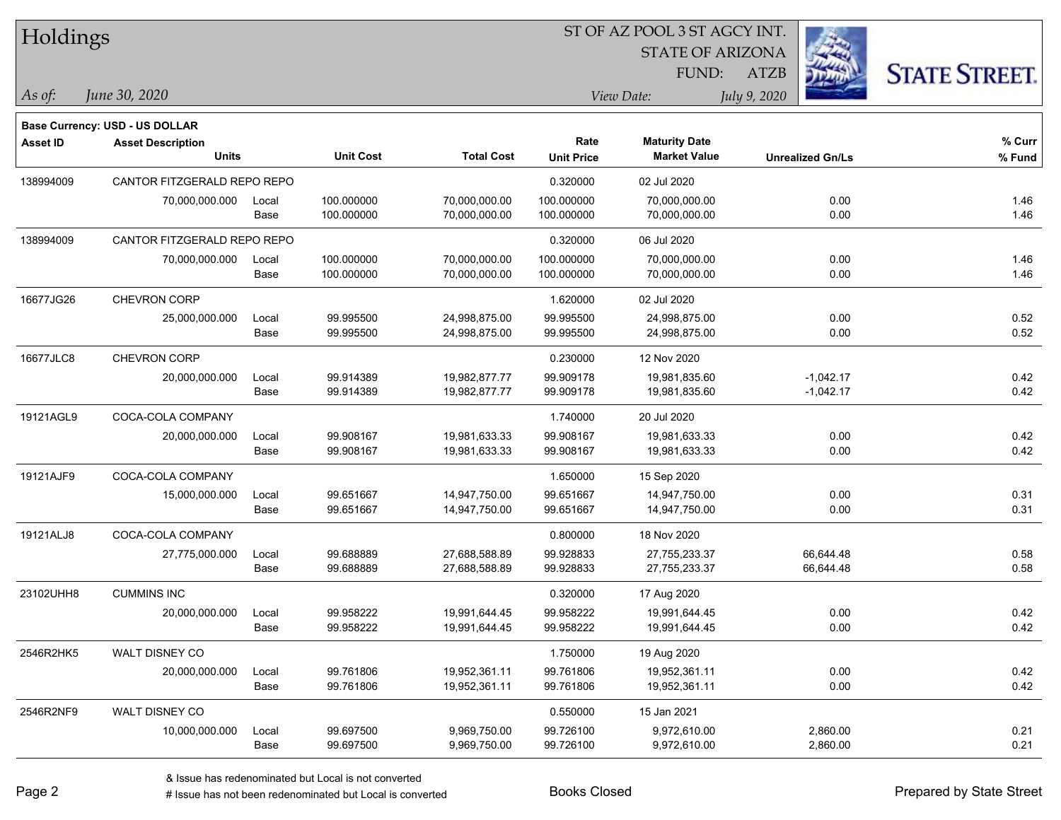| Holdings        |                                       |       |                  |                   |                   |                         |                         |                      |
|-----------------|---------------------------------------|-------|------------------|-------------------|-------------------|-------------------------|-------------------------|----------------------|
|                 |                                       |       |                  |                   |                   | <b>STATE OF ARIZONA</b> |                         |                      |
|                 |                                       |       |                  |                   |                   | FUND:                   | <b>ATZB</b>             | <b>STATE STREET.</b> |
| $\vert$ As of:  | June 30, 2020                         |       |                  |                   |                   | View Date:              | July 9, 2020            |                      |
|                 | <b>Base Currency: USD - US DOLLAR</b> |       |                  |                   |                   |                         |                         |                      |
| <b>Asset ID</b> | <b>Asset Description</b>              |       |                  |                   | Rate              | <b>Maturity Date</b>    |                         | $%$ Curr             |
|                 | <b>Units</b>                          |       | <b>Unit Cost</b> | <b>Total Cost</b> | <b>Unit Price</b> | <b>Market Value</b>     | <b>Unrealized Gn/Ls</b> | % Fund               |
| 138994009       | CANTOR FITZGERALD REPO REPO           |       |                  |                   | 0.320000          | 02 Jul 2020             |                         |                      |
|                 | 70,000,000.000                        | Local | 100.000000       | 70,000,000.00     | 100.000000        | 70,000,000.00           |                         | 0.00<br>1.46         |
|                 |                                       | Base  | 100.000000       | 70,000,000.00     | 100.000000        | 70,000,000.00           |                         | 1.46<br>0.00         |
| 138994009       | CANTOR FITZGERALD REPO REPO           |       |                  |                   | 0.320000          | 06 Jul 2020             |                         |                      |
|                 | 70,000,000.000                        | Local | 100.000000       | 70,000,000.00     | 100.000000        | 70,000,000.00           |                         | 0.00<br>1.46         |
|                 |                                       | Base  | 100.000000       | 70,000,000.00     | 100.000000        | 70,000,000.00           |                         | 1.46<br>0.00         |
| 16677JG26       | CHEVRON CORP                          |       |                  |                   | 1.620000          | 02 Jul 2020             |                         |                      |
|                 | 25,000,000.000                        | Local | 99.995500        | 24,998,875.00     | 99.995500         | 24,998,875.00           |                         | 0.52<br>0.00         |
|                 |                                       | Base  | 99.995500        | 24,998,875.00     | 99.995500         | 24,998,875.00           |                         | 0.52<br>0.00         |
| 16677JLC8       | CHEVRON CORP                          |       |                  |                   | 0.230000          | 12 Nov 2020             |                         |                      |
|                 | 20,000,000.000                        | Local | 99.914389        | 19,982,877.77     | 99.909178         | 19,981,835.60           | $-1,042.17$             | 0.42                 |
|                 |                                       | Base  | 99.914389        | 19,982,877.77     | 99.909178         | 19,981,835.60           | $-1,042.17$             | 0.42                 |
| 19121AGL9       | COCA-COLA COMPANY                     |       |                  |                   | 1.740000          | 20 Jul 2020             |                         |                      |
|                 | 20,000,000.000                        | Local | 99.908167        | 19,981,633.33     | 99.908167         | 19,981,633.33           |                         | 0.42<br>0.00         |
|                 |                                       | Base  | 99.908167        | 19,981,633.33     | 99.908167         | 19,981,633.33           |                         | 0.42<br>0.00         |
| 19121AJF9       | COCA-COLA COMPANY                     |       |                  |                   | 1.650000          | 15 Sep 2020             |                         |                      |
|                 | 15,000,000.000                        | Local | 99.651667        | 14,947,750.00     | 99.651667         | 14,947,750.00           |                         | 0.31<br>0.00         |
|                 |                                       | Base  | 99.651667        | 14,947,750.00     | 99.651667         | 14,947,750.00           |                         | 0.31<br>0.00         |
| 19121ALJ8       | COCA-COLA COMPANY                     |       |                  |                   | 0.800000          | 18 Nov 2020             |                         |                      |
|                 | 27,775,000.000                        | Local | 99.688889        | 27,688,588.89     | 99.928833         | 27,755,233.37           | 66,644.48               | 0.58                 |
|                 |                                       | Base  | 99.688889        | 27,688,588.89     | 99.928833         | 27,755,233.37           | 66,644.48               | 0.58                 |
| 23102UHH8       | <b>CUMMINS INC</b>                    |       |                  |                   | 0.320000          | 17 Aug 2020             |                         |                      |
|                 | 20,000,000.000                        | Local | 99.958222        | 19,991,644.45     | 99.958222         | 19,991,644.45           |                         | 0.00<br>0.42         |
|                 |                                       | Base  | 99.958222        | 19,991,644.45     | 99.958222         | 19,991,644.45           |                         | 0.42<br>0.00         |
| 2546R2HK5       | WALT DISNEY CO                        |       |                  |                   | 1.750000          | 19 Aug 2020             |                         |                      |
|                 | 20,000,000.000                        | Local | 99.761806        | 19,952,361.11     | 99.761806         | 19,952,361.11           |                         | 0.00<br>0.42         |
|                 |                                       | Base  | 99.761806        | 19,952,361.11     | 99.761806         | 19,952,361.11           |                         | 0.42<br>0.00         |
| 2546R2NF9       | WALT DISNEY CO                        |       |                  |                   | 0.550000          | 15 Jan 2021             |                         |                      |
|                 | 10,000,000.000                        | Local | 99.697500        | 9,969,750.00      | 99.726100         | 9,972,610.00            | 2,860.00                | 0.21                 |
|                 |                                       | Base  | 99.697500        | 9,969,750.00      | 99.726100         | 9,972,610.00            | 2,860.00                | 0.21                 |

denote the redenominated but Local is converted Books Closed Prepared by State Street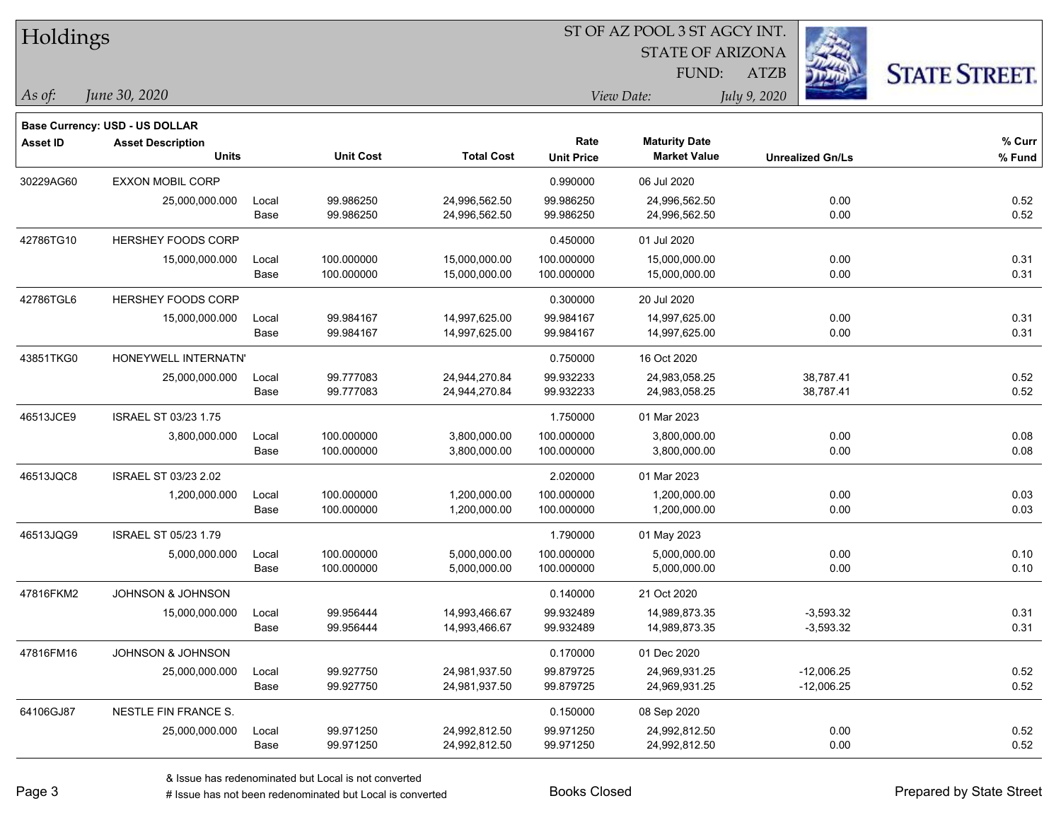| Holdings        |                                          |               |                          |                                |                           | <b>STATE OF ARIZONA</b><br>FUND:            | <b>ATZB</b>                  | <b>STATE STREET.</b> |
|-----------------|------------------------------------------|---------------|--------------------------|--------------------------------|---------------------------|---------------------------------------------|------------------------------|----------------------|
| As of:          | June 30, 2020                            |               |                          |                                |                           | View Date:                                  | July 9, 2020                 |                      |
|                 | <b>Base Currency: USD - US DOLLAR</b>    |               |                          |                                |                           |                                             |                              |                      |
| <b>Asset ID</b> | <b>Asset Description</b><br><b>Units</b> |               | <b>Unit Cost</b>         | <b>Total Cost</b>              | Rate<br><b>Unit Price</b> | <b>Maturity Date</b><br><b>Market Value</b> | <b>Unrealized Gn/Ls</b>      | % Curr<br>% Fund     |
| 30229AG60       | <b>EXXON MOBIL CORP</b>                  |               |                          |                                | 0.990000                  | 06 Jul 2020                                 |                              |                      |
|                 | 25,000,000.000                           | Local<br>Base | 99.986250<br>99.986250   | 24,996,562.50<br>24,996,562.50 | 99.986250<br>99.986250    | 24,996,562.50<br>24,996,562.50              | 0.00<br>0.00                 | 0.52<br>0.52         |
| 42786TG10       | HERSHEY FOODS CORP                       |               |                          |                                | 0.450000                  | 01 Jul 2020                                 |                              |                      |
|                 | 15,000,000.000                           | Local<br>Base | 100.000000<br>100.000000 | 15,000,000.00<br>15,000,000.00 | 100.000000<br>100.000000  | 15,000,000.00<br>15,000,000.00              | 0.00<br>0.00                 | 0.31<br>0.31         |
| 42786TGL6       | <b>HERSHEY FOODS CORP</b>                |               |                          |                                | 0.300000                  | 20 Jul 2020                                 |                              |                      |
|                 | 15,000,000.000                           | Local<br>Base | 99.984167<br>99.984167   | 14,997,625.00<br>14,997,625.00 | 99.984167<br>99.984167    | 14,997,625.00<br>14,997,625.00              | 0.00<br>0.00                 | 0.31<br>0.31         |
| 43851TKG0       | HONEYWELL INTERNATN'                     |               |                          |                                | 0.750000                  | 16 Oct 2020                                 |                              |                      |
|                 | 25,000,000.000                           | Local<br>Base | 99.777083<br>99.777083   | 24,944,270.84<br>24,944,270.84 | 99.932233<br>99.932233    | 24,983,058.25<br>24,983,058.25              | 38,787.41<br>38,787.41       | 0.52<br>0.52         |
| 46513JCE9       | <b>ISRAEL ST 03/23 1.75</b>              |               |                          |                                | 1.750000                  | 01 Mar 2023                                 |                              |                      |
|                 | 3,800,000.000                            | Local<br>Base | 100.000000<br>100.000000 | 3,800,000.00<br>3,800,000.00   | 100.000000<br>100.000000  | 3,800,000.00<br>3,800,000.00                | 0.00<br>0.00                 | 0.08<br>0.08         |
| 46513JQC8       | <b>ISRAEL ST 03/23 2.02</b>              |               |                          |                                | 2.020000                  | 01 Mar 2023                                 |                              |                      |
|                 | 1,200,000.000                            | Local<br>Base | 100.000000<br>100.000000 | 1,200,000.00<br>1,200,000.00   | 100.000000<br>100.000000  | 1,200,000.00<br>1,200,000.00                | 0.00<br>0.00                 | 0.03<br>0.03         |
| 46513JQG9       | ISRAEL ST 05/23 1.79                     |               |                          |                                | 1.790000                  | 01 May 2023                                 |                              |                      |
|                 | 5,000,000.000                            | Local<br>Base | 100.000000<br>100.000000 | 5,000,000.00<br>5,000,000.00   | 100.000000<br>100.000000  | 5,000,000.00<br>5,000,000.00                | 0.00<br>0.00                 | 0.10<br>0.10         |
| 47816FKM2       | JOHNSON & JOHNSON                        |               |                          |                                | 0.140000                  | 21 Oct 2020                                 |                              |                      |
|                 | 15,000,000.000                           | Local<br>Base | 99.956444<br>99.956444   | 14,993,466.67<br>14,993,466.67 | 99.932489<br>99.932489    | 14,989,873.35<br>14,989,873.35              | $-3,593.32$<br>$-3,593.32$   | 0.31<br>0.31         |
| 47816FM16       | JOHNSON & JOHNSON                        |               |                          |                                | 0.170000                  | 01 Dec 2020                                 |                              |                      |
|                 | 25,000,000.000                           | Local<br>Base | 99.927750<br>99.927750   | 24,981,937.50<br>24,981,937.50 | 99.879725<br>99.879725    | 24,969,931.25<br>24,969,931.25              | $-12,006.25$<br>$-12,006.25$ | 0.52<br>0.52         |
| 64106GJ87       | NESTLE FIN FRANCE S.                     |               |                          |                                | 0.150000                  | 08 Sep 2020                                 |                              |                      |
|                 | 25,000,000.000                           | Local<br>Base | 99.971250<br>99.971250   | 24,992,812.50<br>24,992,812.50 | 99.971250<br>99.971250    | 24,992,812.50<br>24,992,812.50              | 0.00<br>0.00                 | 0.52<br>0.52         |

ST OF AZ POOL 3 ST AGCY INT

**STATE AND INCOME.** 

 $TT.1.1:$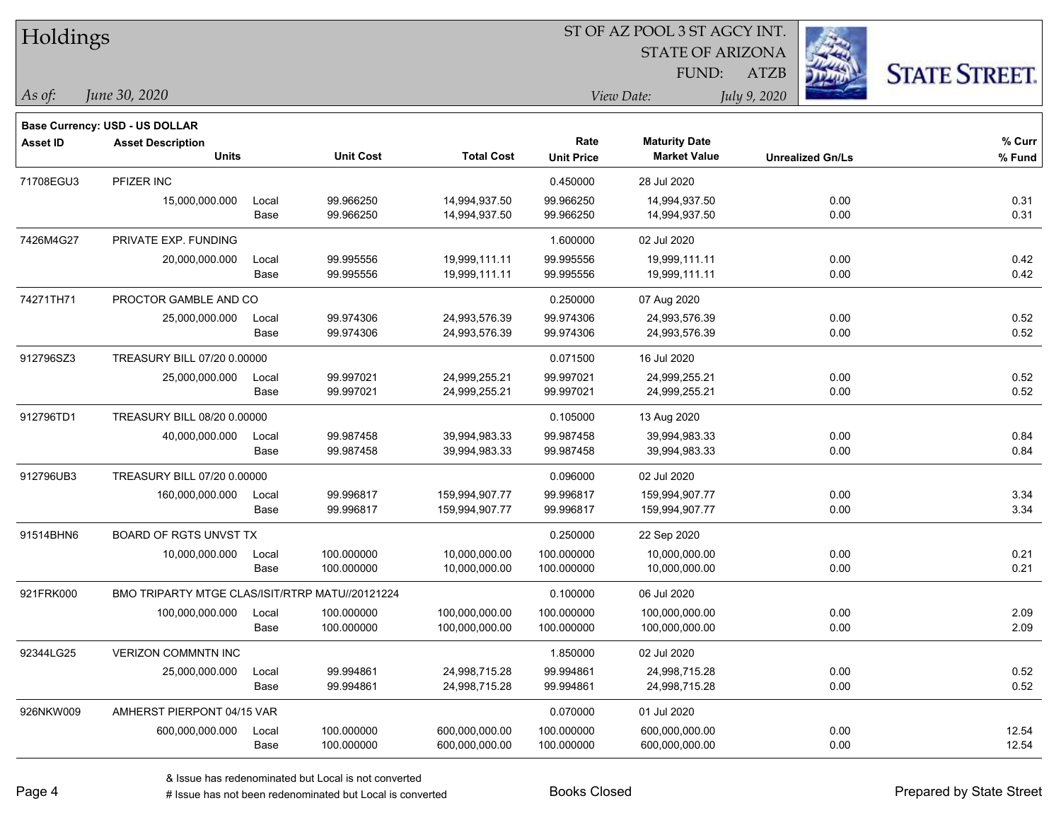| Holdings        |                                                 |       |                  |                   |                           |                                             |                         |                      |
|-----------------|-------------------------------------------------|-------|------------------|-------------------|---------------------------|---------------------------------------------|-------------------------|----------------------|
|                 |                                                 |       |                  |                   |                           | <b>STATE OF ARIZONA</b>                     |                         |                      |
|                 |                                                 |       |                  |                   |                           | FUND:                                       | <b>ATZB</b>             | <b>STATE STREET.</b> |
| $\vert$ As of:  | June 30, 2020                                   |       |                  |                   |                           | View Date:                                  | July 9, 2020            |                      |
|                 |                                                 |       |                  |                   |                           |                                             |                         |                      |
|                 | Base Currency: USD - US DOLLAR                  |       |                  |                   |                           |                                             |                         |                      |
| <b>Asset ID</b> | <b>Asset Description</b><br><b>Units</b>        |       | <b>Unit Cost</b> | <b>Total Cost</b> | Rate<br><b>Unit Price</b> | <b>Maturity Date</b><br><b>Market Value</b> | <b>Unrealized Gn/Ls</b> | % Curr<br>$%$ Fund   |
|                 |                                                 |       |                  |                   |                           |                                             |                         |                      |
| 71708EGU3       | PFIZER INC                                      |       |                  |                   | 0.450000                  | 28 Jul 2020                                 |                         |                      |
|                 | 15,000,000.000                                  | Local | 99.966250        | 14,994,937.50     | 99.966250                 | 14,994,937.50                               | 0.00                    | 0.31                 |
|                 |                                                 | Base  | 99.966250        | 14,994,937.50     | 99.966250                 | 14,994,937.50                               | 0.00                    | 0.31                 |
| 7426M4G27       | PRIVATE EXP. FUNDING                            |       |                  |                   | 1.600000                  | 02 Jul 2020                                 |                         |                      |
|                 | 20,000,000.000                                  | Local | 99.995556        | 19,999,111.11     | 99.995556                 | 19,999,111.11                               | 0.00                    | 0.42                 |
|                 |                                                 | Base  | 99.995556        | 19,999,111.11     | 99.995556                 | 19,999,111.11                               | 0.00                    | 0.42                 |
| 74271TH71       | PROCTOR GAMBLE AND CO                           |       |                  |                   | 0.250000                  | 07 Aug 2020                                 |                         |                      |
|                 | 25,000,000.000                                  | Local | 99.974306        | 24,993,576.39     | 99.974306                 | 24,993,576.39                               | 0.00                    | 0.52                 |
|                 |                                                 | Base  | 99.974306        | 24,993,576.39     | 99.974306                 | 24,993,576.39                               | 0.00                    | 0.52                 |
| 912796SZ3       | TREASURY BILL 07/20 0.00000                     |       |                  |                   | 0.071500                  | 16 Jul 2020                                 |                         |                      |
|                 | 25,000,000.000                                  | Local | 99.997021        | 24,999,255.21     | 99.997021                 | 24,999,255.21                               | 0.00                    | 0.52                 |
|                 |                                                 | Base  | 99.997021        | 24,999,255.21     | 99.997021                 | 24,999,255.21                               | 0.00                    | 0.52                 |
| 912796TD1       | TREASURY BILL 08/20 0.00000                     |       |                  |                   | 0.105000                  | 13 Aug 2020                                 |                         |                      |
|                 | 40,000,000.000                                  | Local | 99.987458        | 39,994,983.33     | 99.987458                 | 39,994,983.33                               | 0.00                    | 0.84                 |
|                 |                                                 | Base  | 99.987458        | 39,994,983.33     | 99.987458                 | 39,994,983.33                               | 0.00                    | 0.84                 |
| 912796UB3       | TREASURY BILL 07/20 0.00000                     |       |                  |                   | 0.096000                  | 02 Jul 2020                                 |                         |                      |
|                 | 160,000,000.000                                 | Local | 99.996817        | 159,994,907.77    | 99.996817                 | 159,994,907.77                              | 0.00                    | 3.34                 |
|                 |                                                 | Base  | 99.996817        | 159,994,907.77    | 99.996817                 | 159,994,907.77                              | 0.00                    | 3.34                 |
| 91514BHN6       | BOARD OF RGTS UNVST TX                          |       |                  |                   | 0.250000                  | 22 Sep 2020                                 |                         |                      |
|                 | 10,000,000.000                                  | Local | 100.000000       | 10,000,000.00     | 100.000000                | 10,000,000.00                               | 0.00                    | 0.21                 |
|                 |                                                 | Base  | 100.000000       | 10,000,000.00     | 100.000000                | 10,000,000.00                               | 0.00                    | 0.21                 |
| 921FRK000       | BMO TRIPARTY MTGE CLAS/ISIT/RTRP MATU//20121224 |       |                  |                   | 0.100000                  | 06 Jul 2020                                 |                         |                      |
|                 | 100,000,000.000                                 | Local | 100.000000       | 100,000,000.00    | 100.000000                | 100,000,000.00                              | 0.00                    | 2.09                 |
|                 |                                                 | Base  | 100.000000       | 100,000,000.00    | 100.000000                | 100,000,000.00                              | 0.00                    | 2.09                 |
| 92344LG25       | <b>VERIZON COMMNTN INC</b>                      |       |                  |                   | 1.850000                  | 02 Jul 2020                                 |                         |                      |
|                 | 25,000,000.000                                  | Local | 99.994861        | 24,998,715.28     | 99.994861                 | 24,998,715.28                               | 0.00                    | 0.52                 |
|                 |                                                 | Base  | 99.994861        | 24,998,715.28     | 99.994861                 | 24,998,715.28                               | 0.00                    | 0.52                 |
| 926NKW009       | AMHERST PIERPONT 04/15 VAR                      |       |                  |                   | 0.070000                  | 01 Jul 2020                                 |                         |                      |
|                 | 600,000,000.000                                 | Local | 100.000000       | 600,000,000.00    | 100.000000                | 600,000,000.00                              | 0.00                    | 12.54                |
|                 |                                                 | Base  | 100.000000       | 600,000,000.00    | 100.000000                | 600,000,000.00                              | 0.00                    | 12.54                |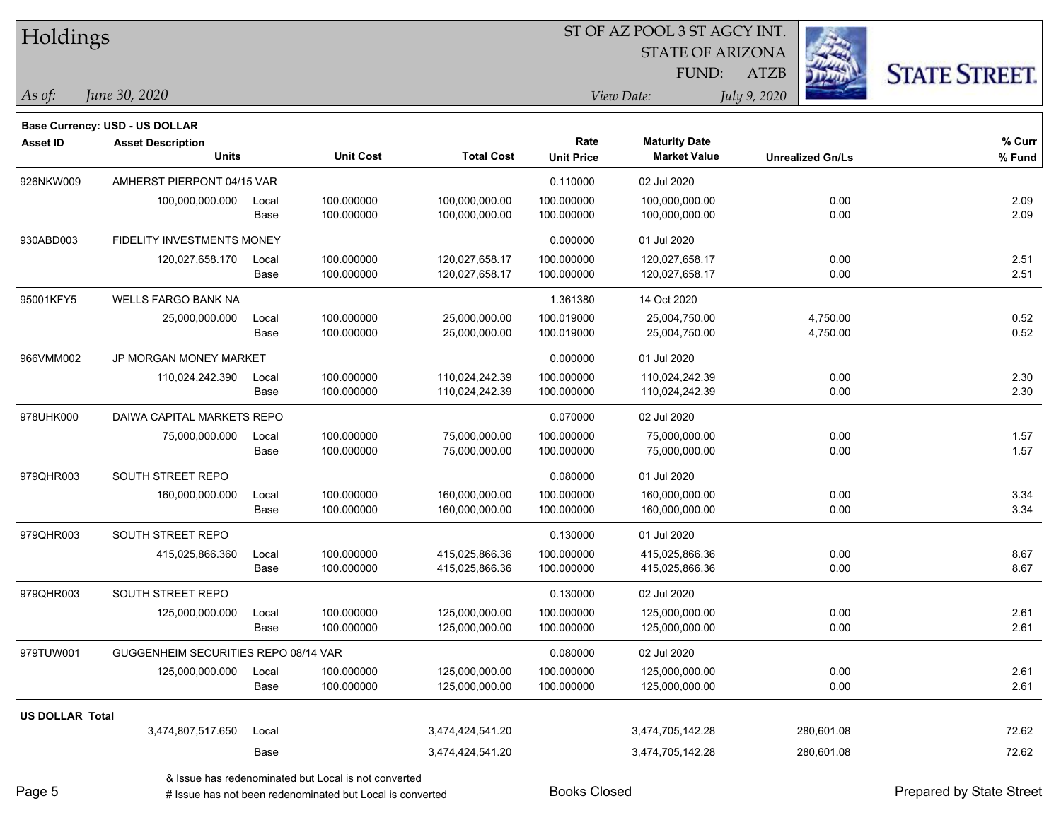| Holdings               |                                      |       |                  |                   |                   | ST OF AZ POOL 3 ST AGCY INT. |              |                         |                      |
|------------------------|--------------------------------------|-------|------------------|-------------------|-------------------|------------------------------|--------------|-------------------------|----------------------|
|                        |                                      |       |                  |                   |                   | <b>STATE OF ARIZONA</b>      |              |                         |                      |
|                        |                                      |       |                  |                   |                   | FUND:                        | <b>ATZB</b>  |                         | <b>STATE STREET.</b> |
| $\vert$ As of:         | June 30, 2020                        |       |                  |                   |                   | View Date:                   | July 9, 2020 |                         |                      |
|                        | Base Currency: USD - US DOLLAR       |       |                  |                   |                   |                              |              |                         |                      |
| <b>Asset ID</b>        | <b>Asset Description</b>             |       |                  |                   | Rate              | <b>Maturity Date</b>         |              |                         | % Curr               |
|                        | <b>Units</b>                         |       | <b>Unit Cost</b> | <b>Total Cost</b> | <b>Unit Price</b> | <b>Market Value</b>          |              | <b>Unrealized Gn/Ls</b> | % Fund               |
| 926NKW009              | AMHERST PIERPONT 04/15 VAR           |       |                  |                   | 0.110000          | 02 Jul 2020                  |              |                         |                      |
|                        | 100,000,000.000                      | Local | 100.000000       | 100,000,000.00    | 100.000000        | 100,000,000.00               |              | 0.00                    | 2.09                 |
|                        |                                      | Base  | 100.000000       | 100,000,000.00    | 100.000000        | 100,000,000.00               |              | 0.00                    | 2.09                 |
| 930ABD003              | FIDELITY INVESTMENTS MONEY           |       |                  |                   | 0.000000          | 01 Jul 2020                  |              |                         |                      |
|                        | 120,027,658.170                      | Local | 100.000000       | 120,027,658.17    | 100.000000        | 120,027,658.17               |              | 0.00                    | 2.51                 |
|                        |                                      | Base  | 100.000000       | 120,027,658.17    | 100.000000        | 120,027,658.17               |              | 0.00                    | 2.51                 |
| 95001KFY5              | <b>WELLS FARGO BANK NA</b>           |       |                  |                   | 1.361380          | 14 Oct 2020                  |              |                         |                      |
|                        | 25,000,000.000                       | Local | 100.000000       | 25,000,000.00     | 100.019000        | 25,004,750.00                |              | 4,750.00                | 0.52                 |
|                        |                                      | Base  | 100.000000       | 25,000,000.00     | 100.019000        | 25,004,750.00                |              | 4,750.00                | 0.52                 |
| 966VMM002              | JP MORGAN MONEY MARKET               |       |                  |                   | 0.000000          | 01 Jul 2020                  |              |                         |                      |
|                        | 110,024,242.390                      | Local | 100.000000       | 110,024,242.39    | 100.000000        | 110,024,242.39               |              | 0.00                    | 2.30                 |
|                        |                                      | Base  | 100.000000       | 110,024,242.39    | 100.000000        | 110,024,242.39               |              | 0.00                    | 2.30                 |
| 978UHK000              | DAIWA CAPITAL MARKETS REPO           |       |                  |                   | 0.070000          | 02 Jul 2020                  |              |                         |                      |
|                        | 75,000,000.000                       | Local | 100.000000       | 75,000,000.00     | 100.000000        | 75,000,000.00                |              | 0.00                    | 1.57                 |
|                        |                                      | Base  | 100.000000       | 75,000,000.00     | 100.000000        | 75,000,000.00                |              | 0.00                    | 1.57                 |
| 979QHR003              | SOUTH STREET REPO                    |       |                  |                   | 0.080000          | 01 Jul 2020                  |              |                         |                      |
|                        | 160,000,000.000                      | Local | 100.000000       | 160,000,000.00    | 100.000000        | 160,000,000.00               |              | 0.00                    | 3.34                 |
|                        |                                      | Base  | 100.000000       | 160,000,000.00    | 100.000000        | 160,000,000.00               |              | 0.00                    | 3.34                 |
| 979QHR003              | SOUTH STREET REPO                    |       |                  |                   | 0.130000          | 01 Jul 2020                  |              |                         |                      |
|                        | 415,025,866.360                      | Local | 100.000000       | 415,025,866.36    | 100.000000        | 415,025,866.36               |              | 0.00                    | 8.67                 |
|                        |                                      | Base  | 100.000000       | 415,025,866.36    | 100.000000        | 415,025,866.36               |              | 0.00                    | 8.67                 |
| 979QHR003              | SOUTH STREET REPO                    |       |                  |                   | 0.130000          | 02 Jul 2020                  |              |                         |                      |
|                        | 125,000,000.000                      | Local | 100.000000       | 125,000,000.00    | 100.000000        | 125,000,000.00               |              | 0.00                    | 2.61                 |
|                        |                                      | Base  | 100.000000       | 125,000,000.00    | 100.000000        | 125,000,000.00               |              | 0.00                    | 2.61                 |
| 979TUW001              | GUGGENHEIM SECURITIES REPO 08/14 VAR |       |                  |                   | 0.080000          | 02 Jul 2020                  |              |                         |                      |
|                        | 125,000,000.000                      | Local | 100.000000       | 125,000,000.00    | 100.000000        | 125,000,000.00               |              | 0.00                    | 2.61                 |
|                        |                                      | Base  | 100.000000       | 125,000,000.00    | 100.000000        | 125,000,000.00               |              | 0.00                    | 2.61                 |
| <b>US DOLLAR Total</b> |                                      |       |                  |                   |                   |                              |              |                         |                      |
|                        | 3,474,807,517.650                    | Local |                  | 3,474,424,541.20  |                   | 3,474,705,142.28             |              | 280,601.08              | 72.62                |
|                        |                                      | Base  |                  | 3,474,424,541.20  |                   | 3,474,705,142.28             |              | 280,601.08              | 72.62                |
|                        |                                      |       |                  |                   |                   |                              |              |                         |                      |

& Issue has redenominated but Local is not converted

Page 5

 $\blacksquare$ 

# Issue has not been redenominated but Local is converted Books Closed Prepared by State Street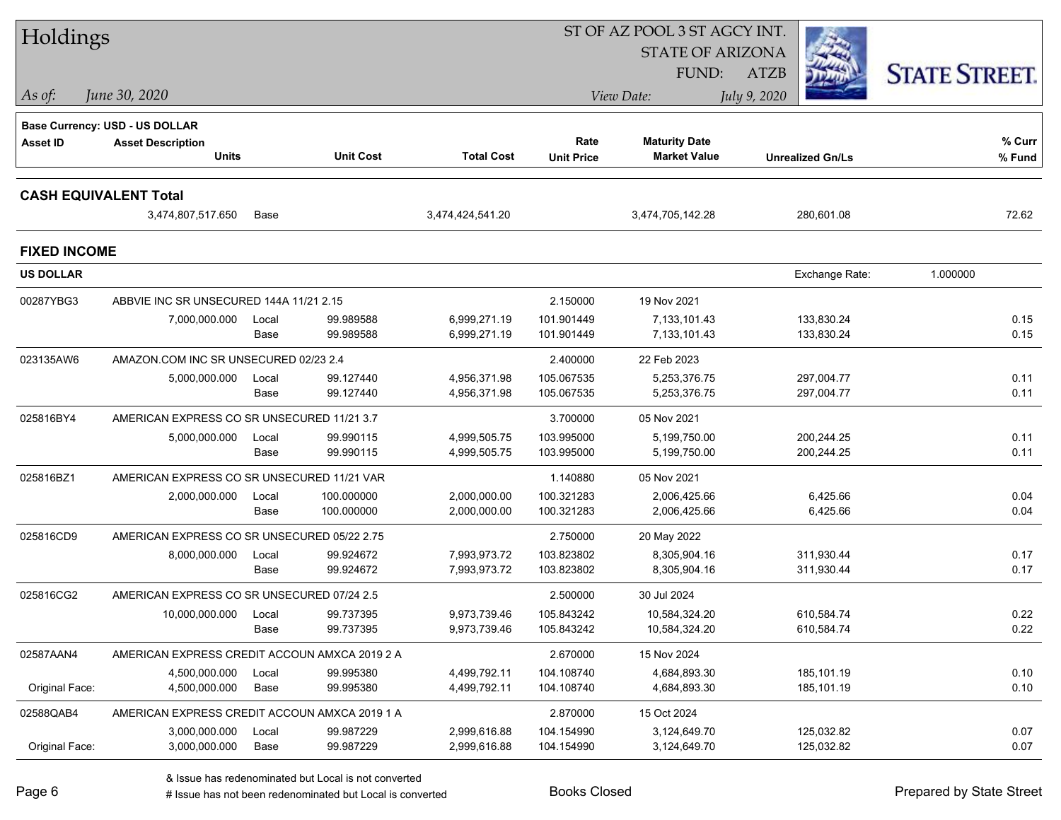| Holdings                     |                                               |       |                  |                   | ST OF AZ POOL 3 ST AGCY INT. |                         |                         |                      |  |
|------------------------------|-----------------------------------------------|-------|------------------|-------------------|------------------------------|-------------------------|-------------------------|----------------------|--|
|                              |                                               |       |                  |                   |                              | <b>STATE OF ARIZONA</b> |                         |                      |  |
|                              |                                               |       |                  |                   |                              | <b>FUND:</b>            | <b>ATZB</b>             | <b>STATE STREET.</b> |  |
| As of:                       | June 30, 2020                                 |       |                  |                   |                              | View Date:              | July 9, 2020            |                      |  |
|                              | <b>Base Currency: USD - US DOLLAR</b>         |       |                  |                   |                              |                         |                         |                      |  |
| <b>Asset ID</b>              | <b>Asset Description</b>                      |       |                  |                   | Rate                         | <b>Maturity Date</b>    |                         | % Curr               |  |
|                              | <b>Units</b>                                  |       | <b>Unit Cost</b> | <b>Total Cost</b> | <b>Unit Price</b>            | <b>Market Value</b>     | <b>Unrealized Gn/Ls</b> | % Fund               |  |
| <b>CASH EQUIVALENT Total</b> |                                               |       |                  |                   |                              |                         |                         |                      |  |
|                              | 3,474,807,517.650                             | Base  |                  | 3,474,424,541.20  |                              | 3,474,705,142.28        | 280,601.08              | 72.62                |  |
| <b>FIXED INCOME</b>          |                                               |       |                  |                   |                              |                         |                         |                      |  |
| <b>US DOLLAR</b>             |                                               |       |                  |                   |                              |                         | Exchange Rate:          | 1.000000             |  |
| 00287YBG3                    | ABBVIE INC SR UNSECURED 144A 11/21 2.15       |       |                  |                   | 2.150000                     | 19 Nov 2021             |                         |                      |  |
|                              | 7,000,000.000                                 | Local | 99.989588        | 6,999,271.19      | 101.901449                   | 7,133,101.43            | 133,830.24              | 0.15                 |  |
|                              |                                               | Base  | 99.989588        | 6,999,271.19      | 101.901449                   | 7,133,101.43            | 133,830.24              | 0.15                 |  |
| 023135AW6                    | AMAZON.COM INC SR UNSECURED 02/23 2.4         |       |                  |                   | 2.400000                     | 22 Feb 2023             |                         |                      |  |
|                              | 5,000,000.000                                 | Local | 99.127440        | 4,956,371.98      | 105.067535                   | 5,253,376.75            | 297,004.77              | 0.11                 |  |
|                              |                                               | Base  | 99.127440        | 4,956,371.98      | 105.067535                   | 5,253,376.75            | 297,004.77              | 0.11                 |  |
| 025816BY4                    | AMERICAN EXPRESS CO SR UNSECURED 11/21 3.7    |       |                  |                   | 3.700000                     | 05 Nov 2021             |                         |                      |  |
|                              | 5,000,000.000                                 | Local | 99.990115        | 4,999,505.75      | 103.995000                   | 5,199,750.00            | 200,244.25              | 0.11                 |  |
|                              |                                               | Base  | 99.990115        | 4,999,505.75      | 103.995000                   | 5,199,750.00            | 200,244.25              | 0.11                 |  |
| 025816BZ1                    | AMERICAN EXPRESS CO SR UNSECURED 11/21 VAR    |       |                  |                   | 1.140880                     | 05 Nov 2021             |                         |                      |  |
|                              | 2,000,000.000                                 | Local | 100.000000       | 2,000,000.00      | 100.321283                   | 2,006,425.66            | 6,425.66                | 0.04                 |  |
|                              |                                               | Base  | 100.000000       | 2,000,000.00      | 100.321283                   | 2,006,425.66            | 6,425.66                | 0.04                 |  |
| 025816CD9                    | AMERICAN EXPRESS CO SR UNSECURED 05/22 2.75   |       |                  |                   | 2.750000                     | 20 May 2022             |                         |                      |  |
|                              | 8,000,000.000                                 | Local | 99.924672        | 7,993,973.72      | 103.823802                   | 8,305,904.16            | 311,930.44              | 0.17                 |  |
|                              |                                               | Base  | 99.924672        | 7,993,973.72      | 103.823802                   | 8,305,904.16            | 311,930.44              | 0.17                 |  |
| 025816CG2                    | AMERICAN EXPRESS CO SR UNSECURED 07/24 2.5    |       |                  |                   | 2.500000                     | 30 Jul 2024             |                         |                      |  |
|                              | 10,000,000.000                                | Local | 99.737395        | 9,973,739.46      | 105.843242                   | 10,584,324.20           | 610,584.74              | 0.22                 |  |
|                              |                                               | Base  | 99.737395        | 9,973,739.46      | 105.843242                   | 10,584,324.20           | 610,584.74              | 0.22                 |  |
| 02587AAN4                    | AMERICAN EXPRESS CREDIT ACCOUN AMXCA 2019 2 A |       |                  |                   | 2.670000                     | 15 Nov 2024             |                         |                      |  |
|                              | 4,500,000.000                                 | Local | 99.995380        | 4,499,792.11      | 104.108740                   | 4,684,893.30            | 185,101.19              | 0.10                 |  |
| Original Face:               | 4,500,000.000                                 | Base  | 99.995380        | 4,499,792.11      | 104.108740                   | 4,684,893.30            | 185,101.19              | 0.10                 |  |
| 02588QAB4                    | AMERICAN EXPRESS CREDIT ACCOUN AMXCA 2019 1 A |       |                  |                   | 2.870000                     | 15 Oct 2024             |                         |                      |  |
|                              | 3,000,000.000                                 | Local | 99.987229        | 2,999,616.88      | 104.154990                   | 3,124,649.70            | 125,032.82              | 0.07                 |  |
| Original Face:               | 3,000,000.000                                 | Base  | 99.987229        | 2,999,616.88      | 104.154990                   | 3,124,649.70            | 125,032.82              | 0.07                 |  |

# Issue has not been redenominated but Local is converted Books Closed Prepared by State Street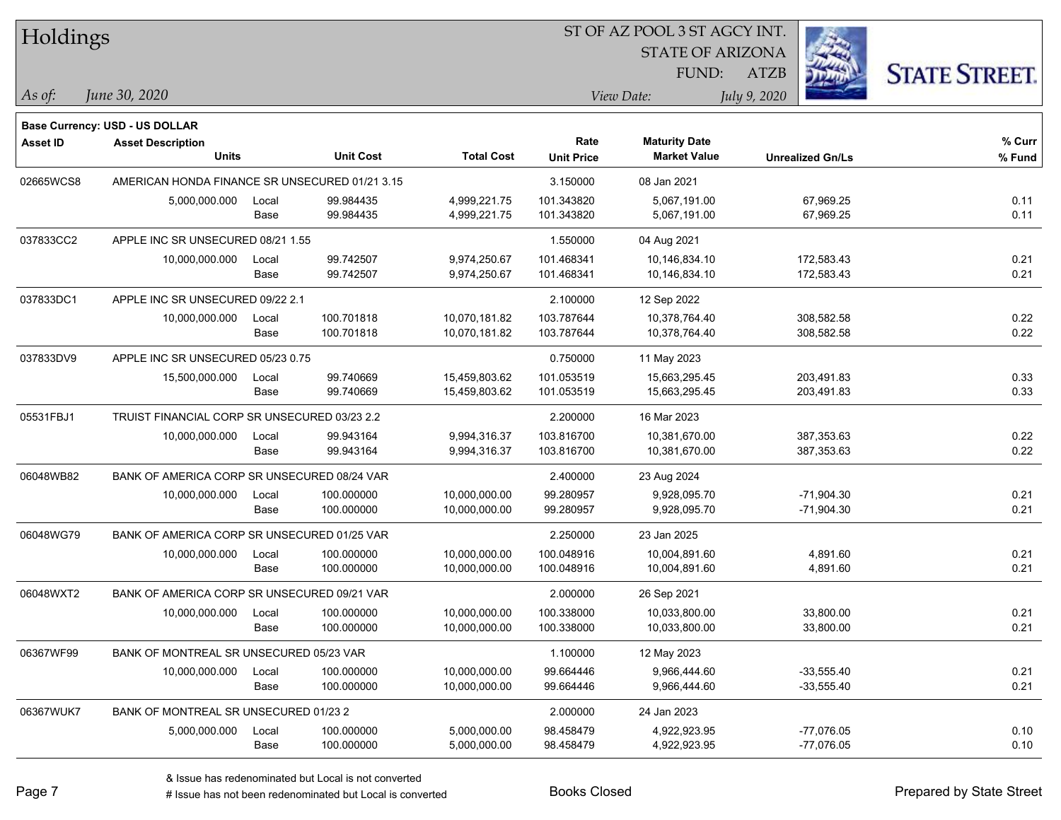| Holdings        |                                                |       |                  |                   |                   | ST OF AZ POOL 3 ST AGCY INT. |                         |                      |
|-----------------|------------------------------------------------|-------|------------------|-------------------|-------------------|------------------------------|-------------------------|----------------------|
|                 |                                                |       |                  |                   |                   | <b>STATE OF ARIZONA</b>      |                         |                      |
|                 |                                                |       |                  |                   |                   | FUND:                        | <b>ATZB</b>             | <b>STATE STREET.</b> |
| As of:          | June 30, 2020                                  |       |                  |                   |                   | View Date:                   | July 9, 2020            |                      |
|                 | Base Currency: USD - US DOLLAR                 |       |                  |                   |                   |                              |                         |                      |
| <b>Asset ID</b> | <b>Asset Description</b>                       |       |                  |                   | Rate              | <b>Maturity Date</b>         |                         | % Curr               |
|                 | <b>Units</b>                                   |       | <b>Unit Cost</b> | <b>Total Cost</b> | <b>Unit Price</b> | <b>Market Value</b>          | <b>Unrealized Gn/Ls</b> | % Fund               |
| 02665WCS8       | AMERICAN HONDA FINANCE SR UNSECURED 01/21 3.15 |       |                  |                   | 3.150000          | 08 Jan 2021                  |                         |                      |
|                 | 5,000,000.000                                  | Local | 99.984435        | 4,999,221.75      | 101.343820        | 5,067,191.00                 | 67,969.25               | 0.11                 |
|                 |                                                | Base  | 99.984435        | 4,999,221.75      | 101.343820        | 5,067,191.00                 | 67,969.25               | 0.11                 |
| 037833CC2       | APPLE INC SR UNSECURED 08/21 1.55              |       |                  |                   | 1.550000          | 04 Aug 2021                  |                         |                      |
|                 | 10,000,000.000                                 | Local | 99.742507        | 9,974,250.67      | 101.468341        | 10,146,834.10                | 172,583.43              | 0.21                 |
|                 |                                                | Base  | 99.742507        | 9,974,250.67      | 101.468341        | 10,146,834.10                | 172,583.43              | 0.21                 |
| 037833DC1       | APPLE INC SR UNSECURED 09/22 2.1               |       |                  |                   | 2.100000          | 12 Sep 2022                  |                         |                      |
|                 | 10,000,000.000                                 | Local | 100.701818       | 10,070,181.82     | 103.787644        | 10,378,764.40                | 308,582.58              | 0.22                 |
|                 |                                                | Base  | 100.701818       | 10,070,181.82     | 103.787644        | 10,378,764.40                | 308,582.58              | 0.22                 |
| 037833DV9       | APPLE INC SR UNSECURED 05/23 0.75              |       |                  |                   | 0.750000          | 11 May 2023                  |                         |                      |
|                 | 15,500,000.000                                 | Local | 99.740669        | 15,459,803.62     | 101.053519        | 15,663,295.45                | 203,491.83              | 0.33                 |
|                 |                                                | Base  | 99.740669        | 15,459,803.62     | 101.053519        | 15,663,295.45                | 203,491.83              | 0.33                 |
| 05531FBJ1       | TRUIST FINANCIAL CORP SR UNSECURED 03/23 2.2   |       |                  |                   | 2.200000          | 16 Mar 2023                  |                         |                      |
|                 | 10,000,000.000                                 | Local | 99.943164        | 9,994,316.37      | 103.816700        | 10,381,670.00                | 387,353.63              | 0.22                 |
|                 |                                                | Base  | 99.943164        | 9,994,316.37      | 103.816700        | 10,381,670.00                | 387,353.63              | 0.22                 |
| 06048WB82       | BANK OF AMERICA CORP SR UNSECURED 08/24 VAR    |       |                  |                   | 2.400000          | 23 Aug 2024                  |                         |                      |
|                 | 10,000,000.000                                 | Local | 100.000000       | 10,000,000.00     | 99.280957         | 9,928,095.70                 | $-71,904.30$            | 0.21                 |
|                 |                                                | Base  | 100.000000       | 10,000,000.00     | 99.280957         | 9,928,095.70                 | $-71,904.30$            | 0.21                 |
| 06048WG79       | BANK OF AMERICA CORP SR UNSECURED 01/25 VAR    |       |                  |                   | 2.250000          | 23 Jan 2025                  |                         |                      |
|                 | 10,000,000.000                                 | Local | 100.000000       | 10,000,000.00     | 100.048916        | 10,004,891.60                | 4,891.60                | 0.21                 |
|                 |                                                | Base  | 100.000000       | 10,000,000.00     | 100.048916        | 10,004,891.60                | 4,891.60                | 0.21                 |
| 06048WXT2       | BANK OF AMERICA CORP SR UNSECURED 09/21 VAR    |       |                  |                   | 2.000000          | 26 Sep 2021                  |                         |                      |
|                 | 10,000,000.000                                 | Local | 100.000000       | 10,000,000.00     | 100.338000        | 10,033,800.00                | 33,800.00               | 0.21                 |
|                 |                                                | Base  | 100.000000       | 10,000,000.00     | 100.338000        | 10,033,800.00                | 33,800.00               | 0.21                 |
| 06367WF99       | BANK OF MONTREAL SR UNSECURED 05/23 VAR        |       |                  |                   | 1.100000          | 12 May 2023                  |                         |                      |
|                 | 10,000,000.000                                 | Local | 100.000000       | 10,000,000.00     | 99.664446         | 9,966,444.60                 | $-33,555.40$            | 0.21                 |
|                 |                                                | Base  | 100.000000       | 10,000,000.00     | 99.664446         | 9,966,444.60                 | $-33,555.40$            | 0.21                 |
| 06367WUK7       | BANK OF MONTREAL SR UNSECURED 01/23 2          |       |                  |                   | 2.000000          | 24 Jan 2023                  |                         |                      |
|                 | 5,000,000.000                                  | Local | 100.000000       | 5,000,000.00      | 98.458479         | 4,922,923.95                 | $-77,076.05$            | 0.10                 |
|                 |                                                | Base  | 100.000000       | 5,000,000.00      | 98.458479         | 4,922,923.95                 | $-77,076.05$            | 0.10                 |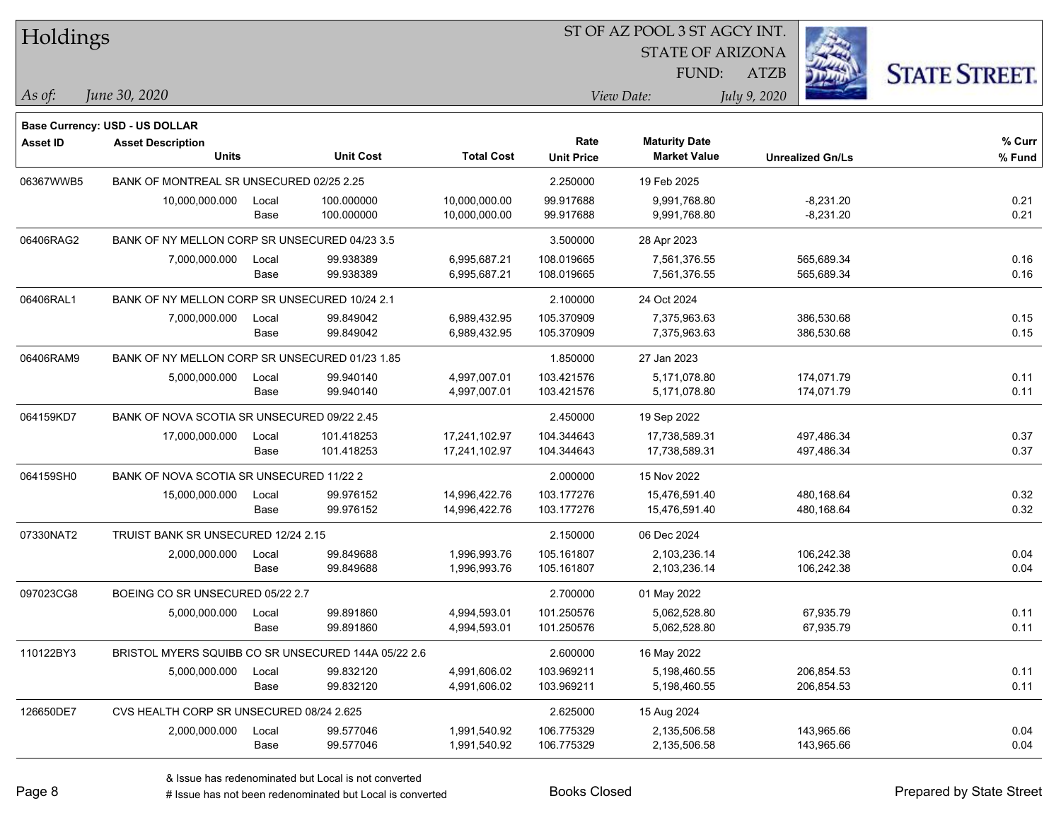| <b>Holdings</b> |                                                |       |                                                     |                   |                   | 51 OF AZ POOL 3 51 AGCY INT.                |                         |                      |
|-----------------|------------------------------------------------|-------|-----------------------------------------------------|-------------------|-------------------|---------------------------------------------|-------------------------|----------------------|
|                 |                                                |       |                                                     |                   |                   | <b>STATE OF ARIZONA</b>                     |                         |                      |
|                 |                                                |       |                                                     |                   |                   | FUND:                                       | ATZB                    | <b>STATE STREET.</b> |
| As of:          | June 30, 2020                                  |       |                                                     |                   |                   | View Date:                                  | July 9, 2020            |                      |
|                 |                                                |       |                                                     |                   |                   |                                             |                         |                      |
|                 | Base Currency: USD - US DOLLAR                 |       |                                                     |                   |                   |                                             |                         |                      |
| <b>Asset ID</b> | <b>Asset Description</b><br><b>Units</b>       |       | <b>Unit Cost</b>                                    | <b>Total Cost</b> | Rate              | <b>Maturity Date</b><br><b>Market Value</b> |                         | % Curr               |
|                 |                                                |       |                                                     |                   | <b>Unit Price</b> |                                             | <b>Unrealized Gn/Ls</b> | % Fund               |
| 06367WWB5       | BANK OF MONTREAL SR UNSECURED 02/25 2.25       |       |                                                     |                   | 2.250000          | 19 Feb 2025                                 |                         |                      |
|                 | 10,000,000.000                                 | Local | 100.000000                                          | 10,000,000.00     | 99.917688         | 9,991,768.80                                | $-8,231.20$             | 0.21                 |
|                 |                                                | Base  | 100.000000                                          | 10,000,000.00     | 99.917688         | 9,991,768.80                                | $-8,231.20$             | 0.21                 |
| 06406RAG2       | BANK OF NY MELLON CORP SR UNSECURED 04/23 3.5  |       |                                                     |                   | 3.500000          | 28 Apr 2023                                 |                         |                      |
|                 | 7,000,000.000                                  | Local | 99.938389                                           | 6,995,687.21      | 108.019665        | 7,561,376.55                                | 565,689.34              | 0.16                 |
|                 |                                                | Base  | 99.938389                                           | 6,995,687.21      | 108.019665        | 7,561,376.55                                | 565,689.34              | 0.16                 |
| 06406RAL1       | BANK OF NY MELLON CORP SR UNSECURED 10/24 2.1  |       |                                                     |                   | 2.100000          | 24 Oct 2024                                 |                         |                      |
|                 | 7,000,000.000                                  | Local | 99.849042                                           | 6,989,432.95      | 105.370909        | 7,375,963.63                                | 386,530.68              | 0.15                 |
|                 |                                                | Base  | 99.849042                                           | 6,989,432.95      | 105.370909        | 7,375,963.63                                | 386,530.68              | 0.15                 |
| 06406RAM9       | BANK OF NY MELLON CORP SR UNSECURED 01/23 1.85 |       |                                                     |                   | 1.850000          | 27 Jan 2023                                 |                         |                      |
|                 | 5,000,000.000                                  | Local | 99.940140                                           | 4,997,007.01      | 103.421576        | 5,171,078.80                                | 174,071.79              | 0.11                 |
|                 |                                                | Base  | 99.940140                                           | 4,997,007.01      | 103.421576        | 5,171,078.80                                | 174,071.79              | 0.11                 |
| 064159KD7       | BANK OF NOVA SCOTIA SR UNSECURED 09/22 2.45    |       |                                                     | 2.450000          | 19 Sep 2022       |                                             |                         |                      |
|                 | 17,000,000.000                                 | Local | 101.418253                                          | 17,241,102.97     | 104.344643        | 17,738,589.31                               | 497,486.34              | 0.37                 |
|                 |                                                | Base  | 101.418253                                          | 17,241,102.97     | 104.344643        | 17,738,589.31                               | 497,486.34              | 0.37                 |
| 064159SH0       | BANK OF NOVA SCOTIA SR UNSECURED 11/22 2       |       |                                                     |                   | 2.000000          | 15 Nov 2022                                 |                         |                      |
|                 | 15,000,000.000                                 | Local | 99.976152                                           | 14,996,422.76     | 103.177276        | 15,476,591.40                               | 480,168.64              | 0.32                 |
|                 |                                                | Base  | 99.976152                                           | 14,996,422.76     | 103.177276        | 15,476,591.40                               | 480,168.64              | 0.32                 |
| 07330NAT2       | TRUIST BANK SR UNSECURED 12/24 2.15            |       |                                                     |                   | 2.150000          | 06 Dec 2024                                 |                         |                      |
|                 | 2,000,000.000                                  | Local | 99.849688                                           | 1,996,993.76      | 105.161807        | 2,103,236.14                                | 106,242.38              | 0.04                 |
|                 |                                                | Base  | 99.849688                                           | 1,996,993.76      | 105.161807        | 2,103,236.14                                | 106,242.38              | 0.04                 |
| 097023CG8       | BOEING CO SR UNSECURED 05/22 2.7               |       |                                                     |                   | 2.700000          | 01 May 2022                                 |                         |                      |
|                 | 5,000,000.000                                  | Local | 99.891860                                           | 4,994,593.01      | 101.250576        | 5,062,528.80                                | 67,935.79               | 0.11                 |
|                 |                                                | Base  | 99.891860                                           | 4,994,593.01      | 101.250576        | 5,062,528.80                                | 67,935.79               | 0.11                 |
| 110122BY3       |                                                |       | BRISTOL MYERS SQUIBB CO SR UNSECURED 144A 05/22 2.6 |                   | 2.600000          | 16 May 2022                                 |                         |                      |
|                 | 5,000,000.000                                  | Local | 99.832120                                           | 4,991,606.02      | 103.969211        | 5,198,460.55                                | 206,854.53              | 0.11                 |
|                 |                                                | Base  | 99.832120                                           | 4,991,606.02      | 103.969211        | 5,198,460.55                                | 206,854.53              | 0.11                 |
| 126650DE7       | CVS HEALTH CORP SR UNSECURED 08/24 2.625       |       |                                                     |                   | 2.625000          | 15 Aug 2024                                 |                         |                      |
|                 | 2,000,000.000                                  | Local | 99.577046                                           | 1,991,540.92      | 106.775329        | 2,135,506.58                                | 143,965.66              | 0.04                 |
|                 |                                                | Base  | 99.577046                                           | 1,991,540.92      | 106.775329        | 2,135,506.58                                | 143,965.66              | 0.04                 |
|                 |                                                |       |                                                     |                   |                   |                                             |                         |                      |

 $\overline{S}$ 

denote the redenominated but Local is converted Books Closed Prepared by State Street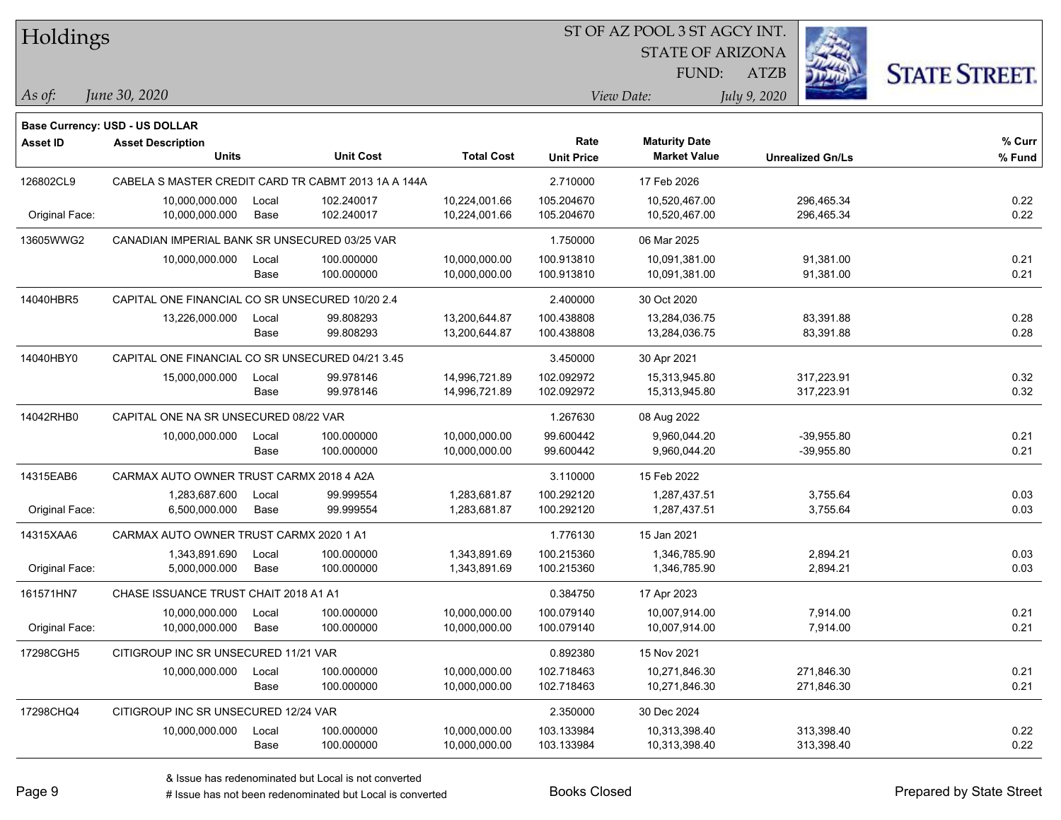| Holdings        |                                                            |       |                                                     |                   | ST OF AZ POOL 3 ST AGCY INT. |                         |                         |                      |  |  |
|-----------------|------------------------------------------------------------|-------|-----------------------------------------------------|-------------------|------------------------------|-------------------------|-------------------------|----------------------|--|--|
|                 |                                                            |       |                                                     |                   |                              | <b>STATE OF ARIZONA</b> |                         |                      |  |  |
|                 |                                                            |       |                                                     |                   |                              | FUND:                   | <b>ATZB</b>             | <b>STATE STREET.</b> |  |  |
| As of:          | June 30, 2020                                              |       |                                                     |                   |                              | View Date:              | July 9, 2020            |                      |  |  |
|                 |                                                            |       |                                                     |                   |                              |                         |                         |                      |  |  |
| <b>Asset ID</b> | Base Currency: USD - US DOLLAR<br><b>Asset Description</b> |       |                                                     |                   | Rate                         | <b>Maturity Date</b>    |                         | % Curr               |  |  |
|                 | Units                                                      |       | <b>Unit Cost</b>                                    | <b>Total Cost</b> | <b>Unit Price</b>            | <b>Market Value</b>     | <b>Unrealized Gn/Ls</b> | % Fund               |  |  |
| 126802CL9       |                                                            |       | CABELA S MASTER CREDIT CARD TR CABMT 2013 1A A 144A |                   | 2.710000                     | 17 Feb 2026             |                         |                      |  |  |
|                 | 10,000,000.000                                             | Local | 102.240017                                          | 10,224,001.66     | 105.204670                   | 10,520,467.00           | 296,465.34              | 0.22                 |  |  |
| Original Face:  | 10,000,000.000                                             | Base  | 102.240017                                          | 10,224,001.66     | 105.204670                   | 10,520,467.00           | 296,465.34              | 0.22                 |  |  |
| 13605WWG2       | CANADIAN IMPERIAL BANK SR UNSECURED 03/25 VAR              |       |                                                     |                   | 1.750000                     | 06 Mar 2025             |                         |                      |  |  |
|                 | 10,000,000.000                                             | Local | 100.000000                                          | 10,000,000.00     | 100.913810                   | 10,091,381.00           | 91,381.00               | 0.21                 |  |  |
|                 |                                                            | Base  | 100.000000                                          | 10,000,000.00     | 100.913810                   | 10,091,381.00           | 91,381.00               | 0.21                 |  |  |
| 14040HBR5       | CAPITAL ONE FINANCIAL CO SR UNSECURED 10/20 2.4            |       |                                                     |                   | 2.400000                     | 30 Oct 2020             |                         |                      |  |  |
|                 | 13,226,000.000                                             | Local | 99.808293                                           | 13,200,644.87     | 100.438808                   | 13,284,036.75           | 83,391.88               | 0.28                 |  |  |
|                 |                                                            | Base  | 99.808293                                           | 13,200,644.87     | 100.438808                   | 13,284,036.75           | 83,391.88               | 0.28                 |  |  |
| 14040HBY0       | CAPITAL ONE FINANCIAL CO SR UNSECURED 04/21 3.45           |       |                                                     |                   | 3.450000                     | 30 Apr 2021             |                         |                      |  |  |
|                 | 15,000,000.000                                             | Local | 99.978146                                           | 14,996,721.89     | 102.092972                   | 15,313,945.80           | 317,223.91              | 0.32                 |  |  |
|                 |                                                            | Base  | 99.978146                                           | 14,996,721.89     | 102.092972                   | 15,313,945.80           | 317,223.91              | 0.32                 |  |  |
| 14042RHB0       | CAPITAL ONE NA SR UNSECURED 08/22 VAR                      |       |                                                     |                   | 1.267630                     | 08 Aug 2022             |                         |                      |  |  |
|                 | 10,000,000.000                                             | Local | 100.000000                                          | 10,000,000.00     | 99.600442                    | 9,960,044.20            | $-39,955.80$            | 0.21                 |  |  |
|                 |                                                            | Base  | 100.000000                                          | 10,000,000.00     | 99.600442                    | 9,960,044.20            | $-39,955.80$            | 0.21                 |  |  |
| 14315EAB6       | CARMAX AUTO OWNER TRUST CARMX 2018 4 A2A                   |       |                                                     |                   | 3.110000                     | 15 Feb 2022             |                         |                      |  |  |
|                 | 1,283,687.600                                              | Local | 99.999554                                           | 1,283,681.87      | 100.292120                   | 1,287,437.51            | 3,755.64                | 0.03                 |  |  |
| Original Face:  | 6,500,000.000                                              | Base  | 99.999554                                           | 1,283,681.87      | 100.292120                   | 1,287,437.51            | 3,755.64                | 0.03                 |  |  |
| 14315XAA6       | CARMAX AUTO OWNER TRUST CARMX 2020 1 A1                    |       |                                                     |                   | 1.776130                     | 15 Jan 2021             |                         |                      |  |  |
|                 | 1,343,891.690                                              | Local | 100.000000                                          | 1,343,891.69      | 100.215360                   | 1,346,785.90            | 2,894.21                | 0.03                 |  |  |
| Original Face:  | 5,000,000.000                                              | Base  | 100.000000                                          | 1,343,891.69      | 100.215360                   | 1,346,785.90            | 2,894.21                | 0.03                 |  |  |
| 161571HN7       | CHASE ISSUANCE TRUST CHAIT 2018 A1 A1                      |       |                                                     |                   | 0.384750                     | 17 Apr 2023             |                         |                      |  |  |
|                 | 10,000,000.000                                             | Local | 100.000000                                          | 10,000,000.00     | 100.079140                   | 10,007,914.00           | 7,914.00                | 0.21                 |  |  |
| Original Face:  | 10,000,000.000                                             | Base  | 100.000000                                          | 10,000,000.00     | 100.079140                   | 10,007,914.00           | 7,914.00                | 0.21                 |  |  |
| 17298CGH5       | CITIGROUP INC SR UNSECURED 11/21 VAR                       |       |                                                     |                   | 0.892380                     | 15 Nov 2021             |                         |                      |  |  |
|                 | 10,000,000.000                                             | Local | 100.000000                                          | 10,000,000.00     | 102.718463                   | 10,271,846.30           | 271,846.30              | 0.21                 |  |  |
|                 |                                                            | Base  | 100.000000                                          | 10,000,000.00     | 102.718463                   | 10,271,846.30           | 271,846.30              | 0.21                 |  |  |
| 17298CHQ4       | CITIGROUP INC SR UNSECURED 12/24 VAR                       |       |                                                     |                   | 2.350000                     | 30 Dec 2024             |                         |                      |  |  |
|                 | 10,000,000.000                                             | Local | 100.000000                                          | 10,000,000.00     | 103.133984                   | 10,313,398.40           | 313,398.40              | 0.22                 |  |  |
|                 |                                                            | Base  | 100.000000                                          | 10,000,000.00     | 103.133984                   | 10,313,398.40           | 313,398.40              | 0.22                 |  |  |

ST OF AZ POOL 3 ST AGCY INT.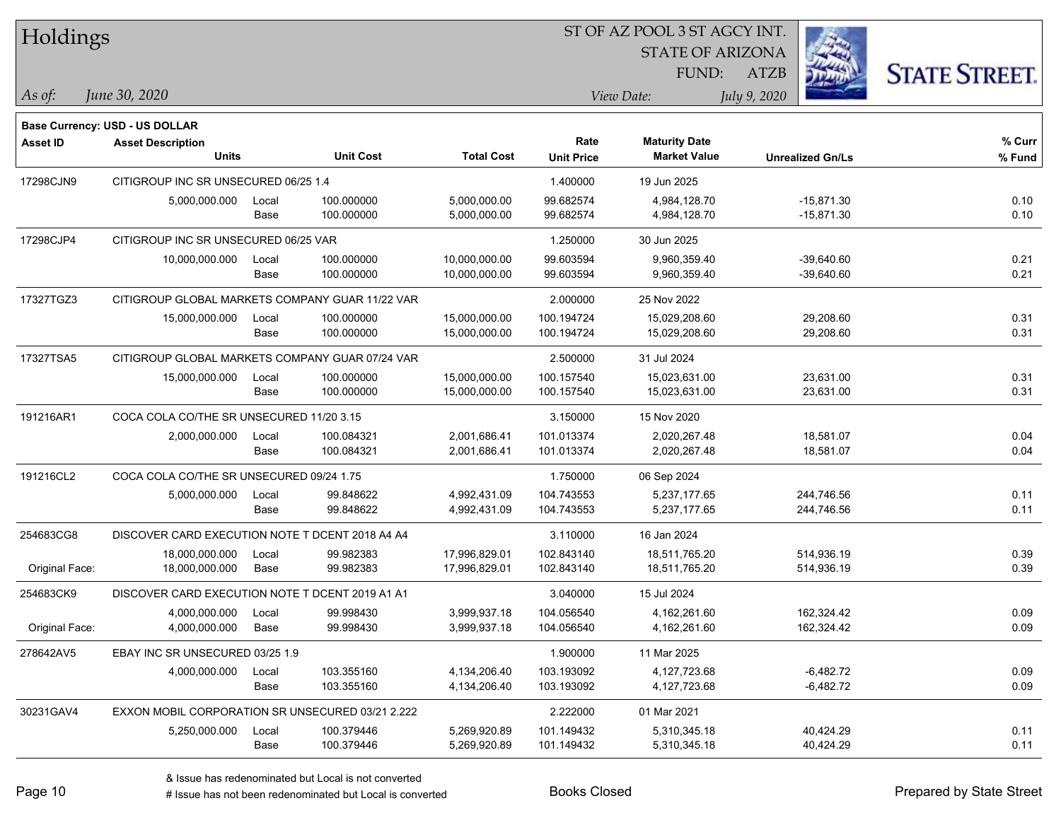| Holdings        |                                                  |       |                  |                   |                   | ST OF AZ POOL 3 ST AGCY INT. |              |                         |                      |
|-----------------|--------------------------------------------------|-------|------------------|-------------------|-------------------|------------------------------|--------------|-------------------------|----------------------|
|                 |                                                  |       |                  |                   |                   | <b>STATE OF ARIZONA</b>      |              |                         |                      |
|                 |                                                  |       |                  |                   |                   | FUND:                        | <b>ATZB</b>  |                         | <b>STATE STREET.</b> |
| As of:          | June 30, 2020                                    |       |                  |                   |                   | View Date:                   | July 9, 2020 |                         |                      |
|                 | <b>Base Currency: USD - US DOLLAR</b>            |       |                  |                   |                   |                              |              |                         |                      |
| <b>Asset ID</b> | <b>Asset Description</b>                         |       |                  |                   | Rate              | <b>Maturity Date</b>         |              |                         | % Curr               |
|                 | <b>Units</b>                                     |       | <b>Unit Cost</b> | <b>Total Cost</b> | <b>Unit Price</b> | <b>Market Value</b>          |              | <b>Unrealized Gn/Ls</b> | % Fund               |
| 17298CJN9       | CITIGROUP INC SR UNSECURED 06/25 1.4             |       |                  |                   | 1.400000          | 19 Jun 2025                  |              |                         |                      |
|                 | 5,000,000.000                                    | Local | 100.000000       | 5,000,000.00      | 99.682574         | 4,984,128.70                 |              | $-15,871.30$            | 0.10                 |
|                 |                                                  | Base  | 100.000000       | 5,000,000.00      | 99.682574         | 4,984,128.70                 |              | $-15,871.30$            | 0.10                 |
| 17298CJP4       | CITIGROUP INC SR UNSECURED 06/25 VAR             |       |                  |                   | 1.250000          | 30 Jun 2025                  |              |                         |                      |
|                 | 10,000,000.000                                   | Local | 100.000000       | 10,000,000.00     | 99.603594         | 9,960,359.40                 |              | $-39,640.60$            | 0.21                 |
|                 |                                                  | Base  | 100.000000       | 10,000,000.00     | 99.603594         | 9,960,359.40                 |              | $-39,640.60$            | 0.21                 |
| 17327TGZ3       | CITIGROUP GLOBAL MARKETS COMPANY GUAR 11/22 VAR  |       |                  |                   | 2.000000          | 25 Nov 2022                  |              |                         |                      |
|                 | 15,000,000.000                                   | Local | 100.000000       | 15,000,000.00     | 100.194724        | 15,029,208.60                |              | 29,208.60               | 0.31                 |
|                 |                                                  | Base  | 100.000000       | 15,000,000.00     | 100.194724        | 15,029,208.60                |              | 29,208.60               | 0.31                 |
| 17327TSA5       | CITIGROUP GLOBAL MARKETS COMPANY GUAR 07/24 VAR  |       |                  |                   | 2.500000          | 31 Jul 2024                  |              |                         |                      |
|                 | 15,000,000.000                                   | Local | 100.000000       | 15,000,000.00     | 100.157540        | 15,023,631.00                |              | 23,631.00               | 0.31                 |
|                 |                                                  | Base  | 100.000000       | 15,000,000.00     | 100.157540        | 15,023,631.00                |              | 23,631.00               | 0.31                 |
| 191216AR1       | COCA COLA CO/THE SR UNSECURED 11/20 3.15         |       |                  |                   | 3.150000          | 15 Nov 2020                  |              |                         |                      |
|                 | 2,000,000.000                                    | Local | 100.084321       | 2,001,686.41      | 101.013374        | 2,020,267.48                 |              | 18,581.07               | 0.04                 |
|                 |                                                  | Base  | 100.084321       | 2,001,686.41      | 101.013374        | 2,020,267.48                 |              | 18,581.07               | 0.04                 |
| 191216CL2       | COCA COLA CO/THE SR UNSECURED 09/24 1.75         |       |                  |                   | 1.750000          | 06 Sep 2024                  |              |                         |                      |
|                 | 5,000,000.000                                    | Local | 99.848622        | 4,992,431.09      | 104.743553        | 5,237,177.65                 |              | 244,746.56              | 0.11                 |
|                 |                                                  | Base  | 99.848622        | 4,992,431.09      | 104.743553        | 5,237,177.65                 |              | 244,746.56              | 0.11                 |
| 254683CG8       | DISCOVER CARD EXECUTION NOTE T DCENT 2018 A4 A4  |       |                  |                   | 3.110000          | 16 Jan 2024                  |              |                         |                      |
|                 | 18,000,000.000                                   | Local | 99.982383        | 17,996,829.01     | 102.843140        | 18,511,765.20                |              | 514,936.19              | 0.39                 |
| Original Face:  | 18,000,000.000                                   | Base  | 99.982383        | 17,996,829.01     | 102.843140        | 18,511,765.20                |              | 514,936.19              | 0.39                 |
| 254683CK9       | DISCOVER CARD EXECUTION NOTE T DCENT 2019 A1 A1  |       |                  |                   | 3.040000          | 15 Jul 2024                  |              |                         |                      |
|                 | 4,000,000.000                                    | Local | 99.998430        | 3,999,937.18      | 104.056540        | 4,162,261.60                 |              | 162,324.42              | 0.09                 |
| Original Face:  | 4,000,000.000                                    | Base  | 99.998430        | 3,999,937.18      | 104.056540        | 4,162,261.60                 |              | 162,324.42              | 0.09                 |
| 278642AV5       | EBAY INC SR UNSECURED 03/25 1.9                  |       |                  |                   | 1.900000          | 11 Mar 2025                  |              |                         |                      |
|                 | 4,000,000.000                                    | Local | 103.355160       | 4,134,206.40      | 103.193092        | 4,127,723.68                 |              | $-6,482.72$             | 0.09                 |
|                 |                                                  | Base  | 103.355160       | 4,134,206.40      | 103.193092        | 4,127,723.68                 |              | $-6,482.72$             | 0.09                 |
| 30231GAV4       | EXXON MOBIL CORPORATION SR UNSECURED 03/21 2.222 |       |                  |                   | 2.222000          | 01 Mar 2021                  |              |                         |                      |
|                 | 5,250,000.000                                    | Local | 100.379446       | 5,269,920.89      | 101.149432        | 5,310,345.18                 |              | 40,424.29               | 0.11                 |
|                 |                                                  | Base  | 100.379446       | 5,269,920.89      | 101.149432        | 5,310,345.18                 |              | 40,424.29               | 0.11                 |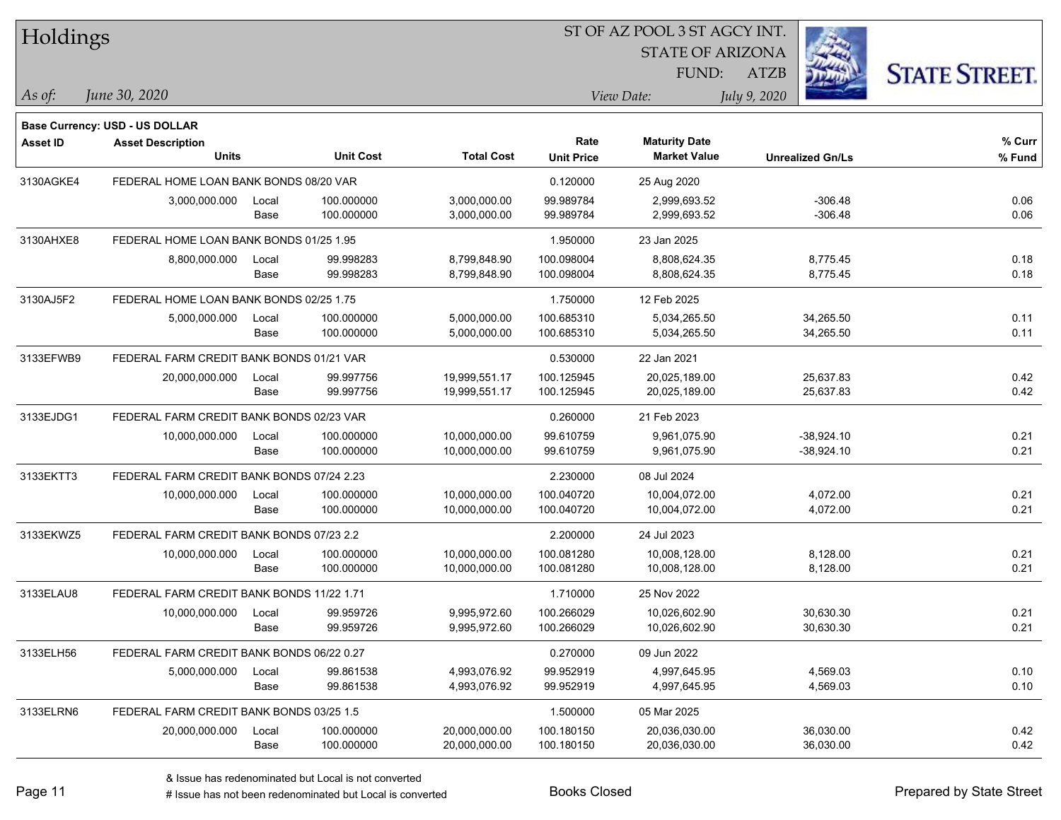| Holdings        |                                           |       |                  |                   |                           | 51 OF AZ POOL 3 51 AGCY INT.                |              |                         |                      |
|-----------------|-------------------------------------------|-------|------------------|-------------------|---------------------------|---------------------------------------------|--------------|-------------------------|----------------------|
|                 |                                           |       |                  |                   |                           | <b>STATE OF ARIZONA</b>                     |              | i.                      |                      |
|                 |                                           |       |                  |                   |                           | FUND:                                       | ATZB         |                         | <b>STATE STREET.</b> |
| As of:          | June 30, 2020                             |       |                  |                   |                           | View Date:                                  | July 9, 2020 |                         |                      |
|                 |                                           |       |                  |                   |                           |                                             |              |                         |                      |
|                 | Base Currency: USD - US DOLLAR            |       |                  |                   |                           |                                             |              |                         |                      |
| <b>Asset ID</b> | <b>Asset Description</b><br><b>Units</b>  |       | <b>Unit Cost</b> | <b>Total Cost</b> | Rate<br><b>Unit Price</b> | <b>Maturity Date</b><br><b>Market Value</b> |              | <b>Unrealized Gn/Ls</b> | % Curr<br>% Fund     |
|                 |                                           |       |                  |                   |                           |                                             |              |                         |                      |
| 3130AGKE4       | FEDERAL HOME LOAN BANK BONDS 08/20 VAR    |       |                  |                   | 0.120000                  | 25 Aug 2020                                 |              |                         |                      |
|                 | 3,000,000.000                             | Local | 100.000000       | 3,000,000.00      | 99.989784                 | 2,999,693.52                                |              | $-306.48$               | 0.06                 |
|                 |                                           | Base  | 100.000000       | 3,000,000.00      | 99.989784                 | 2,999,693.52                                |              | $-306.48$               | 0.06                 |
| 3130AHXE8       | FEDERAL HOME LOAN BANK BONDS 01/25 1.95   |       |                  |                   | 1.950000                  | 23 Jan 2025                                 |              |                         |                      |
|                 | 8,800,000.000                             | Local | 99.998283        | 8,799,848.90      | 100.098004                | 8,808,624.35                                |              | 8,775.45                | 0.18                 |
|                 |                                           | Base  | 99.998283        | 8,799,848.90      | 100.098004                | 8,808,624.35                                |              | 8,775.45                | 0.18                 |
| 3130AJ5F2       | FEDERAL HOME LOAN BANK BONDS 02/25 1.75   |       |                  |                   | 1.750000                  | 12 Feb 2025                                 |              |                         |                      |
|                 | 5,000,000.000                             | Local | 100.000000       | 5,000,000.00      | 100.685310                | 5,034,265.50                                |              | 34,265.50               | 0.11                 |
|                 |                                           | Base  | 100.000000       | 5,000,000.00      | 100.685310                | 5,034,265.50                                |              | 34,265.50               | 0.11                 |
| 3133EFWB9       | FEDERAL FARM CREDIT BANK BONDS 01/21 VAR  |       |                  |                   | 0.530000                  | 22 Jan 2021                                 |              |                         |                      |
|                 | 20,000,000.000                            | Local | 99.997756        | 19,999,551.17     | 100.125945                | 20,025,189.00                               |              | 25,637.83               | 0.42                 |
|                 |                                           | Base  | 99.997756        | 19,999,551.17     | 100.125945                | 20,025,189.00                               |              | 25,637.83               | 0.42                 |
| 3133EJDG1       | FEDERAL FARM CREDIT BANK BONDS 02/23 VAR  |       |                  |                   | 0.260000                  | 21 Feb 2023                                 |              |                         |                      |
|                 | 10,000,000.000                            | Local | 100.000000       | 10,000,000.00     | 99.610759                 | 9,961,075.90                                |              | $-38,924.10$            | 0.21                 |
|                 |                                           | Base  | 100.000000       | 10,000,000.00     | 99.610759                 | 9,961,075.90                                |              | $-38,924.10$            | 0.21                 |
| 3133EKTT3       | FEDERAL FARM CREDIT BANK BONDS 07/24 2.23 |       |                  |                   | 2.230000                  | 08 Jul 2024                                 |              |                         |                      |
|                 | 10,000,000.000                            | Local | 100.000000       | 10,000,000.00     | 100.040720                | 10,004,072.00                               |              | 4,072.00                | 0.21                 |
|                 |                                           | Base  | 100.000000       | 10,000,000.00     | 100.040720                | 10,004,072.00                               |              | 4,072.00                | 0.21                 |
| 3133EKWZ5       | FEDERAL FARM CREDIT BANK BONDS 07/23 2.2  |       |                  |                   | 2.200000                  | 24 Jul 2023                                 |              |                         |                      |
|                 | 10,000,000.000                            | Local | 100.000000       | 10,000,000.00     | 100.081280                | 10,008,128.00                               |              | 8,128.00                | 0.21                 |
|                 |                                           | Base  | 100.000000       | 10,000,000.00     | 100.081280                | 10,008,128.00                               |              | 8,128.00                | 0.21                 |
| 3133ELAU8       | FEDERAL FARM CREDIT BANK BONDS 11/22 1.71 |       |                  |                   | 1.710000                  | 25 Nov 2022                                 |              |                         |                      |
|                 | 10,000,000.000                            | Local | 99.959726        | 9,995,972.60      | 100.266029                | 10,026,602.90                               |              | 30,630.30               | 0.21                 |
|                 |                                           | Base  | 99.959726        | 9,995,972.60      | 100.266029                | 10,026,602.90                               |              | 30,630.30               | 0.21                 |
| 3133ELH56       | FEDERAL FARM CREDIT BANK BONDS 06/22 0.27 |       |                  |                   | 0.270000                  | 09 Jun 2022                                 |              |                         |                      |
|                 | 5,000,000.000                             | Local | 99.861538        | 4,993,076.92      | 99.952919                 | 4,997,645.95                                |              | 4,569.03                | 0.10                 |
|                 |                                           | Base  | 99.861538        | 4,993,076.92      | 99.952919                 | 4,997,645.95                                |              | 4,569.03                | 0.10                 |
| 3133ELRN6       | FEDERAL FARM CREDIT BANK BONDS 03/25 1.5  |       |                  |                   | 1.500000                  | 05 Mar 2025                                 |              |                         |                      |
|                 | 20,000,000.000                            | Local | 100.000000       | 20,000,000.00     | 100.180150                | 20,036,030.00                               |              | 36,030.00               | 0.42                 |
|                 |                                           | Base  | 100.000000       | 20,000,000.00     | 100.180150                | 20,036,030.00                               |              | 36,030.00               | 0.42                 |
|                 |                                           |       |                  |                   |                           |                                             |              |                         |                      |

 $\overline{\text{SUSP}}$ 

denote the redenominated but Local is converted Books Closed Prepared by State Street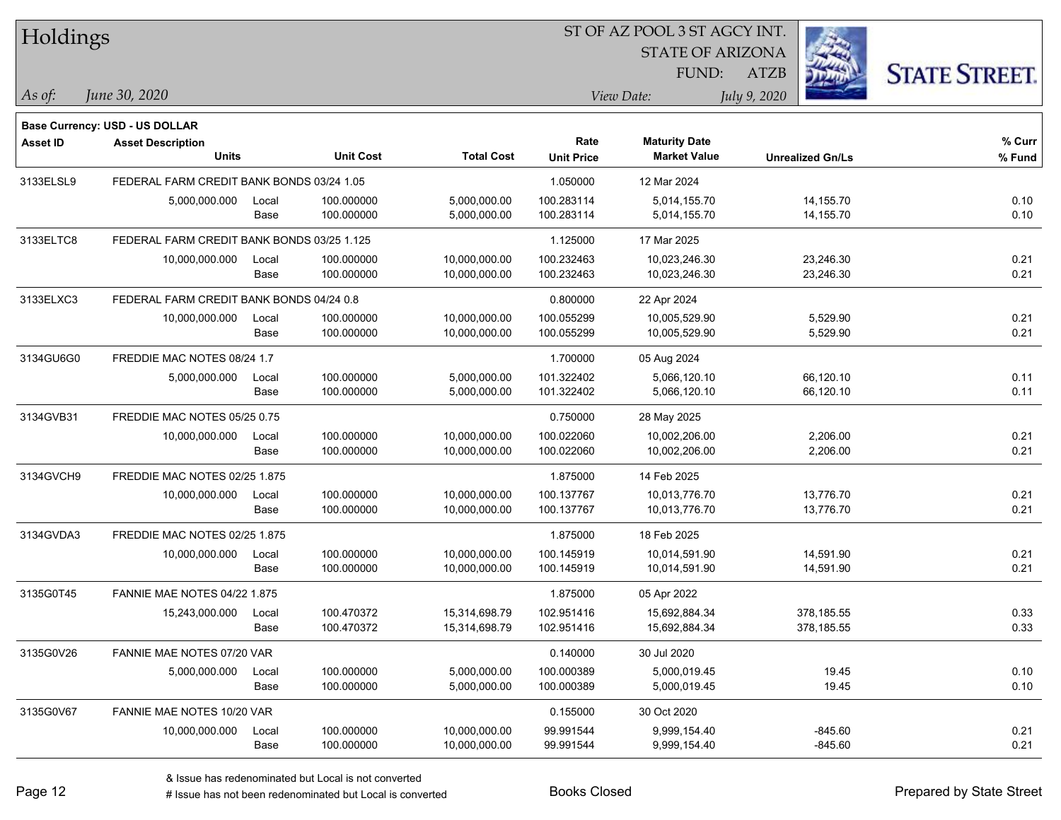| Holdings        |                                            |       |                  |                   |                   | ST OF AZ POOL 3 ST AGCY INT. |                         |           |                      |
|-----------------|--------------------------------------------|-------|------------------|-------------------|-------------------|------------------------------|-------------------------|-----------|----------------------|
|                 |                                            |       |                  |                   |                   | <b>STATE OF ARIZONA</b>      |                         |           |                      |
|                 |                                            |       |                  |                   |                   | FUND:                        | <b>ATZB</b>             |           | <b>STATE STREET.</b> |
| $\vert$ As of:  | June 30, 2020                              |       |                  |                   |                   | View Date:                   | July 9, 2020            |           |                      |
|                 | <b>Base Currency: USD - US DOLLAR</b>      |       |                  |                   |                   |                              |                         |           |                      |
| <b>Asset ID</b> | <b>Asset Description</b>                   |       |                  |                   | Rate              | <b>Maturity Date</b>         |                         |           | % Curr               |
|                 | <b>Units</b>                               |       | <b>Unit Cost</b> | <b>Total Cost</b> | <b>Unit Price</b> | <b>Market Value</b>          | <b>Unrealized Gn/Ls</b> |           | % Fund               |
| 3133ELSL9       | FEDERAL FARM CREDIT BANK BONDS 03/24 1.05  |       |                  |                   | 1.050000          | 12 Mar 2024                  |                         |           |                      |
|                 | 5,000,000.000                              | Local | 100.000000       | 5,000,000.00      | 100.283114        | 5,014,155.70                 | 14,155.70               |           | 0.10                 |
|                 |                                            | Base  | 100.000000       | 5,000,000.00      | 100.283114        | 5,014,155.70                 | 14,155.70               |           | 0.10                 |
| 3133ELTC8       | FEDERAL FARM CREDIT BANK BONDS 03/25 1.125 |       |                  |                   | 1.125000          | 17 Mar 2025                  |                         |           |                      |
|                 | 10,000,000.000                             | Local | 100.000000       | 10,000,000.00     | 100.232463        | 10,023,246.30                | 23,246.30               |           | 0.21                 |
|                 |                                            | Base  | 100.000000       | 10,000,000.00     | 100.232463        | 10,023,246.30                | 23,246.30               |           | 0.21                 |
| 3133ELXC3       | FEDERAL FARM CREDIT BANK BONDS 04/24 0.8   |       |                  |                   | 0.800000          | 22 Apr 2024                  |                         |           |                      |
|                 | 10,000,000.000                             | Local | 100.000000       | 10,000,000.00     | 100.055299        | 10,005,529.90                | 5,529.90                |           | 0.21                 |
|                 |                                            | Base  | 100.000000       | 10,000,000.00     | 100.055299        | 10,005,529.90                | 5,529.90                |           | 0.21                 |
| 3134GU6G0       | FREDDIE MAC NOTES 08/24 1.7                |       |                  |                   | 1.700000          | 05 Aug 2024                  |                         |           |                      |
|                 | 5,000,000.000                              | Local | 100.000000       | 5,000,000.00      | 101.322402        | 5,066,120.10                 | 66,120.10               |           | 0.11                 |
|                 |                                            | Base  | 100.000000       | 5,000,000.00      | 101.322402        | 5,066,120.10                 | 66,120.10               |           | 0.11                 |
| 3134GVB31       | FREDDIE MAC NOTES 05/25 0.75               |       |                  |                   | 0.750000          | 28 May 2025                  |                         |           |                      |
|                 | 10,000,000.000                             | Local | 100.000000       | 10,000,000.00     | 100.022060        | 10,002,206.00                | 2,206.00                |           | 0.21                 |
|                 |                                            | Base  | 100.000000       | 10,000,000.00     | 100.022060        | 10,002,206.00                | 2,206.00                |           | 0.21                 |
| 3134GVCH9       | FREDDIE MAC NOTES 02/25 1.875              |       |                  |                   | 1.875000          | 14 Feb 2025                  |                         |           |                      |
|                 | 10,000,000.000                             | Local | 100.000000       | 10,000,000.00     | 100.137767        | 10,013,776.70                | 13,776.70               |           | 0.21                 |
|                 |                                            | Base  | 100.000000       | 10,000,000.00     | 100.137767        | 10,013,776.70                | 13,776.70               |           | 0.21                 |
| 3134GVDA3       | FREDDIE MAC NOTES 02/25 1.875              |       |                  |                   | 1.875000          | 18 Feb 2025                  |                         |           |                      |
|                 | 10,000,000.000                             | Local | 100.000000       | 10,000,000.00     | 100.145919        | 10,014,591.90                | 14,591.90               |           | 0.21                 |
|                 |                                            | Base  | 100.000000       | 10,000,000.00     | 100.145919        | 10,014,591.90                | 14,591.90               |           | 0.21                 |
| 3135G0T45       | <b>FANNIE MAE NOTES 04/22 1.875</b>        |       |                  |                   | 1.875000          | 05 Apr 2022                  |                         |           |                      |
|                 | 15,243,000.000                             | Local | 100.470372       | 15,314,698.79     | 102.951416        | 15,692,884.34                | 378,185.55              |           | 0.33                 |
|                 |                                            | Base  | 100.470372       | 15,314,698.79     | 102.951416        | 15,692,884.34                | 378,185.55              |           | 0.33                 |
| 3135G0V26       | FANNIE MAE NOTES 07/20 VAR                 |       |                  |                   | 0.140000          | 30 Jul 2020                  |                         |           |                      |
|                 | 5,000,000.000                              | Local | 100.000000       | 5,000,000.00      | 100.000389        | 5,000,019.45                 |                         | 19.45     | 0.10                 |
|                 |                                            | Base  | 100.000000       | 5,000,000.00      | 100.000389        | 5,000,019.45                 |                         | 19.45     | 0.10                 |
| 3135G0V67       | FANNIE MAE NOTES 10/20 VAR                 |       |                  |                   | 0.155000          | 30 Oct 2020                  |                         |           |                      |
|                 | 10,000,000.000                             | Local | 100.000000       | 10,000,000.00     | 99.991544         | 9,999,154.40                 |                         | $-845.60$ | 0.21                 |
|                 |                                            | Base  | 100.000000       | 10,000,000.00     | 99.991544         | 9,999,154.40                 |                         | $-845.60$ | 0.21                 |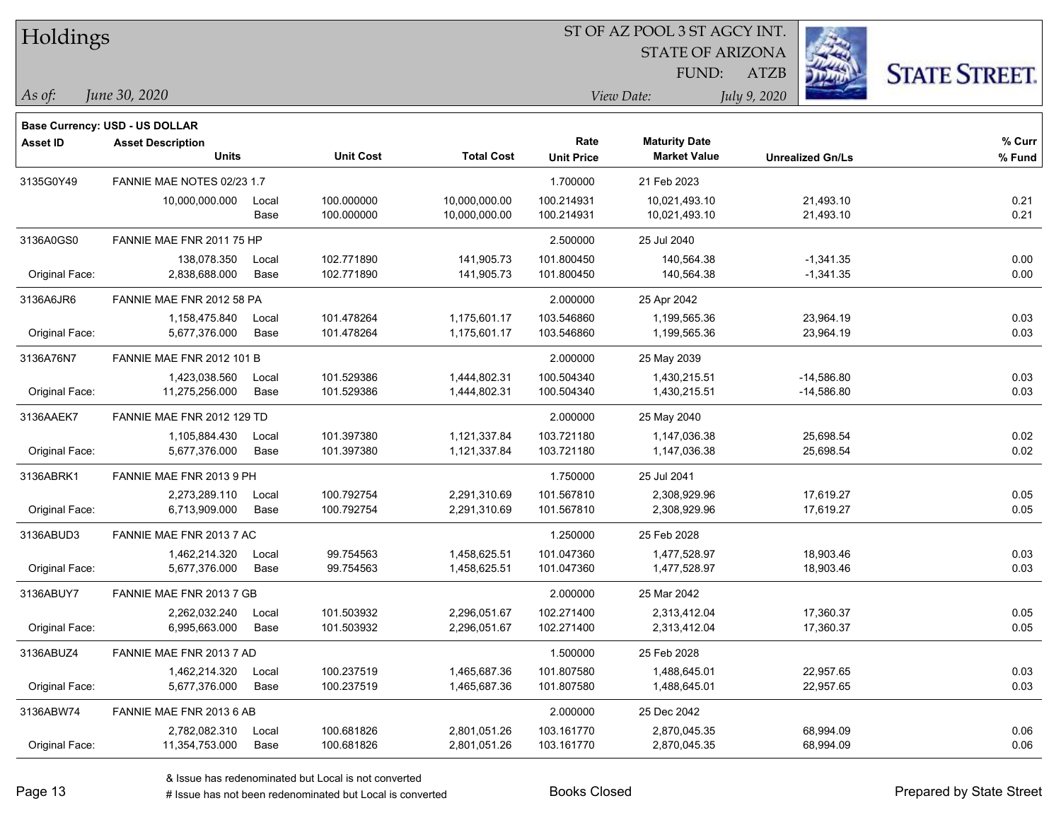| Holdings        |                                |       |                  |                   |                   | ST OF AZ POOL 3 ST AGCY INT. |                         |                      |
|-----------------|--------------------------------|-------|------------------|-------------------|-------------------|------------------------------|-------------------------|----------------------|
|                 |                                |       |                  |                   |                   | <b>STATE OF ARIZONA</b>      |                         |                      |
|                 |                                |       |                  |                   |                   | FUND:                        | <b>ATZB</b>             | <b>STATE STREET.</b> |
| $\vert$ As of:  | June 30, 2020                  |       |                  |                   |                   | View Date:                   | July 9, 2020            |                      |
|                 | Base Currency: USD - US DOLLAR |       |                  |                   |                   |                              |                         |                      |
| <b>Asset ID</b> | <b>Asset Description</b>       |       |                  |                   | Rate              | <b>Maturity Date</b>         |                         | % Curr               |
|                 | <b>Units</b>                   |       | <b>Unit Cost</b> | <b>Total Cost</b> | <b>Unit Price</b> | <b>Market Value</b>          | <b>Unrealized Gn/Ls</b> | % Fund               |
| 3135G0Y49       | FANNIE MAE NOTES 02/23 1.7     |       |                  |                   | 1.700000          | 21 Feb 2023                  |                         |                      |
|                 | 10,000,000.000                 | Local | 100.000000       | 10,000,000.00     | 100.214931        | 10,021,493.10                | 21,493.10               | 0.21                 |
|                 |                                | Base  | 100.000000       | 10,000,000.00     | 100.214931        | 10,021,493.10                | 21,493.10               | 0.21                 |
| 3136A0GS0       | FANNIE MAE FNR 2011 75 HP      |       |                  |                   | 2.500000          | 25 Jul 2040                  |                         |                      |
|                 | 138,078.350                    | Local | 102.771890       | 141,905.73        | 101.800450        | 140,564.38                   | $-1,341.35$             | 0.00                 |
| Original Face:  | 2,838,688.000                  | Base  | 102.771890       | 141,905.73        | 101.800450        | 140,564.38                   | $-1,341.35$             | 0.00                 |
| 3136A6JR6       | FANNIE MAE FNR 2012 58 PA      |       |                  |                   | 2.000000          | 25 Apr 2042                  |                         |                      |
|                 | 1,158,475.840                  | Local | 101.478264       | 1,175,601.17      | 103.546860        | 1,199,565.36                 | 23,964.19               | 0.03                 |
| Original Face:  | 5,677,376.000                  | Base  | 101.478264       | 1,175,601.17      | 103.546860        | 1,199,565.36                 | 23,964.19               | 0.03                 |
| 3136A76N7       | FANNIE MAE FNR 2012 101 B      |       |                  |                   | 2.000000          | 25 May 2039                  |                         |                      |
|                 | 1,423,038.560                  | Local | 101.529386       | 1,444,802.31      | 100.504340        | 1,430,215.51                 | $-14,586.80$            | 0.03                 |
| Original Face:  | 11,275,256.000                 | Base  | 101.529386       | 1,444,802.31      | 100.504340        | 1,430,215.51                 | $-14,586.80$            | 0.03                 |
| 3136AAEK7       | FANNIE MAE FNR 2012 129 TD     |       |                  |                   | 2.000000          | 25 May 2040                  |                         |                      |
|                 | 1,105,884.430                  | Local | 101.397380       | 1,121,337.84      | 103.721180        | 1,147,036.38                 | 25,698.54               | 0.02                 |
| Original Face:  | 5,677,376.000                  | Base  | 101.397380       | 1,121,337.84      | 103.721180        | 1,147,036.38                 | 25,698.54               | 0.02                 |
| 3136ABRK1       | FANNIE MAE FNR 2013 9 PH       |       |                  |                   | 1.750000          | 25 Jul 2041                  |                         |                      |
|                 | 2,273,289.110                  | Local | 100.792754       | 2,291,310.69      | 101.567810        | 2,308,929.96                 | 17,619.27               | 0.05                 |
| Original Face:  | 6,713,909.000                  | Base  | 100.792754       | 2,291,310.69      | 101.567810        | 2,308,929.96                 | 17,619.27               | 0.05                 |
| 3136ABUD3       | FANNIE MAE FNR 2013 7 AC       |       |                  |                   | 1.250000          | 25 Feb 2028                  |                         |                      |
|                 | 1,462,214.320                  | Local | 99.754563        | 1,458,625.51      | 101.047360        | 1,477,528.97                 | 18,903.46               | 0.03                 |
| Original Face:  | 5,677,376.000                  | Base  | 99.754563        | 1,458,625.51      | 101.047360        | 1,477,528.97                 | 18,903.46               | 0.03                 |
| 3136ABUY7       | FANNIE MAE FNR 2013 7 GB       |       |                  |                   | 2.000000          | 25 Mar 2042                  |                         |                      |
|                 | 2,262,032.240                  | Local | 101.503932       | 2,296,051.67      | 102.271400        | 2.313.412.04                 | 17,360.37               | 0.05                 |
| Original Face:  | 6,995,663.000                  | Base  | 101.503932       | 2,296,051.67      | 102.271400        | 2,313,412.04                 | 17,360.37               | 0.05                 |
| 3136ABUZ4       | FANNIE MAE FNR 2013 7 AD       |       |                  |                   | 1.500000          | 25 Feb 2028                  |                         |                      |
|                 | 1,462,214.320                  | Local | 100.237519       | 1,465,687.36      | 101.807580        | 1,488,645.01                 | 22,957.65               | 0.03                 |
| Original Face:  | 5,677,376.000                  | Base  | 100.237519       | 1,465,687.36      | 101.807580        | 1,488,645.01                 | 22,957.65               | 0.03                 |
| 3136ABW74       | FANNIE MAE FNR 2013 6 AB       |       |                  |                   | 2.000000          | 25 Dec 2042                  |                         |                      |
|                 | 2,782,082.310                  | Local | 100.681826       | 2,801,051.26      | 103.161770        | 2,870,045.35                 | 68,994.09               | 0.06                 |
| Original Face:  | 11,354,753.000                 | Base  | 100.681826       | 2,801,051.26      | 103.161770        | 2,870,045.35                 | 68,994.09               | 0.06                 |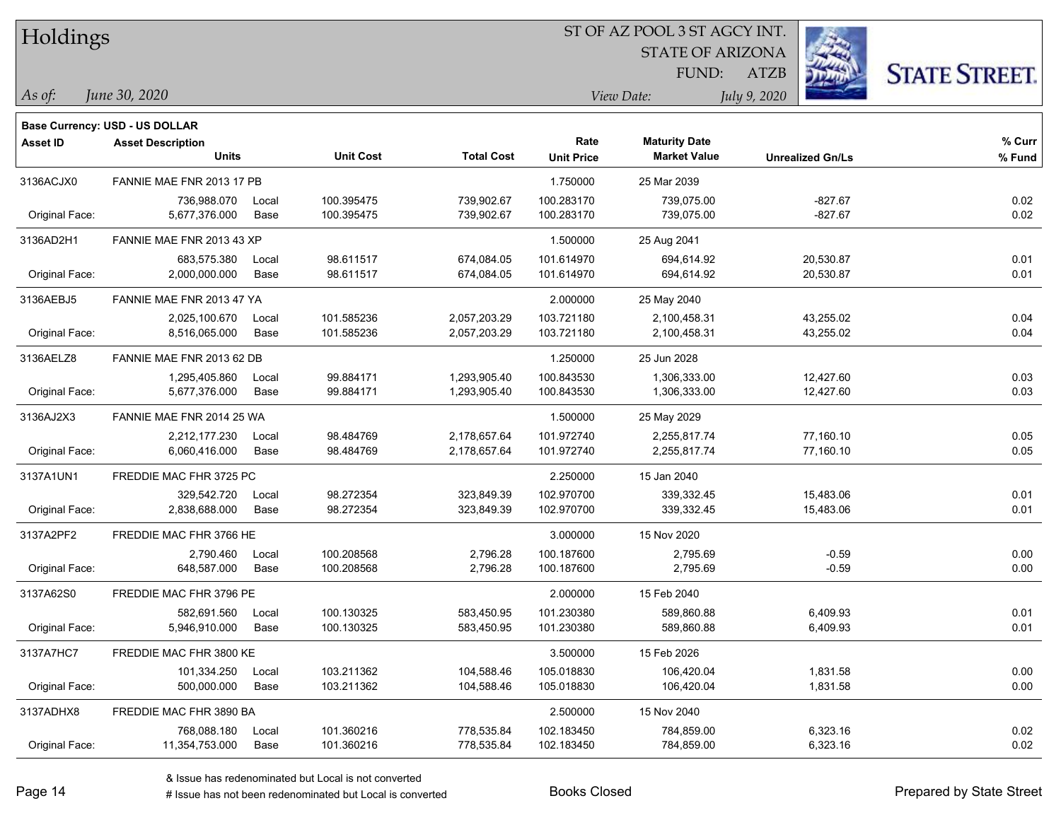| Holdings        |                                |       |                  |                   |                   |                         |                         |                      |
|-----------------|--------------------------------|-------|------------------|-------------------|-------------------|-------------------------|-------------------------|----------------------|
|                 |                                |       |                  |                   |                   | <b>STATE OF ARIZONA</b> |                         |                      |
|                 |                                |       |                  |                   |                   | FUND:                   | <b>ATZB</b>             | <b>STATE STREET.</b> |
| As of:          | June 30, 2020                  |       |                  |                   |                   | View Date:              | July 9, 2020            |                      |
|                 | Base Currency: USD - US DOLLAR |       |                  |                   |                   |                         |                         |                      |
| <b>Asset ID</b> | <b>Asset Description</b>       |       |                  |                   | Rate              | <b>Maturity Date</b>    |                         | % Curr               |
|                 | <b>Units</b>                   |       | <b>Unit Cost</b> | <b>Total Cost</b> | <b>Unit Price</b> | <b>Market Value</b>     | <b>Unrealized Gn/Ls</b> | % Fund               |
| 3136ACJX0       | FANNIE MAE FNR 2013 17 PB      |       |                  |                   | 1.750000          | 25 Mar 2039             |                         |                      |
|                 | 736,988.070                    | Local | 100.395475       | 739,902.67        | 100.283170        | 739,075.00              | $-827.67$               | 0.02                 |
| Original Face:  | 5,677,376.000                  | Base  | 100.395475       | 739,902.67        | 100.283170        | 739,075.00              | $-827.67$               | 0.02                 |
| 3136AD2H1       | FANNIE MAE FNR 2013 43 XP      |       |                  |                   | 1.500000          | 25 Aug 2041             |                         |                      |
|                 | 683,575.380                    | Local | 98.611517        | 674,084.05        | 101.614970        | 694,614.92              | 20,530.87               | 0.01                 |
| Original Face:  | 2,000,000.000                  | Base  | 98.611517        | 674,084.05        | 101.614970        | 694,614.92              | 20,530.87               | 0.01                 |
| 3136AEBJ5       | FANNIE MAE FNR 2013 47 YA      |       |                  |                   | 2.000000          | 25 May 2040             |                         |                      |
|                 | 2,025,100.670                  | Local | 101.585236       | 2,057,203.29      | 103.721180        | 2,100,458.31            | 43,255.02               | 0.04                 |
| Original Face:  | 8,516,065.000                  | Base  | 101.585236       | 2,057,203.29      | 103.721180        | 2,100,458.31            | 43,255.02               | 0.04                 |
| 3136AELZ8       | FANNIE MAE FNR 2013 62 DB      |       |                  |                   | 1.250000          | 25 Jun 2028             |                         |                      |
|                 | 1,295,405.860                  | Local | 99.884171        | 1,293,905.40      | 100.843530        | 1,306,333.00            | 12,427.60               | 0.03                 |
| Original Face:  | 5,677,376.000                  | Base  | 99.884171        | 1,293,905.40      | 100.843530        | 1,306,333.00            | 12,427.60               | 0.03                 |
| 3136AJ2X3       | FANNIE MAE FNR 2014 25 WA      |       |                  |                   | 1.500000          | 25 May 2029             |                         |                      |
|                 | 2,212,177.230                  | Local | 98.484769        | 2,178,657.64      | 101.972740        | 2,255,817.74            | 77,160.10               | 0.05                 |
| Original Face:  | 6,060,416.000                  | Base  | 98.484769        | 2,178,657.64      | 101.972740        | 2,255,817.74            | 77,160.10               | 0.05                 |
| 3137A1UN1       | FREDDIE MAC FHR 3725 PC        |       |                  |                   | 2.250000          | 15 Jan 2040             |                         |                      |
|                 | 329,542.720                    | Local | 98.272354        | 323,849.39        | 102.970700        | 339,332.45              | 15,483.06               | 0.01                 |
| Original Face:  | 2,838,688.000                  | Base  | 98.272354        | 323,849.39        | 102.970700        | 339,332.45              | 15,483.06               | 0.01                 |
| 3137A2PF2       | FREDDIE MAC FHR 3766 HE        |       |                  |                   | 3.000000          | 15 Nov 2020             |                         |                      |
|                 | 2.790.460                      | Local | 100.208568       | 2,796.28          | 100.187600        | 2,795.69                | $-0.59$                 | 0.00                 |
| Original Face:  | 648,587.000                    | Base  | 100.208568       | 2,796.28          | 100.187600        | 2,795.69                | $-0.59$                 | 0.00                 |
| 3137A62S0       | FREDDIE MAC FHR 3796 PE        |       |                  |                   | 2.000000          | 15 Feb 2040             |                         |                      |
|                 | 582,691.560                    | Local | 100.130325       | 583,450.95        | 101.230380        | 589,860.88              | 6,409.93                | 0.01                 |
| Original Face:  | 5,946,910.000                  | Base  | 100.130325       | 583,450.95        | 101.230380        | 589,860.88              | 6,409.93                | 0.01                 |
| 3137A7HC7       | FREDDIE MAC FHR 3800 KE        |       |                  |                   | 3.500000          | 15 Feb 2026             |                         |                      |
|                 | 101,334.250                    | Local | 103.211362       | 104,588.46        | 105.018830        | 106,420.04              | 1,831.58                | 0.00                 |
| Original Face:  | 500,000.000                    | Base  | 103.211362       | 104,588.46        | 105.018830        | 106,420.04              | 1,831.58                | 0.00                 |
| 3137ADHX8       | FREDDIE MAC FHR 3890 BA        |       |                  |                   | 2.500000          | 15 Nov 2040             |                         |                      |
|                 | 768,088.180                    | Local | 101.360216       | 778,535.84        | 102.183450        | 784,859.00              | 6,323.16                | 0.02                 |
| Original Face:  | 11,354,753.000                 | Base  | 101.360216       | 778,535.84        | 102.183450        | 784,859.00              | 6,323.16                | 0.02                 |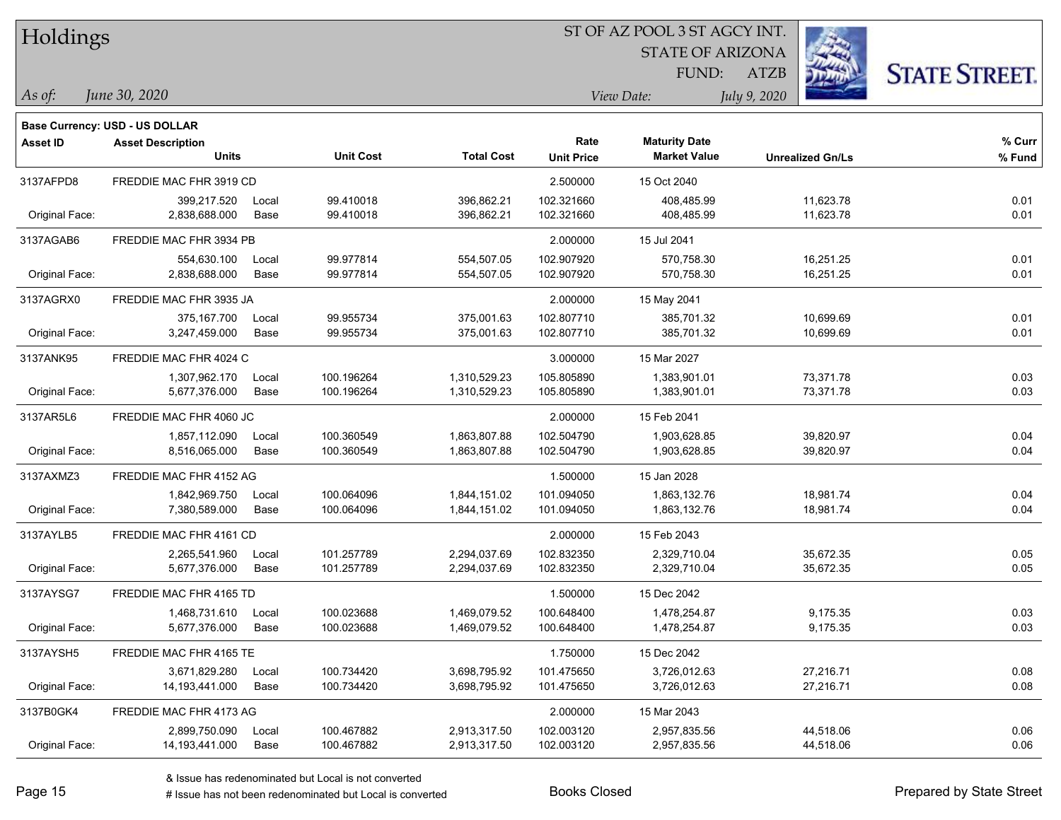| Holdings        |                                       |       |                  |                   |                   | <b>STATE OF ARIZONA</b><br>FUND: | <b>ATZB</b>             | <b>STATE STREET.</b> |
|-----------------|---------------------------------------|-------|------------------|-------------------|-------------------|----------------------------------|-------------------------|----------------------|
| As of:          | June 30, 2020                         |       |                  |                   |                   | View Date:                       | July 9, 2020            |                      |
|                 | <b>Base Currency: USD - US DOLLAR</b> |       |                  |                   |                   |                                  |                         |                      |
| <b>Asset ID</b> | <b>Asset Description</b>              |       |                  |                   | Rate              | <b>Maturity Date</b>             |                         | % Curr               |
|                 | <b>Units</b>                          |       | <b>Unit Cost</b> | <b>Total Cost</b> | <b>Unit Price</b> | <b>Market Value</b>              | <b>Unrealized Gn/Ls</b> | % Fund               |
| 3137AFPD8       | FREDDIE MAC FHR 3919 CD               |       |                  |                   | 2.500000          | 15 Oct 2040                      |                         |                      |
|                 | 399,217.520                           | Local | 99.410018        | 396,862.21        | 102.321660        | 408,485.99                       | 11,623.78               | 0.01                 |
| Original Face:  | 2,838,688.000                         | Base  | 99.410018        | 396,862.21        | 102.321660        | 408,485.99                       | 11,623.78               | 0.01                 |
| 3137AGAB6       | FREDDIE MAC FHR 3934 PB               |       |                  |                   | 2.000000          | 15 Jul 2041                      |                         |                      |
|                 | 554,630.100                           | Local | 99.977814        | 554,507.05        | 102.907920        | 570.758.30                       | 16,251.25               | 0.01                 |
| Original Face:  | 2,838,688.000                         | Base  | 99.977814        | 554,507.05        | 102.907920        | 570,758.30                       | 16,251.25               | 0.01                 |
| 3137AGRX0       | FREDDIE MAC FHR 3935 JA               |       |                  |                   | 2.000000          | 15 May 2041                      |                         |                      |
|                 | 375,167.700                           | Local | 99.955734        | 375,001.63        | 102.807710        | 385,701.32                       | 10,699.69               | 0.01                 |
| Original Face:  | 3,247,459.000                         | Base  | 99.955734        | 375,001.63        | 102.807710        | 385,701.32                       | 10,699.69               | 0.01                 |
| 3137ANK95       | FREDDIE MAC FHR 4024 C                |       |                  |                   | 3.000000          | 15 Mar 2027                      |                         |                      |
|                 | 1,307,962.170                         | Local | 100.196264       | 1,310,529.23      | 105.805890        | 1,383,901.01                     | 73,371.78               | 0.03                 |
| Original Face:  | 5,677,376.000                         | Base  | 100.196264       | 1,310,529.23      | 105.805890        | 1,383,901.01                     | 73,371.78               | 0.03                 |
| 3137AR5L6       | FREDDIE MAC FHR 4060 JC               |       |                  |                   | 2.000000          | 15 Feb 2041                      |                         |                      |
|                 | 1,857,112.090                         | Local | 100.360549       | 1,863,807.88      | 102.504790        | 1,903,628.85                     | 39,820.97               | 0.04                 |
| Original Face:  | 8,516,065.000                         | Base  | 100.360549       | 1,863,807.88      | 102.504790        | 1,903,628.85                     | 39,820.97               | 0.04                 |
| 3137AXMZ3       | FREDDIE MAC FHR 4152 AG               |       |                  |                   | 1.500000          | 15 Jan 2028                      |                         |                      |
|                 | 1,842,969.750                         | Local | 100.064096       | 1,844,151.02      | 101.094050        | 1,863,132.76                     | 18,981.74               | 0.04                 |
| Original Face:  | 7,380,589.000                         | Base  | 100.064096       | 1,844,151.02      | 101.094050        | 1,863,132.76                     | 18,981.74               | 0.04                 |
| 3137AYLB5       | FREDDIE MAC FHR 4161 CD               |       |                  |                   | 2.000000          | 15 Feb 2043                      |                         |                      |
|                 | 2,265,541.960                         | Local | 101.257789       | 2,294,037.69      | 102.832350        | 2,329,710.04                     | 35,672.35               | 0.05                 |
| Original Face:  | 5,677,376.000                         | Base  | 101.257789       | 2,294,037.69      | 102.832350        | 2,329,710.04                     | 35,672.35               | 0.05                 |
| 3137AYSG7       | FREDDIE MAC FHR 4165 TD               |       |                  |                   | 1.500000          | 15 Dec 2042                      |                         |                      |
|                 | 1,468,731.610                         | Local | 100.023688       | 1,469,079.52      | 100.648400        | 1,478,254.87                     | 9,175.35                | 0.03                 |
| Original Face:  | 5,677,376.000                         | Base  | 100.023688       | 1,469,079.52      | 100.648400        | 1,478,254.87                     | 9,175.35                | 0.03                 |
| 3137AYSH5       | FREDDIE MAC FHR 4165 TE               |       |                  |                   | 1.750000          | 15 Dec 2042                      |                         |                      |
|                 | 3,671,829.280                         | Local | 100.734420       | 3,698,795.92      | 101.475650        | 3,726,012.63                     | 27,216.71               | 0.08                 |
| Original Face:  | 14, 193, 441.000                      | Base  | 100.734420       | 3,698,795.92      | 101.475650        | 3,726,012.63                     | 27,216.71               | 0.08                 |
| 3137B0GK4       | FREDDIE MAC FHR 4173 AG               |       |                  |                   | 2.000000          | 15 Mar 2043                      |                         |                      |

2,899,750.090 Local 100.467882 2,913,317.50 102.003120 2,957,835.56 44,518.06 0.06

Original Face: 14,193,441.000 Base 100.467882 2,913,317.50 102.003120 2,957,835.56 44,518.06 0.06

ST OF AZ POOL 3 ST AGCY INT.

**COMPANY AND INCOME.** 

 $TT.1.1$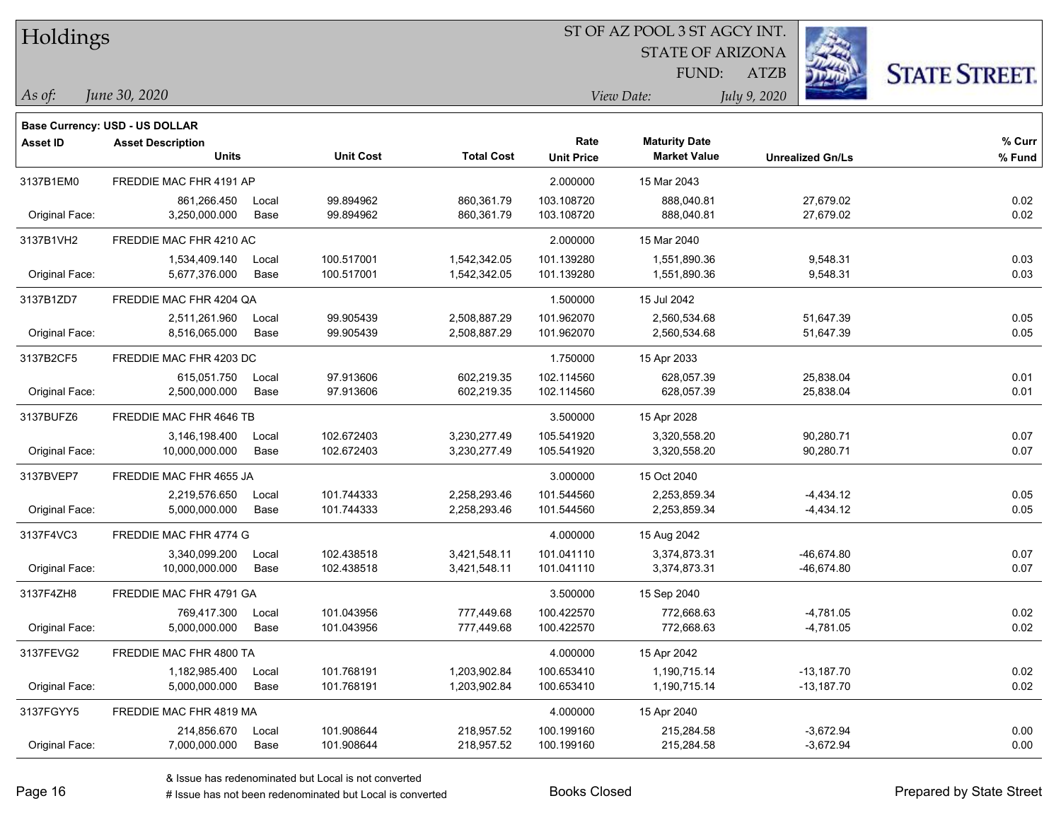| Holdings        |                                       |       |                  |                   |                   |                         |                         |                      |
|-----------------|---------------------------------------|-------|------------------|-------------------|-------------------|-------------------------|-------------------------|----------------------|
|                 |                                       |       |                  |                   |                   | <b>STATE OF ARIZONA</b> |                         |                      |
|                 |                                       |       |                  |                   |                   | FUND:                   | <b>ATZB</b>             | <b>STATE STREET.</b> |
| $\vert$ As of:  | June 30, 2020                         |       |                  |                   |                   | View Date:              | July 9, 2020            |                      |
|                 | <b>Base Currency: USD - US DOLLAR</b> |       |                  |                   |                   |                         |                         |                      |
| <b>Asset ID</b> | <b>Asset Description</b>              |       |                  |                   | Rate              | <b>Maturity Date</b>    |                         | $%$ Curr             |
|                 | <b>Units</b>                          |       | <b>Unit Cost</b> | <b>Total Cost</b> | <b>Unit Price</b> | <b>Market Value</b>     | <b>Unrealized Gn/Ls</b> | % Fund               |
| 3137B1EM0       | FREDDIE MAC FHR 4191 AP               |       |                  |                   | 2.000000          | 15 Mar 2043             |                         |                      |
|                 | 861,266.450                           | Local | 99.894962        | 860,361.79        | 103.108720        | 888,040.81              | 27,679.02               | 0.02                 |
| Original Face:  | 3,250,000.000                         | Base  | 99.894962        | 860,361.79        | 103.108720        | 888,040.81              | 27,679.02               | 0.02                 |
| 3137B1VH2       | FREDDIE MAC FHR 4210 AC               |       |                  |                   | 2.000000          | 15 Mar 2040             |                         |                      |
|                 | 1,534,409.140                         | Local | 100.517001       | 1,542,342.05      | 101.139280        | 1,551,890.36            | 9,548.31                | 0.03                 |
| Original Face:  | 5,677,376.000                         | Base  | 100.517001       | 1,542,342.05      | 101.139280        | 1,551,890.36            | 9,548.31                | 0.03                 |
| 3137B1ZD7       | FREDDIE MAC FHR 4204 QA               |       |                  |                   | 1.500000          | 15 Jul 2042             |                         |                      |
|                 | 2,511,261.960                         | Local | 99.905439        | 2,508,887.29      | 101.962070        | 2,560,534.68            | 51,647.39               | 0.05                 |
| Original Face:  | 8,516,065.000                         | Base  | 99.905439        | 2,508,887.29      | 101.962070        | 2,560,534.68            | 51,647.39               | 0.05                 |
| 3137B2CF5       | FREDDIE MAC FHR 4203 DC               |       |                  |                   | 1.750000          | 15 Apr 2033             |                         |                      |
|                 | 615,051.750                           | Local | 97.913606        | 602,219.35        | 102.114560        | 628,057.39              | 25,838.04               | 0.01                 |
| Original Face:  | 2,500,000.000                         | Base  | 97.913606        | 602,219.35        | 102.114560        | 628,057.39              | 25,838.04               | 0.01                 |
| 3137BUFZ6       | FREDDIE MAC FHR 4646 TB               |       |                  |                   | 3.500000          | 15 Apr 2028             |                         |                      |
|                 | 3,146,198.400                         | Local | 102.672403       | 3,230,277.49      | 105.541920        | 3,320,558.20            | 90,280.71               | 0.07                 |
| Original Face:  | 10,000,000.000                        | Base  | 102.672403       | 3,230,277.49      | 105.541920        | 3,320,558.20            | 90,280.71               | 0.07                 |
| 3137BVEP7       | FREDDIE MAC FHR 4655 JA               |       |                  |                   | 3.000000          | 15 Oct 2040             |                         |                      |
|                 | 2,219,576.650                         | Local | 101.744333       | 2,258,293.46      | 101.544560        | 2,253,859.34            | $-4,434.12$             | 0.05                 |
| Original Face:  | 5,000,000.000                         | Base  | 101.744333       | 2,258,293.46      | 101.544560        | 2,253,859.34            | $-4,434.12$             | 0.05                 |
| 3137F4VC3       | FREDDIE MAC FHR 4774 G                |       |                  |                   | 4.000000          | 15 Aug 2042             |                         |                      |
|                 | 3,340,099.200                         | Local | 102.438518       | 3,421,548.11      | 101.041110        | 3,374,873.31            | $-46,674.80$            | 0.07                 |
| Original Face:  | 10,000,000.000                        | Base  | 102.438518       | 3,421,548.11      | 101.041110        | 3,374,873.31            | -46,674.80              | 0.07                 |
| 3137F4ZH8       | FREDDIE MAC FHR 4791 GA               |       |                  |                   | 3.500000          | 15 Sep 2040             |                         |                      |
|                 | 769,417.300                           | Local | 101.043956       | 777,449.68        | 100.422570        | 772,668.63              | $-4,781.05$             | 0.02                 |
| Original Face:  | 5,000,000.000                         | Base  | 101.043956       | 777,449.68        | 100.422570        | 772,668.63              | $-4,781.05$             | 0.02                 |
| 3137FEVG2       | FREDDIE MAC FHR 4800 TA               |       |                  |                   | 4.000000          | 15 Apr 2042             |                         |                      |
|                 | 1,182,985.400                         | Local | 101.768191       | 1,203,902.84      | 100.653410        | 1,190,715.14            | $-13,187.70$            | 0.02                 |
| Original Face:  | 5,000,000.000                         | Base  | 101.768191       | 1,203,902.84      | 100.653410        | 1,190,715.14            | $-13,187.70$            | 0.02                 |
| 3137FGYY5       | FREDDIE MAC FHR 4819 MA               |       |                  |                   | 4.000000          | 15 Apr 2040             |                         |                      |
|                 | 214,856.670                           | Local | 101.908644       | 218,957.52        | 100.199160        | 215,284.58              | $-3,672.94$             | 0.00                 |
| Original Face:  | 7,000,000.000                         | Base  | 101.908644       | 218,957.52        | 100.199160        | 215,284.58              | $-3,672.94$             | 0.00                 |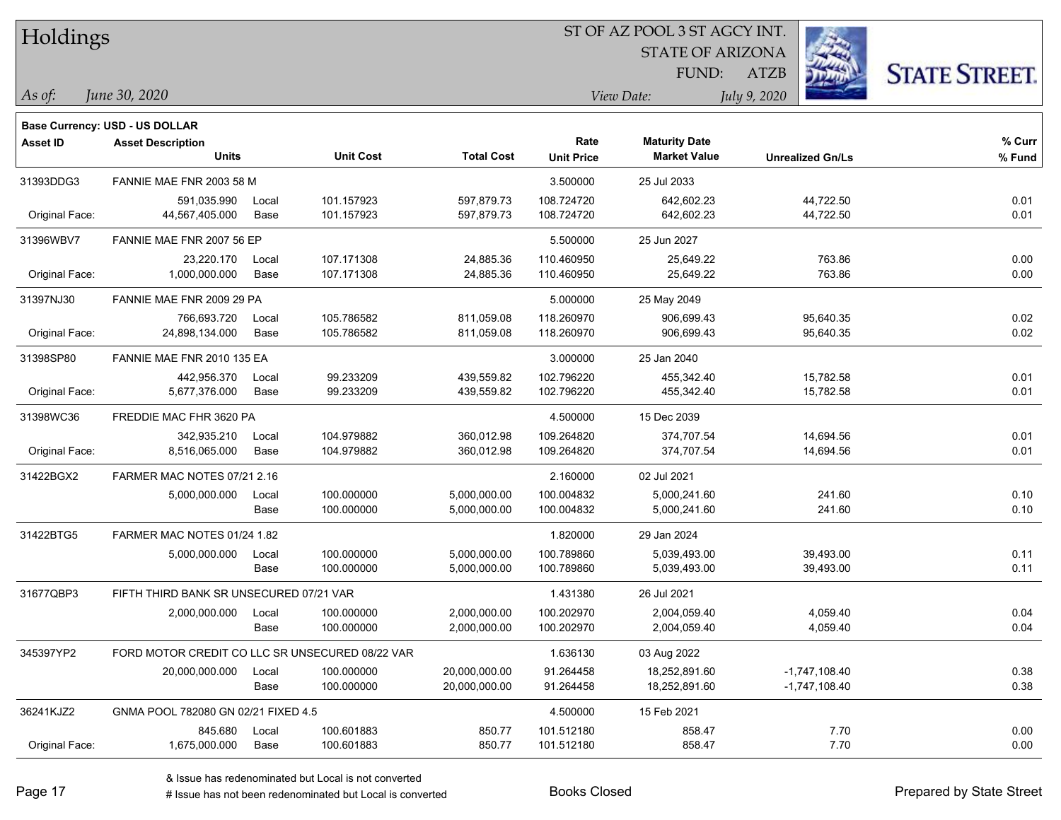| Holdings        |                                                 |       |                  |                   | ST OF AZ POOL 3 ST AGCY INT. |                         |                         |                      |
|-----------------|-------------------------------------------------|-------|------------------|-------------------|------------------------------|-------------------------|-------------------------|----------------------|
|                 |                                                 |       |                  |                   |                              | <b>STATE OF ARIZONA</b> |                         |                      |
|                 |                                                 |       |                  |                   |                              | FUND:                   | ATZB                    | <b>STATE STREET.</b> |
| As of:          | June 30, 2020                                   |       |                  |                   |                              | View Date:              | July 9, 2020            |                      |
|                 | <b>Base Currency: USD - US DOLLAR</b>           |       |                  |                   |                              |                         |                         |                      |
| <b>Asset ID</b> | <b>Asset Description</b>                        |       |                  |                   | Rate                         | <b>Maturity Date</b>    |                         | $%$ Curr             |
|                 | <b>Units</b>                                    |       | <b>Unit Cost</b> | <b>Total Cost</b> | <b>Unit Price</b>            | <b>Market Value</b>     | <b>Unrealized Gn/Ls</b> | % Fund               |
| 31393DDG3       | FANNIE MAE FNR 2003 58 M                        |       |                  |                   | 3.500000                     | 25 Jul 2033             |                         |                      |
|                 | 591,035.990                                     | Local | 101.157923       | 597,879.73        | 108.724720                   | 642,602.23              | 44,722.50               | 0.01                 |
| Original Face:  | 44,567,405.000                                  | Base  | 101.157923       | 597,879.73        | 108.724720                   | 642,602.23              | 44,722.50               | 0.01                 |
| 31396WBV7       | FANNIE MAE FNR 2007 56 EP                       |       |                  |                   | 5.500000                     | 25 Jun 2027             |                         |                      |
|                 | 23,220.170                                      | Local | 107.171308       | 24,885.36         | 110.460950                   | 25,649.22               | 763.86                  | 0.00                 |
| Original Face:  | 1,000,000.000                                   | Base  | 107.171308       | 24,885.36         | 110.460950                   | 25,649.22               | 763.86                  | 0.00                 |
| 31397NJ30       | FANNIE MAE FNR 2009 29 PA                       |       |                  |                   | 5.000000                     | 25 May 2049             |                         |                      |
|                 | 766,693.720                                     | Local | 105.786582       | 811,059.08        | 118.260970                   | 906,699.43              | 95,640.35               | 0.02                 |
| Original Face:  | 24,898,134.000                                  | Base  | 105.786582       | 811,059.08        | 118.260970                   | 906,699.43              | 95,640.35               | 0.02                 |
| 31398SP80       | FANNIE MAE FNR 2010 135 EA                      |       |                  |                   | 3.000000                     | 25 Jan 2040             |                         |                      |
|                 | 442,956.370                                     | Local | 99.233209        | 439,559.82        | 102.796220                   | 455,342.40              | 15,782.58               | 0.01                 |
| Original Face:  | 5,677,376.000                                   | Base  | 99.233209        | 439,559.82        | 102.796220                   | 455,342.40              | 15,782.58               | 0.01                 |
| 31398WC36       | FREDDIE MAC FHR 3620 PA                         |       |                  |                   | 4.500000                     | 15 Dec 2039             |                         |                      |
|                 | 342,935.210                                     | Local | 104.979882       | 360,012.98        | 109.264820                   | 374,707.54              | 14,694.56               | 0.01                 |
| Original Face:  | 8,516,065.000                                   | Base  | 104.979882       | 360,012.98        | 109.264820                   | 374,707.54              | 14,694.56               | 0.01                 |
| 31422BGX2       | FARMER MAC NOTES 07/21 2.16                     |       |                  |                   | 2.160000                     | 02 Jul 2021             |                         |                      |
|                 | 5,000,000.000                                   | Local | 100.000000       | 5,000,000.00      | 100.004832                   | 5,000,241.60            | 241.60                  | 0.10                 |
|                 |                                                 | Base  | 100.000000       | 5,000,000.00      | 100.004832                   | 5,000,241.60            | 241.60                  | 0.10                 |
| 31422BTG5       | FARMER MAC NOTES 01/24 1.82                     |       |                  |                   | 1.820000                     | 29 Jan 2024             |                         |                      |
|                 | 5,000,000.000                                   | Local | 100.000000       | 5,000,000.00      | 100.789860                   | 5,039,493.00            | 39,493.00               | 0.11                 |
|                 |                                                 | Base  | 100.000000       | 5,000,000.00      | 100.789860                   | 5,039,493.00            | 39,493.00               | 0.11                 |
| 31677QBP3       | FIFTH THIRD BANK SR UNSECURED 07/21 VAR         |       |                  |                   | 1.431380                     | 26 Jul 2021             |                         |                      |
|                 | 2,000,000.000                                   | Local | 100.000000       | 2,000,000.00      | 100.202970                   | 2,004,059.40            | 4,059.40                | 0.04                 |
|                 |                                                 | Base  | 100.000000       | 2,000,000.00      | 100.202970                   | 2,004,059.40            | 4,059.40                | 0.04                 |
| 345397YP2       | FORD MOTOR CREDIT CO LLC SR UNSECURED 08/22 VAR |       |                  |                   | 1.636130                     | 03 Aug 2022             |                         |                      |
|                 | 20,000,000.000                                  | Local | 100.000000       | 20,000,000.00     | 91.264458                    | 18,252,891.60           | $-1,747,108.40$         | 0.38                 |
|                 |                                                 | Base  | 100.000000       | 20,000,000.00     | 91.264458                    | 18,252,891.60           | $-1,747,108.40$         | 0.38                 |
| 36241KJZ2       | GNMA POOL 782080 GN 02/21 FIXED 4.5             |       |                  |                   | 4.500000                     | 15 Feb 2021             |                         |                      |
|                 | 845.680                                         | Local | 100.601883       | 850.77            | 101.512180                   | 858.47                  | 7.70                    | 0.00                 |
| Original Face:  | 1,675,000.000                                   | Base  | 100.601883       | 850.77            | 101.512180                   | 858.47                  | 7.70                    | 0.00                 |

 $\overline{\phantom{0}}$ 

 $\overline{\phantom{a}}$ 

 $\overline{\phantom{0}}$ 

 $\overline{\phantom{a}}$ 

 $\overline{\phantom{0}}$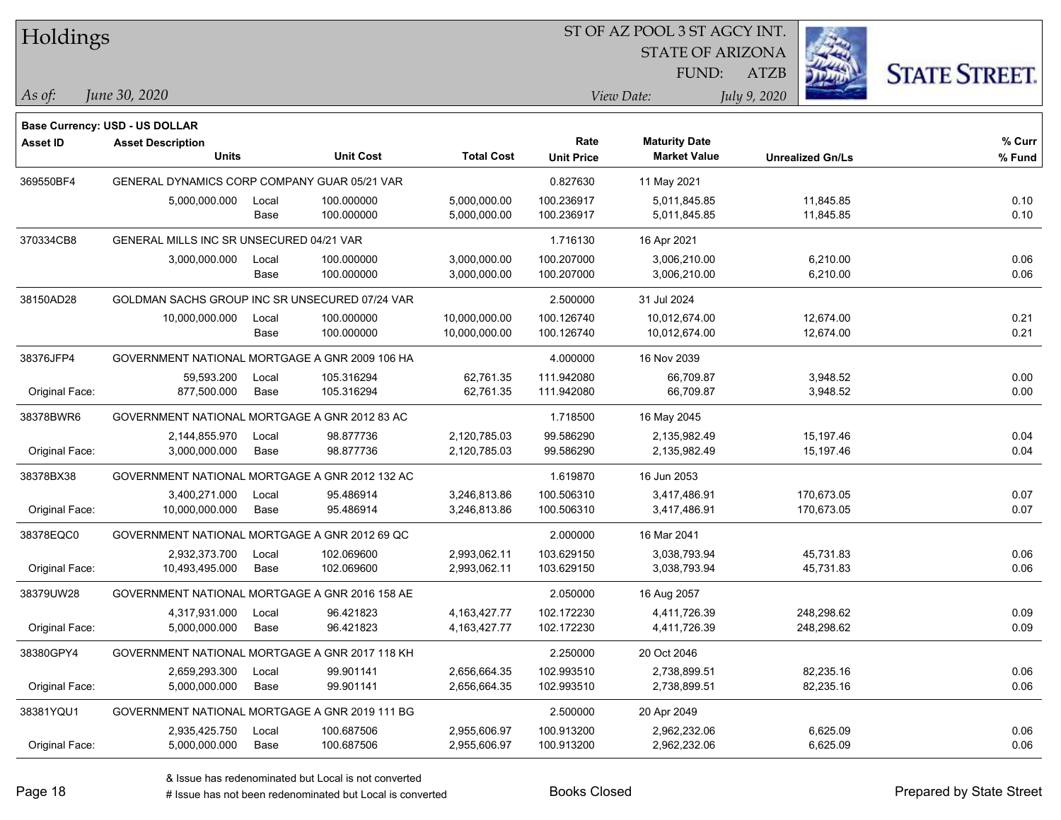| Holdings        |                                                |       |                  |                   | ST OF AZ POOL 3 ST AGCY INT. |                         |                         |            |                      |
|-----------------|------------------------------------------------|-------|------------------|-------------------|------------------------------|-------------------------|-------------------------|------------|----------------------|
|                 |                                                |       |                  |                   |                              | <b>STATE OF ARIZONA</b> |                         |            |                      |
|                 |                                                |       |                  |                   |                              | FUND:                   | <b>ATZB</b>             |            | <b>STATE STREET.</b> |
| As of:          | June 30, 2020                                  |       |                  |                   |                              | View Date:              | July 9, 2020            |            |                      |
|                 | <b>Base Currency: USD - US DOLLAR</b>          |       |                  |                   |                              |                         |                         |            |                      |
| <b>Asset ID</b> | <b>Asset Description</b>                       |       |                  |                   | Rate                         | <b>Maturity Date</b>    |                         |            | % Curr               |
|                 | <b>Units</b>                                   |       | <b>Unit Cost</b> | <b>Total Cost</b> | <b>Unit Price</b>            | <b>Market Value</b>     | <b>Unrealized Gn/Ls</b> |            | % Fund               |
| 369550BF4       | GENERAL DYNAMICS CORP COMPANY GUAR 05/21 VAR   |       |                  |                   | 0.827630                     | 11 May 2021             |                         |            |                      |
|                 | 5,000,000.000                                  | Local | 100.000000       | 5,000,000.00      | 100.236917                   | 5,011,845.85            |                         | 11,845.85  | 0.10                 |
|                 |                                                | Base  | 100.000000       | 5,000,000.00      | 100.236917                   | 5,011,845.85            |                         | 11,845.85  | 0.10                 |
| 370334CB8       | GENERAL MILLS INC SR UNSECURED 04/21 VAR       |       |                  |                   | 1.716130                     | 16 Apr 2021             |                         |            |                      |
|                 | 3,000,000.000                                  | Local | 100.000000       | 3,000,000.00      | 100.207000                   | 3,006,210.00            |                         | 6,210.00   | 0.06                 |
|                 |                                                | Base  | 100.000000       | 3,000,000.00      | 100.207000                   | 3,006,210.00            |                         | 6,210.00   | 0.06                 |
| 38150AD28       | GOLDMAN SACHS GROUP INC SR UNSECURED 07/24 VAR |       |                  |                   | 2.500000                     | 31 Jul 2024             |                         |            |                      |
|                 | 10,000,000.000                                 | Local | 100.000000       | 10,000,000.00     | 100.126740                   | 10,012,674.00           |                         | 12,674.00  | 0.21                 |
|                 |                                                | Base  | 100.000000       | 10,000,000.00     | 100.126740                   | 10,012,674.00           |                         | 12,674.00  | 0.21                 |
| 38376JFP4       | GOVERNMENT NATIONAL MORTGAGE A GNR 2009 106 HA |       |                  |                   | 4.000000                     | 16 Nov 2039             |                         |            |                      |
|                 | 59,593.200                                     | Local | 105.316294       | 62,761.35         | 111.942080                   | 66,709.87               |                         | 3,948.52   | 0.00                 |
| Original Face:  | 877,500.000                                    | Base  | 105.316294       | 62,761.35         | 111.942080                   | 66,709.87               |                         | 3,948.52   | 0.00                 |
| 38378BWR6       | GOVERNMENT NATIONAL MORTGAGE A GNR 2012 83 AC  |       |                  |                   | 1.718500                     | 16 May 2045             |                         |            |                      |
|                 | 2,144,855.970                                  | Local | 98.877736        | 2,120,785.03      | 99.586290                    | 2,135,982.49            |                         | 15,197.46  | 0.04                 |
| Original Face:  | 3,000,000.000                                  | Base  | 98.877736        | 2,120,785.03      | 99.586290                    | 2,135,982.49            |                         | 15,197.46  | 0.04                 |
| 38378BX38       | GOVERNMENT NATIONAL MORTGAGE A GNR 2012 132 AC |       |                  |                   | 1.619870                     | 16 Jun 2053             |                         |            |                      |
|                 | 3,400,271.000                                  | Local | 95.486914        | 3,246,813.86      | 100.506310                   | 3,417,486.91            |                         | 170,673.05 | 0.07                 |
| Original Face:  | 10,000,000.000                                 | Base  | 95.486914        | 3,246,813.86      | 100.506310                   | 3,417,486.91            |                         | 170,673.05 | 0.07                 |
| 38378EQC0       | GOVERNMENT NATIONAL MORTGAGE A GNR 2012 69 QC  |       |                  |                   | 2.000000                     | 16 Mar 2041             |                         |            |                      |
|                 | 2,932,373.700                                  | Local | 102.069600       | 2,993,062.11      | 103.629150                   | 3,038,793.94            |                         | 45,731.83  | 0.06                 |
| Original Face:  | 10,493,495.000                                 | Base  | 102.069600       | 2,993,062.11      | 103.629150                   | 3,038,793.94            |                         | 45,731.83  | 0.06                 |
| 38379UW28       | GOVERNMENT NATIONAL MORTGAGE A GNR 2016 158 AE |       |                  |                   | 2.050000                     | 16 Aug 2057             |                         |            |                      |
|                 | 4,317,931.000                                  | Local | 96.421823        | 4, 163, 427. 77   | 102.172230                   | 4,411,726.39            |                         | 248,298.62 | 0.09                 |
| Original Face:  | 5,000,000.000                                  | Base  | 96.421823        | 4, 163, 427. 77   | 102.172230                   | 4,411,726.39            |                         | 248,298.62 | 0.09                 |
| 38380GPY4       | GOVERNMENT NATIONAL MORTGAGE A GNR 2017 118 KH |       |                  |                   | 2.250000                     | 20 Oct 2046             |                         |            |                      |
|                 | 2,659,293.300                                  | Local | 99.901141        | 2,656,664.35      | 102.993510                   | 2,738,899.51            |                         | 82,235.16  | 0.06                 |
| Original Face:  | 5,000,000.000                                  | Base  | 99.901141        | 2,656,664.35      | 102.993510                   | 2,738,899.51            |                         | 82,235.16  | 0.06                 |
| 38381YQU1       | GOVERNMENT NATIONAL MORTGAGE A GNR 2019 111 BG |       |                  |                   | 2.500000                     | 20 Apr 2049             |                         |            |                      |
|                 | 2,935,425.750                                  | Local | 100.687506       | 2,955,606.97      | 100.913200                   | 2,962,232.06            |                         | 6,625.09   | 0.06                 |
| Original Face:  | 5,000,000.000                                  | Base  | 100.687506       | 2,955,606.97      | 100.913200                   | 2,962,232.06            |                         | 6,625.09   | 0.06                 |

 $\overline{\phantom{0}}$ 

 $\overline{\phantom{a}}$ 

 $\overline{\phantom{0}}$ 

 $\overline{\phantom{0}}$ 

 $\overline{\phantom{0}}$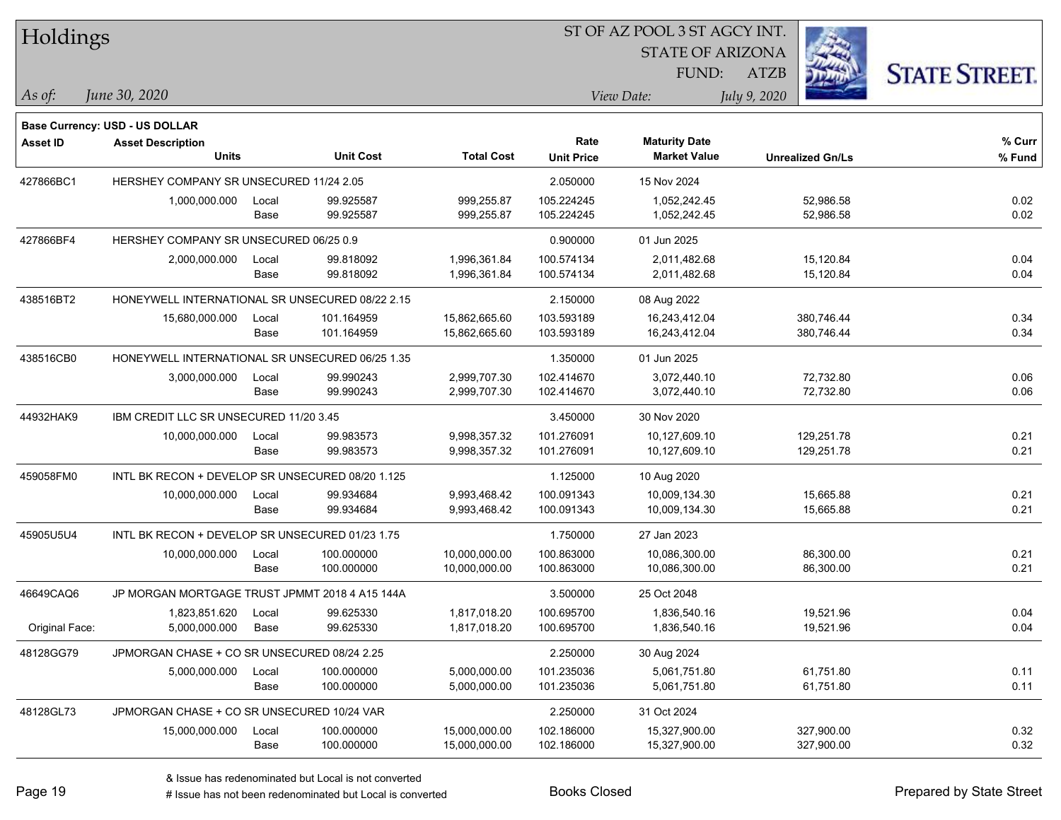| Holdings        |                                                  |       |            |                   | ST OF AZ POOL 3 ST AGCY INT. |                         |              |                         |                      |
|-----------------|--------------------------------------------------|-------|------------|-------------------|------------------------------|-------------------------|--------------|-------------------------|----------------------|
|                 |                                                  |       |            |                   |                              | <b>STATE OF ARIZONA</b> |              |                         |                      |
|                 |                                                  |       |            |                   |                              | FUND:                   | <b>ATZB</b>  |                         | <b>STATE STREET.</b> |
| As of:          | June 30, 2020                                    |       |            |                   |                              | View Date:              | July 9, 2020 |                         |                      |
|                 | Base Currency: USD - US DOLLAR                   |       |            |                   |                              |                         |              |                         |                      |
| <b>Asset ID</b> | <b>Asset Description</b>                         |       |            |                   | Rate                         | <b>Maturity Date</b>    |              |                         | % Curr               |
|                 | <b>Units</b>                                     |       | Unit Cost  | <b>Total Cost</b> | <b>Unit Price</b>            | <b>Market Value</b>     |              | <b>Unrealized Gn/Ls</b> | % Fund               |
| 427866BC1       | HERSHEY COMPANY SR UNSECURED 11/24 2.05          |       |            |                   | 2.050000                     | 15 Nov 2024             |              |                         |                      |
|                 | 1,000,000.000                                    | Local | 99.925587  | 999,255.87        | 105.224245                   | 1,052,242.45            |              | 52,986.58               | 0.02                 |
|                 |                                                  | Base  | 99.925587  | 999,255.87        | 105.224245                   | 1,052,242.45            |              | 52,986.58               | 0.02                 |
| 427866BF4       | HERSHEY COMPANY SR UNSECURED 06/25 0.9           |       |            |                   | 0.900000                     | 01 Jun 2025             |              |                         |                      |
|                 | 2,000,000.000                                    | Local | 99.818092  | 1,996,361.84      | 100.574134                   | 2,011,482.68            |              | 15,120.84               | 0.04                 |
|                 |                                                  | Base  | 99.818092  | 1,996,361.84      | 100.574134                   | 2,011,482.68            |              | 15,120.84               | 0.04                 |
| 438516BT2       | HONEYWELL INTERNATIONAL SR UNSECURED 08/22 2.15  |       |            |                   | 2.150000                     | 08 Aug 2022             |              |                         |                      |
|                 | 15,680,000.000                                   | Local | 101.164959 | 15,862,665.60     | 103.593189                   | 16,243,412.04           |              | 380,746.44              | 0.34                 |
|                 |                                                  | Base  | 101.164959 | 15,862,665.60     | 103.593189                   | 16,243,412.04           |              | 380,746.44              | 0.34                 |
| 438516CB0       | HONEYWELL INTERNATIONAL SR UNSECURED 06/25 1.35  |       |            |                   | 1.350000                     | 01 Jun 2025             |              |                         |                      |
|                 | 3,000,000.000                                    | Local | 99.990243  | 2,999,707.30      | 102.414670                   | 3,072,440.10            |              | 72,732.80               | 0.06                 |
|                 |                                                  | Base  | 99.990243  | 2,999,707.30      | 102.414670                   | 3,072,440.10            |              | 72,732.80               | 0.06                 |
| 44932HAK9       | IBM CREDIT LLC SR UNSECURED 11/20 3.45           |       |            |                   | 3.450000                     | 30 Nov 2020             |              |                         |                      |
|                 | 10,000,000.000                                   | Local | 99.983573  | 9,998,357.32      | 101.276091                   | 10,127,609.10           |              | 129,251.78              | 0.21                 |
|                 |                                                  | Base  | 99.983573  | 9,998,357.32      | 101.276091                   | 10,127,609.10           |              | 129,251.78              | 0.21                 |
| 459058FM0       | INTL BK RECON + DEVELOP SR UNSECURED 08/20 1.125 |       |            |                   | 1.125000                     | 10 Aug 2020             |              |                         |                      |
|                 | 10,000,000.000                                   | Local | 99.934684  | 9,993,468.42      | 100.091343                   | 10,009,134.30           |              | 15,665.88               | 0.21                 |
|                 |                                                  | Base  | 99.934684  | 9,993,468.42      | 100.091343                   | 10,009,134.30           |              | 15,665.88               | 0.21                 |
| 45905U5U4       | INTL BK RECON + DEVELOP SR UNSECURED 01/23 1.75  |       |            |                   | 1.750000                     | 27 Jan 2023             |              |                         |                      |
|                 | 10,000,000.000                                   | Local | 100.000000 | 10,000,000.00     | 100.863000                   | 10,086,300.00           |              | 86,300.00               | 0.21                 |
|                 |                                                  | Base  | 100.000000 | 10,000,000.00     | 100.863000                   | 10,086,300.00           |              | 86,300.00               | 0.21                 |
| 46649CAQ6       | JP MORGAN MORTGAGE TRUST JPMMT 2018 4 A15 144A   |       |            |                   | 3.500000                     | 25 Oct 2048             |              |                         |                      |
|                 | 1,823,851.620                                    | Local | 99.625330  | 1,817,018.20      | 100.695700                   | 1,836,540.16            |              | 19,521.96               | 0.04                 |
| Original Face:  | 5,000,000.000                                    | Base  | 99.625330  | 1,817,018.20      | 100.695700                   | 1,836,540.16            |              | 19,521.96               | 0.04                 |
| 48128GG79       | JPMORGAN CHASE + CO SR UNSECURED 08/24 2.25      |       |            |                   | 2.250000                     | 30 Aug 2024             |              |                         |                      |
|                 | 5,000,000.000                                    | Local | 100.000000 | 5,000,000.00      | 101.235036                   | 5,061,751.80            |              | 61,751.80               | 0.11                 |
|                 |                                                  | Base  | 100.000000 | 5,000,000.00      | 101.235036                   | 5,061,751.80            |              | 61,751.80               | 0.11                 |
| 48128GL73       | JPMORGAN CHASE + CO SR UNSECURED 10/24 VAR       |       |            |                   | 2.250000                     | 31 Oct 2024             |              |                         |                      |
|                 | 15,000,000.000                                   | Local | 100.000000 | 15,000,000.00     | 102.186000                   | 15,327,900.00           |              | 327,900.00              | 0.32                 |
|                 |                                                  | Base  | 100.000000 | 15,000,000.00     | 102.186000                   | 15,327,900.00           |              | 327,900.00              | 0.32                 |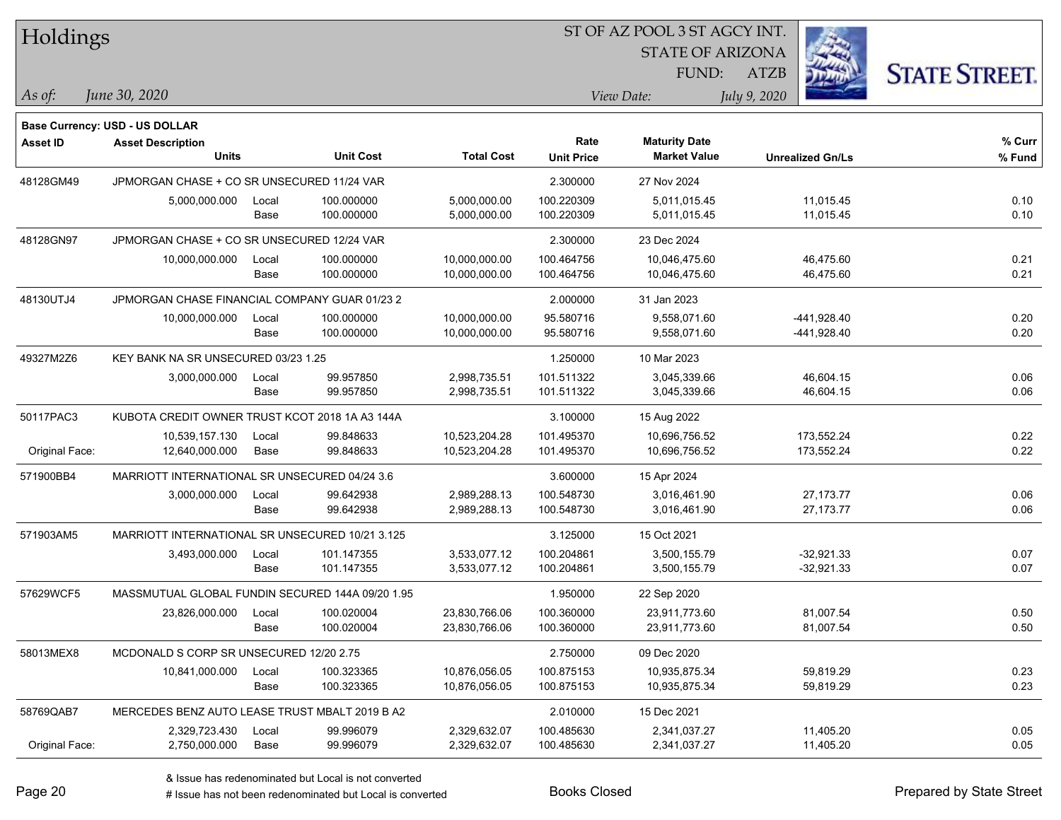| Holdings        |                                                  |       |                  |                   | 51 OF AZ POOL 3 51 AGCY INT. |                         |                         |                      |  |  |
|-----------------|--------------------------------------------------|-------|------------------|-------------------|------------------------------|-------------------------|-------------------------|----------------------|--|--|
|                 |                                                  |       |                  |                   |                              | <b>STATE OF ARIZONA</b> | Ż.                      |                      |  |  |
|                 |                                                  |       |                  |                   |                              | FUND:                   | ATZB                    | <b>STATE STREET.</b> |  |  |
| As of:          | June 30, 2020                                    |       |                  |                   |                              | View Date:              | July 9, 2020            |                      |  |  |
|                 |                                                  |       |                  |                   |                              |                         |                         |                      |  |  |
|                 | Base Currency: USD - US DOLLAR                   |       |                  |                   |                              |                         |                         |                      |  |  |
| <b>Asset ID</b> | <b>Asset Description</b>                         |       |                  |                   | Rate                         | <b>Maturity Date</b>    |                         | % Curr               |  |  |
|                 | <b>Units</b>                                     |       | <b>Unit Cost</b> | <b>Total Cost</b> | <b>Unit Price</b>            | <b>Market Value</b>     | <b>Unrealized Gn/Ls</b> | % Fund               |  |  |
| 48128GM49       | JPMORGAN CHASE + CO SR UNSECURED 11/24 VAR       |       |                  |                   | 2.300000                     | 27 Nov 2024             |                         |                      |  |  |
|                 | 5,000,000.000                                    | Local | 100.000000       | 5,000,000.00      | 100.220309                   | 5,011,015.45            | 11,015.45               | 0.10                 |  |  |
|                 |                                                  | Base  | 100.000000       | 5,000,000.00      | 100.220309                   | 5,011,015.45            | 11,015.45               | 0.10                 |  |  |
| 48128GN97       | JPMORGAN CHASE + CO SR UNSECURED 12/24 VAR       |       |                  |                   | 2.300000                     | 23 Dec 2024             |                         |                      |  |  |
|                 | 10,000,000.000                                   | Local | 100.000000       | 10,000,000.00     | 100.464756                   | 10,046,475.60           | 46,475.60               | 0.21                 |  |  |
|                 |                                                  | Base  | 100.000000       | 10,000,000.00     | 100.464756                   | 10,046,475.60           | 46,475.60               | 0.21                 |  |  |
| 48130UTJ4       | JPMORGAN CHASE FINANCIAL COMPANY GUAR 01/23 2    |       |                  |                   | 2.000000                     | 31 Jan 2023             |                         |                      |  |  |
|                 | 10,000,000.000                                   | Local | 100.000000       | 10,000,000.00     | 95.580716                    | 9,558,071.60            | -441,928.40             | 0.20                 |  |  |
|                 |                                                  | Base  | 100.000000       | 10,000,000.00     | 95.580716                    | 9,558,071.60            | -441,928.40             | 0.20                 |  |  |
| 49327M2Z6       | KEY BANK NA SR UNSECURED 03/23 1.25              |       |                  |                   | 1.250000                     | 10 Mar 2023             |                         |                      |  |  |
|                 | 3,000,000.000                                    | Local | 99.957850        | 2,998,735.51      | 101.511322                   | 3,045,339.66            | 46,604.15               | 0.06                 |  |  |
|                 |                                                  | Base  | 99.957850        | 2,998,735.51      | 101.511322                   | 3,045,339.66            | 46,604.15               | 0.06                 |  |  |
| 50117PAC3       | KUBOTA CREDIT OWNER TRUST KCOT 2018 1A A3 144A   |       |                  |                   | 3.100000                     | 15 Aug 2022             |                         |                      |  |  |
|                 | 10,539,157.130                                   | Local | 99.848633        | 10,523,204.28     | 101.495370                   | 10,696,756.52           | 173,552.24              | 0.22                 |  |  |
| Original Face:  | 12,640,000.000                                   | Base  | 99.848633        | 10,523,204.28     | 101.495370                   | 10,696,756.52           | 173,552.24              | 0.22                 |  |  |
| 571900BB4       | MARRIOTT INTERNATIONAL SR UNSECURED 04/24 3.6    |       |                  |                   | 3.600000                     | 15 Apr 2024             |                         |                      |  |  |
|                 | 3,000,000.000                                    | Local | 99.642938        | 2,989,288.13      | 100.548730                   | 3,016,461.90            | 27, 173. 77             | 0.06                 |  |  |
|                 |                                                  | Base  | 99.642938        | 2,989,288.13      | 100.548730                   | 3,016,461.90            | 27, 173. 77             | 0.06                 |  |  |
| 571903AM5       | MARRIOTT INTERNATIONAL SR UNSECURED 10/21 3.125  |       |                  |                   | 3.125000                     | 15 Oct 2021             |                         |                      |  |  |
|                 | 3,493,000.000                                    | Local | 101.147355       | 3,533,077.12      | 100.204861                   | 3,500,155.79            | $-32,921.33$            | 0.07                 |  |  |
|                 |                                                  | Base  | 101.147355       | 3,533,077.12      | 100.204861                   | 3,500,155.79            | $-32,921.33$            | 0.07                 |  |  |
| 57629WCF5       | MASSMUTUAL GLOBAL FUNDIN SECURED 144A 09/20 1.95 |       |                  |                   | 1.950000                     | 22 Sep 2020             |                         |                      |  |  |
|                 | 23,826,000.000                                   | Local | 100.020004       | 23,830,766.06     | 100.360000                   | 23,911,773.60           | 81,007.54               | 0.50                 |  |  |
|                 |                                                  | Base  | 100.020004       | 23,830,766.06     | 100.360000                   | 23,911,773.60           | 81,007.54               | 0.50                 |  |  |
| 58013MEX8       | MCDONALD S CORP SR UNSECURED 12/20 2.75          |       |                  |                   | 2.750000                     | 09 Dec 2020             |                         |                      |  |  |
|                 | 10,841,000.000                                   | Local | 100.323365       | 10,876,056.05     | 100.875153                   | 10,935,875.34           | 59,819.29               | 0.23                 |  |  |
|                 |                                                  | Base  | 100.323365       | 10,876,056.05     | 100.875153                   | 10,935,875.34           | 59,819.29               | 0.23                 |  |  |
| 58769QAB7       | MERCEDES BENZ AUTO LEASE TRUST MBALT 2019 B A2   |       |                  |                   | 2.010000                     | 15 Dec 2021             |                         |                      |  |  |
|                 | 2,329,723.430                                    | Local | 99.996079        | 2,329,632.07      | 100.485630                   | 2,341,037.27            | 11,405.20               | 0.05                 |  |  |
| Original Face:  | 2,750,000.000                                    | Base  | 99.996079        | 2,329,632.07      | 100.485630                   | 2,341,037.27            | 11,405.20               | 0.05                 |  |  |

ST OF A Z POOL 2 ST ACCV INT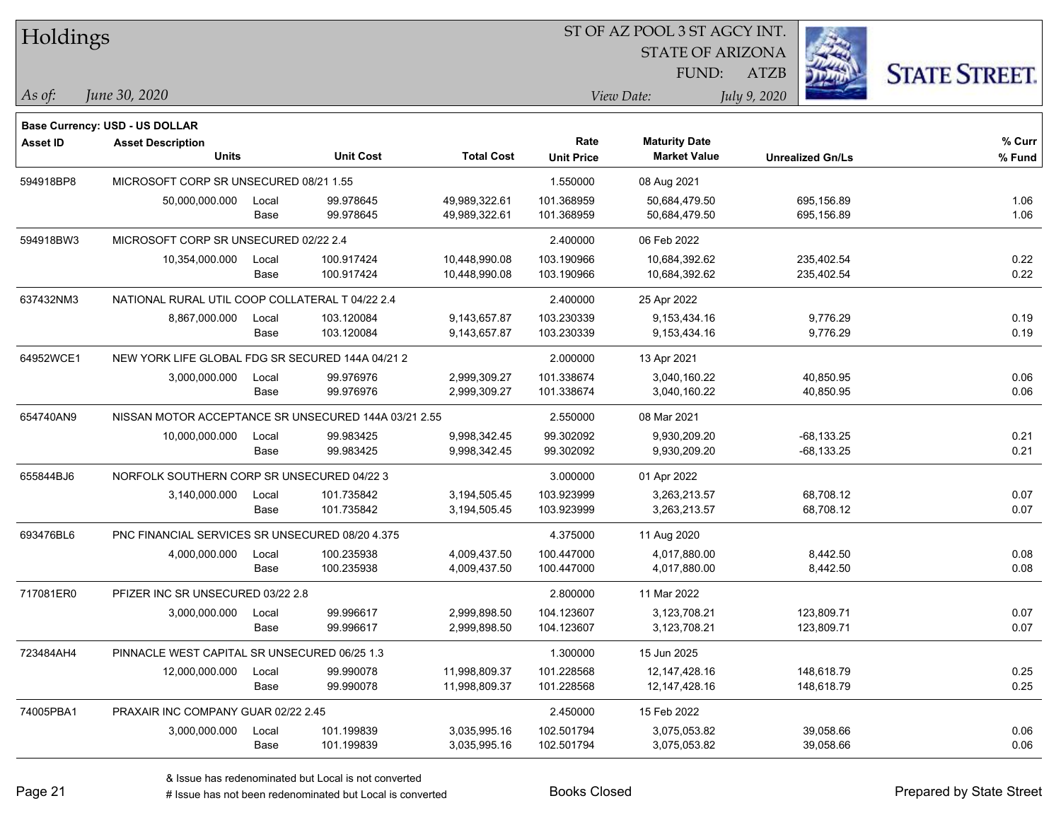| Holdings        |                                                      |       |                  |                   |                   | ST OF AZ POOL 3 ST AGCY INT. |                         |                      |
|-----------------|------------------------------------------------------|-------|------------------|-------------------|-------------------|------------------------------|-------------------------|----------------------|
|                 |                                                      |       |                  |                   |                   | <b>STATE OF ARIZONA</b>      |                         |                      |
|                 |                                                      |       |                  |                   |                   | FUND:                        | <b>ATZB</b>             | <b>STATE STREET.</b> |
| As of:          | June 30, 2020                                        |       |                  |                   |                   | View Date:                   | July 9, 2020            |                      |
|                 | Base Currency: USD - US DOLLAR                       |       |                  |                   |                   |                              |                         |                      |
| <b>Asset ID</b> | <b>Asset Description</b>                             |       |                  |                   | Rate              | <b>Maturity Date</b>         |                         | % Curr               |
|                 | <b>Units</b>                                         |       | <b>Unit Cost</b> | <b>Total Cost</b> | <b>Unit Price</b> | <b>Market Value</b>          | <b>Unrealized Gn/Ls</b> | % Fund               |
| 594918BP8       | MICROSOFT CORP SR UNSECURED 08/21 1.55               |       |                  |                   | 1.550000          | 08 Aug 2021                  |                         |                      |
|                 | 50,000,000.000                                       | Local | 99.978645        | 49.989.322.61     | 101.368959        | 50,684,479.50                | 695,156.89              | 1.06                 |
|                 |                                                      | Base  | 99.978645        | 49,989,322.61     | 101.368959        | 50,684,479.50                | 695,156.89              | 1.06                 |
| 594918BW3       | MICROSOFT CORP SR UNSECURED 02/22 2.4                |       |                  |                   | 2.400000          | 06 Feb 2022                  |                         |                      |
|                 | 10,354,000.000                                       | Local | 100.917424       | 10,448,990.08     | 103.190966        | 10,684,392.62                | 235,402.54              | 0.22                 |
|                 |                                                      | Base  | 100.917424       | 10,448,990.08     | 103.190966        | 10,684,392.62                | 235,402.54              | 0.22                 |
| 637432NM3       | NATIONAL RURAL UTIL COOP COLLATERAL T 04/22 2.4      |       |                  |                   | 2.400000          | 25 Apr 2022                  |                         |                      |
|                 | 8,867,000.000                                        | Local | 103.120084       | 9,143,657.87      | 103.230339        | 9,153,434.16                 | 9,776.29                | 0.19                 |
|                 |                                                      | Base  | 103.120084       | 9,143,657.87      | 103.230339        | 9,153,434.16                 | 9,776.29                | 0.19                 |
| 64952WCE1       | NEW YORK LIFE GLOBAL FDG SR SECURED 144A 04/21 2     |       |                  |                   | 2.000000          | 13 Apr 2021                  |                         |                      |
|                 | 3,000,000.000                                        | Local | 99.976976        | 2,999,309.27      | 101.338674        | 3,040,160.22                 | 40,850.95               | 0.06                 |
|                 |                                                      | Base  | 99.976976        | 2,999,309.27      | 101.338674        | 3,040,160.22                 | 40,850.95               | 0.06                 |
| 654740AN9       | NISSAN MOTOR ACCEPTANCE SR UNSECURED 144A 03/21 2.55 |       |                  |                   | 2.550000          | 08 Mar 2021                  |                         |                      |
|                 | 10,000,000.000                                       | Local | 99.983425        | 9,998,342.45      | 99.302092         | 9,930,209.20                 | $-68, 133.25$           | 0.21                 |
|                 |                                                      | Base  | 99.983425        | 9,998,342.45      | 99.302092         | 9,930,209.20                 | $-68, 133.25$           | 0.21                 |
| 655844BJ6       | NORFOLK SOUTHERN CORP SR UNSECURED 04/22 3           |       |                  |                   | 3.000000          | 01 Apr 2022                  |                         |                      |
|                 | 3,140,000.000                                        | Local | 101.735842       | 3,194,505.45      | 103.923999        | 3,263,213.57                 | 68,708.12               | 0.07                 |
|                 |                                                      | Base  | 101.735842       | 3,194,505.45      | 103.923999        | 3,263,213.57                 | 68,708.12               | 0.07                 |
| 693476BL6       | PNC FINANCIAL SERVICES SR UNSECURED 08/20 4.375      |       |                  |                   | 4.375000          | 11 Aug 2020                  |                         |                      |
|                 | 4,000,000.000                                        | Local | 100.235938       | 4,009,437.50      | 100.447000        | 4,017,880.00                 | 8,442.50                | 0.08                 |
|                 |                                                      | Base  | 100.235938       | 4,009,437.50      | 100.447000        | 4,017,880.00                 | 8,442.50                | 0.08                 |
| 717081ER0       | PFIZER INC SR UNSECURED 03/22 2.8                    |       |                  |                   | 2.800000          | 11 Mar 2022                  |                         |                      |
|                 | 3,000,000.000                                        | Local | 99.996617        | 2,999,898.50      | 104.123607        | 3,123,708.21                 | 123,809.71              | 0.07                 |
|                 |                                                      | Base  | 99.996617        | 2,999,898.50      | 104.123607        | 3,123,708.21                 | 123,809.71              | 0.07                 |
| 723484AH4       | PINNACLE WEST CAPITAL SR UNSECURED 06/25 1.3         |       |                  |                   | 1.300000          | 15 Jun 2025                  |                         |                      |
|                 | 12,000,000.000                                       | Local | 99.990078        | 11,998,809.37     | 101.228568        | 12,147,428.16                | 148,618.79              | 0.25                 |
|                 |                                                      | Base  | 99.990078        | 11,998,809.37     | 101.228568        | 12,147,428.16                | 148,618.79              | 0.25                 |
| 74005PBA1       | PRAXAIR INC COMPANY GUAR 02/22 2.45                  |       |                  |                   | 2.450000          | 15 Feb 2022                  |                         |                      |
|                 | 3,000,000.000                                        | Local | 101.199839       | 3,035,995.16      | 102.501794        | 3,075,053.82                 | 39,058.66               | 0.06                 |
|                 |                                                      | Base  | 101.199839       | 3,035,995.16      | 102.501794        | 3,075,053.82                 | 39,058.66               | 0.06                 |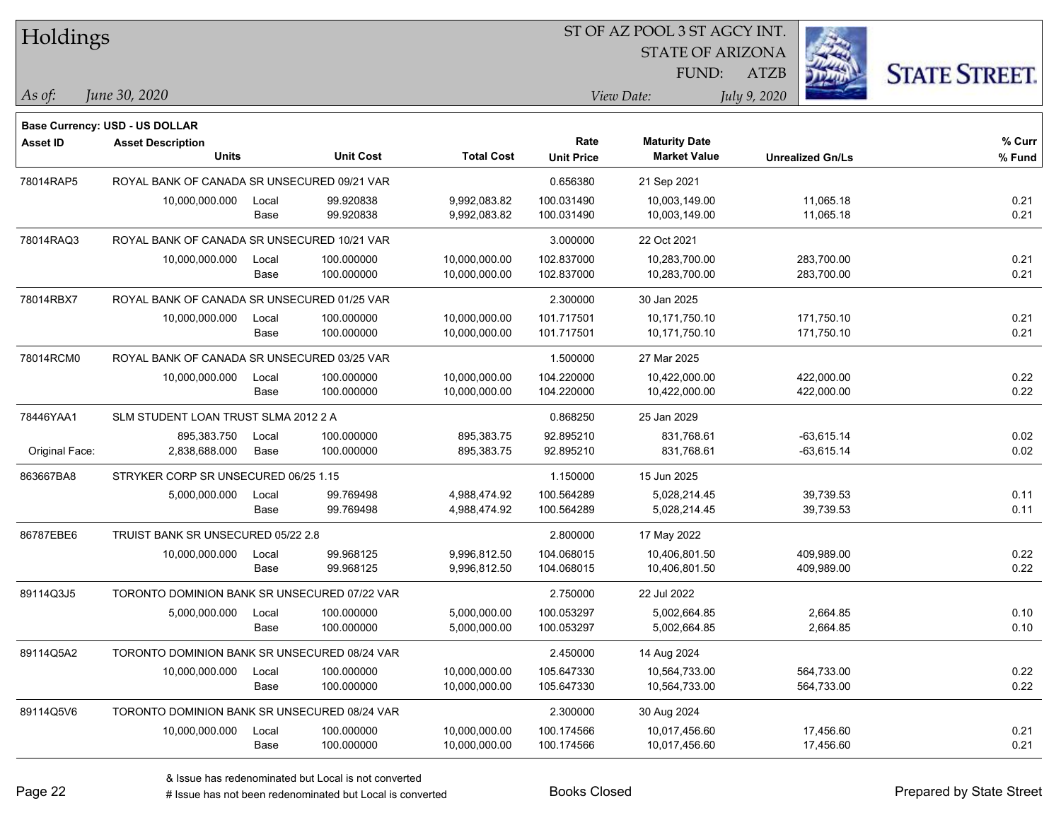| Holdings        |                                              |       |                  |                   |                   | ST OF AZ POOL 3 ST AGCY INT. |                         |                      |
|-----------------|----------------------------------------------|-------|------------------|-------------------|-------------------|------------------------------|-------------------------|----------------------|
|                 |                                              |       |                  |                   |                   | <b>STATE OF ARIZONA</b>      |                         |                      |
|                 |                                              |       |                  |                   |                   | FUND:                        | <b>ATZB</b>             | <b>STATE STREET.</b> |
| $\vert$ As of:  | June 30, 2020                                |       |                  |                   |                   | View Date:                   | July 9, 2020            |                      |
|                 | <b>Base Currency: USD - US DOLLAR</b>        |       |                  |                   |                   |                              |                         |                      |
| <b>Asset ID</b> | <b>Asset Description</b>                     |       |                  |                   | Rate              | <b>Maturity Date</b>         |                         | % Curr               |
|                 | <b>Units</b>                                 |       | <b>Unit Cost</b> | <b>Total Cost</b> | <b>Unit Price</b> | <b>Market Value</b>          | <b>Unrealized Gn/Ls</b> | % Fund               |
| 78014RAP5       | ROYAL BANK OF CANADA SR UNSECURED 09/21 VAR  |       |                  |                   | 0.656380          | 21 Sep 2021                  |                         |                      |
|                 | 10,000,000.000                               | Local | 99.920838        | 9,992,083.82      | 100.031490        | 10,003,149.00                | 11,065.18               | 0.21                 |
|                 |                                              | Base  | 99.920838        | 9,992,083.82      | 100.031490        | 10,003,149.00                | 11,065.18               | 0.21                 |
| 78014RAQ3       | ROYAL BANK OF CANADA SR UNSECURED 10/21 VAR  |       |                  |                   | 3.000000          | 22 Oct 2021                  |                         |                      |
|                 | 10,000,000.000                               | Local | 100.000000       | 10,000,000.00     | 102.837000        | 10,283,700.00                | 283,700.00              | 0.21                 |
|                 |                                              | Base  | 100.000000       | 10,000,000.00     | 102.837000        | 10,283,700.00                | 283,700.00              | 0.21                 |
| 78014RBX7       | ROYAL BANK OF CANADA SR UNSECURED 01/25 VAR  |       |                  |                   | 2.300000          | 30 Jan 2025                  |                         |                      |
|                 | 10,000,000.000                               | Local | 100.000000       | 10,000,000.00     | 101.717501        | 10,171,750.10                | 171,750.10              | 0.21                 |
|                 |                                              | Base  | 100.000000       | 10,000,000.00     | 101.717501        | 10,171,750.10                | 171,750.10              | 0.21                 |
| 78014RCM0       | ROYAL BANK OF CANADA SR UNSECURED 03/25 VAR  |       |                  |                   | 1.500000          | 27 Mar 2025                  |                         |                      |
|                 | 10,000,000.000                               | Local | 100.000000       | 10,000,000.00     | 104.220000        | 10,422,000.00                | 422,000.00              | 0.22                 |
|                 |                                              | Base  | 100.000000       | 10,000,000.00     | 104.220000        | 10,422,000.00                | 422,000.00              | 0.22                 |
| 78446YAA1       | SLM STUDENT LOAN TRUST SLMA 2012 2 A         |       |                  |                   | 0.868250          | 25 Jan 2029                  |                         |                      |
|                 | 895,383.750                                  | Local | 100.000000       | 895,383.75        | 92.895210         | 831,768.61                   | $-63,615.14$            | 0.02                 |
| Original Face:  | 2,838,688.000                                | Base  | 100.000000       | 895,383.75        | 92.895210         | 831,768.61                   | $-63,615.14$            | 0.02                 |
| 863667BA8       | STRYKER CORP SR UNSECURED 06/25 1.15         |       |                  |                   | 1.150000          | 15 Jun 2025                  |                         |                      |
|                 | 5,000,000.000                                | Local | 99.769498        | 4,988,474.92      | 100.564289        | 5,028,214.45                 | 39,739.53               | 0.11                 |
|                 |                                              | Base  | 99.769498        | 4,988,474.92      | 100.564289        | 5,028,214.45                 | 39,739.53               | 0.11                 |
| 86787EBE6       | TRUIST BANK SR UNSECURED 05/22 2.8           |       |                  |                   | 2.800000          | 17 May 2022                  |                         |                      |
|                 | 10,000,000.000                               | Local | 99.968125        | 9,996,812.50      | 104.068015        | 10,406,801.50                | 409,989.00              | 0.22                 |
|                 |                                              | Base  | 99.968125        | 9,996,812.50      | 104.068015        | 10,406,801.50                | 409,989.00              | 0.22                 |
| 89114Q3J5       | TORONTO DOMINION BANK SR UNSECURED 07/22 VAR |       |                  |                   | 2.750000          | 22 Jul 2022                  |                         |                      |
|                 | 5,000,000.000                                | Local | 100.000000       | 5,000,000.00      | 100.053297        | 5,002,664.85                 | 2,664.85                | 0.10                 |
|                 |                                              | Base  | 100.000000       | 5,000,000.00      | 100.053297        | 5,002,664.85                 | 2,664.85                | 0.10                 |
| 89114Q5A2       | TORONTO DOMINION BANK SR UNSECURED 08/24 VAR |       |                  |                   | 2.450000          | 14 Aug 2024                  |                         |                      |
|                 | 10,000,000.000                               | Local | 100.000000       | 10,000,000.00     | 105.647330        | 10,564,733.00                | 564,733.00              | 0.22                 |
|                 |                                              | Base  | 100.000000       | 10,000,000.00     | 105.647330        | 10,564,733.00                | 564,733.00              | 0.22                 |
| 89114Q5V6       | TORONTO DOMINION BANK SR UNSECURED 08/24 VAR |       |                  |                   | 2.300000          | 30 Aug 2024                  |                         |                      |
|                 | 10,000,000.000                               | Local | 100.000000       | 10,000,000.00     | 100.174566        | 10,017,456.60                | 17,456.60               | 0.21                 |
|                 |                                              | Base  | 100.000000       | 10,000,000.00     | 100.174566        | 10,017,456.60                | 17,456.60               | 0.21                 |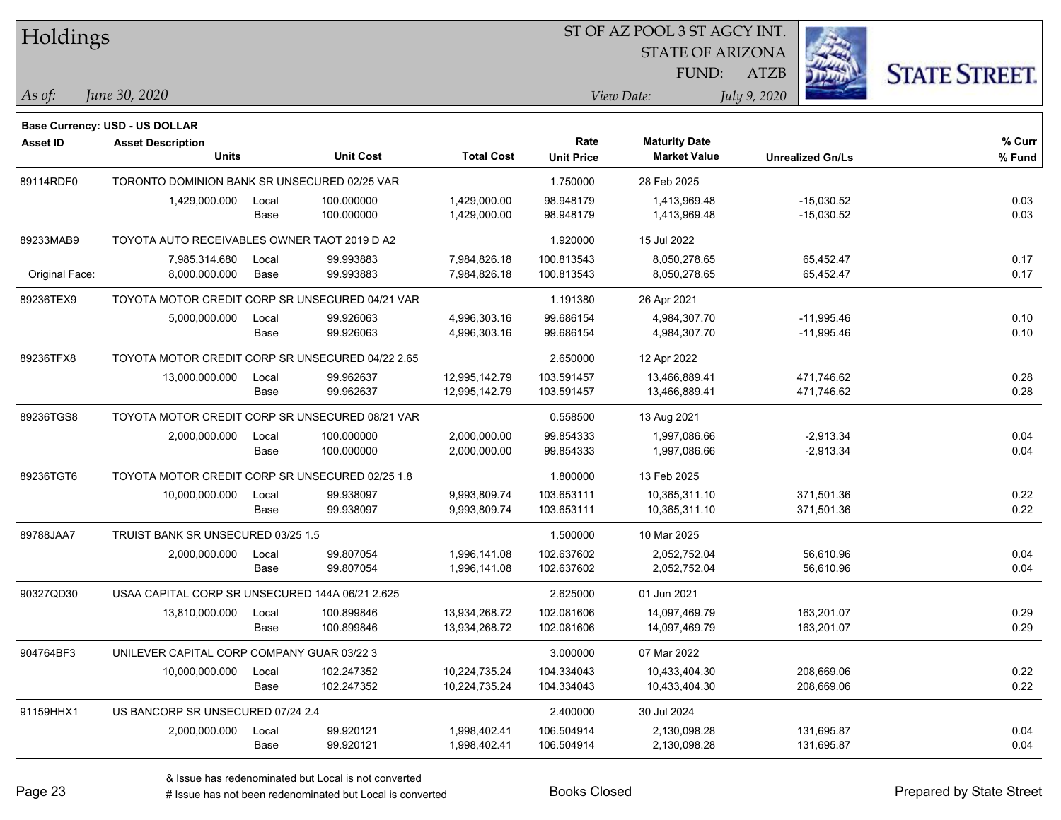| Holdings        |                                                  |       |                  |                   | ST OF AZ POOL 3 ST AGCY INT. |                         |                         |                      |
|-----------------|--------------------------------------------------|-------|------------------|-------------------|------------------------------|-------------------------|-------------------------|----------------------|
|                 |                                                  |       |                  |                   |                              | <b>STATE OF ARIZONA</b> |                         |                      |
|                 |                                                  |       |                  |                   |                              | FUND:                   | <b>ATZB</b>             | <b>STATE STREET.</b> |
| As of:          | June 30, 2020                                    |       |                  |                   |                              | View Date:              | July 9, 2020            |                      |
|                 | Base Currency: USD - US DOLLAR                   |       |                  |                   |                              |                         |                         |                      |
| <b>Asset ID</b> | <b>Asset Description</b>                         |       |                  |                   | Rate                         | <b>Maturity Date</b>    |                         | % Curr               |
|                 | <b>Units</b>                                     |       | <b>Unit Cost</b> | <b>Total Cost</b> | <b>Unit Price</b>            | <b>Market Value</b>     | <b>Unrealized Gn/Ls</b> | % Fund               |
| 89114RDF0       | TORONTO DOMINION BANK SR UNSECURED 02/25 VAR     |       |                  |                   | 1.750000                     | 28 Feb 2025             |                         |                      |
|                 | 1,429,000.000                                    | Local | 100.000000       | 1,429,000.00      | 98.948179                    | 1,413,969.48            | $-15,030.52$            | 0.03                 |
|                 |                                                  | Base  | 100.000000       | 1,429,000.00      | 98.948179                    | 1,413,969.48            | $-15,030.52$            | 0.03                 |
| 89233MAB9       | TOYOTA AUTO RECEIVABLES OWNER TAOT 2019 D A2     |       |                  |                   | 1.920000                     | 15 Jul 2022             |                         |                      |
|                 | 7,985,314.680                                    | Local | 99.993883        | 7,984,826.18      | 100.813543                   | 8,050,278.65            | 65,452.47               | 0.17                 |
| Original Face:  | 8,000,000.000                                    | Base  | 99.993883        | 7,984,826.18      | 100.813543                   | 8,050,278.65            | 65,452.47               | 0.17                 |
| 89236TEX9       | TOYOTA MOTOR CREDIT CORP SR UNSECURED 04/21 VAR  |       |                  |                   | 1.191380                     | 26 Apr 2021             |                         |                      |
|                 | 5,000,000.000                                    | Local | 99.926063        | 4,996,303.16      | 99.686154                    | 4,984,307.70            | $-11,995.46$            | 0.10                 |
|                 |                                                  | Base  | 99.926063        | 4,996,303.16      | 99.686154                    | 4,984,307.70            | -11,995.46              | 0.10                 |
| 89236TFX8       | TOYOTA MOTOR CREDIT CORP SR UNSECURED 04/22 2.65 |       |                  |                   | 2.650000                     | 12 Apr 2022             |                         |                      |
|                 | 13,000,000.000                                   | Local | 99.962637        | 12,995,142.79     | 103.591457                   | 13,466,889.41           | 471,746.62              | 0.28                 |
|                 |                                                  | Base  | 99.962637        | 12,995,142.79     | 103.591457                   | 13,466,889.41           | 471,746.62              | 0.28                 |
| 89236TGS8       | TOYOTA MOTOR CREDIT CORP SR UNSECURED 08/21 VAR  |       |                  |                   | 0.558500                     | 13 Aug 2021             |                         |                      |
|                 | 2,000,000.000                                    | Local | 100.000000       | 2,000,000.00      | 99.854333                    | 1,997,086.66            | $-2,913.34$             | 0.04                 |
|                 |                                                  | Base  | 100.000000       | 2,000,000.00      | 99.854333                    | 1,997,086.66            | $-2,913.34$             | 0.04                 |
| 89236TGT6       | TOYOTA MOTOR CREDIT CORP SR UNSECURED 02/25 1.8  |       |                  |                   | 1.800000                     | 13 Feb 2025             |                         |                      |
|                 | 10,000,000.000                                   | Local | 99.938097        | 9,993,809.74      | 103.653111                   | 10,365,311.10           | 371,501.36              | 0.22                 |
|                 |                                                  | Base  | 99.938097        | 9,993,809.74      | 103.653111                   | 10,365,311.10           | 371,501.36              | 0.22                 |
| 89788JAA7       | TRUIST BANK SR UNSECURED 03/25 1.5               |       |                  |                   | 1.500000                     | 10 Mar 2025             |                         |                      |
|                 | 2,000,000.000                                    | Local | 99.807054        | 1,996,141.08      | 102.637602                   | 2,052,752.04            | 56,610.96               | 0.04                 |
|                 |                                                  | Base  | 99.807054        | 1,996,141.08      | 102.637602                   | 2,052,752.04            | 56,610.96               | 0.04                 |
| 90327QD30       | USAA CAPITAL CORP SR UNSECURED 144A 06/21 2.625  |       |                  |                   | 2.625000                     | 01 Jun 2021             |                         |                      |
|                 | 13,810,000.000                                   | Local | 100.899846       | 13,934,268.72     | 102.081606                   | 14,097,469.79           | 163,201.07              | 0.29                 |
|                 |                                                  | Base  | 100.899846       | 13,934,268.72     | 102.081606                   | 14,097,469.79           | 163,201.07              | 0.29                 |
| 904764BF3       | UNILEVER CAPITAL CORP COMPANY GUAR 03/22 3       |       |                  |                   | 3.000000                     | 07 Mar 2022             |                         |                      |
|                 | 10,000,000.000                                   | Local | 102.247352       | 10,224,735.24     | 104.334043                   | 10,433,404.30           | 208,669.06              | 0.22                 |
|                 |                                                  | Base  | 102.247352       | 10,224,735.24     | 104.334043                   | 10,433,404.30           | 208,669.06              | 0.22                 |
| 91159HHX1       | US BANCORP SR UNSECURED 07/24 2.4                |       |                  |                   | 2.400000                     | 30 Jul 2024             |                         |                      |
|                 | 2,000,000.000                                    | Local | 99.920121        | 1,998,402.41      | 106.504914                   | 2,130,098.28            | 131,695.87              | 0.04                 |
|                 |                                                  | Base  | 99.920121        | 1,998,402.41      | 106.504914                   | 2,130,098.28            | 131,695.87              | 0.04                 |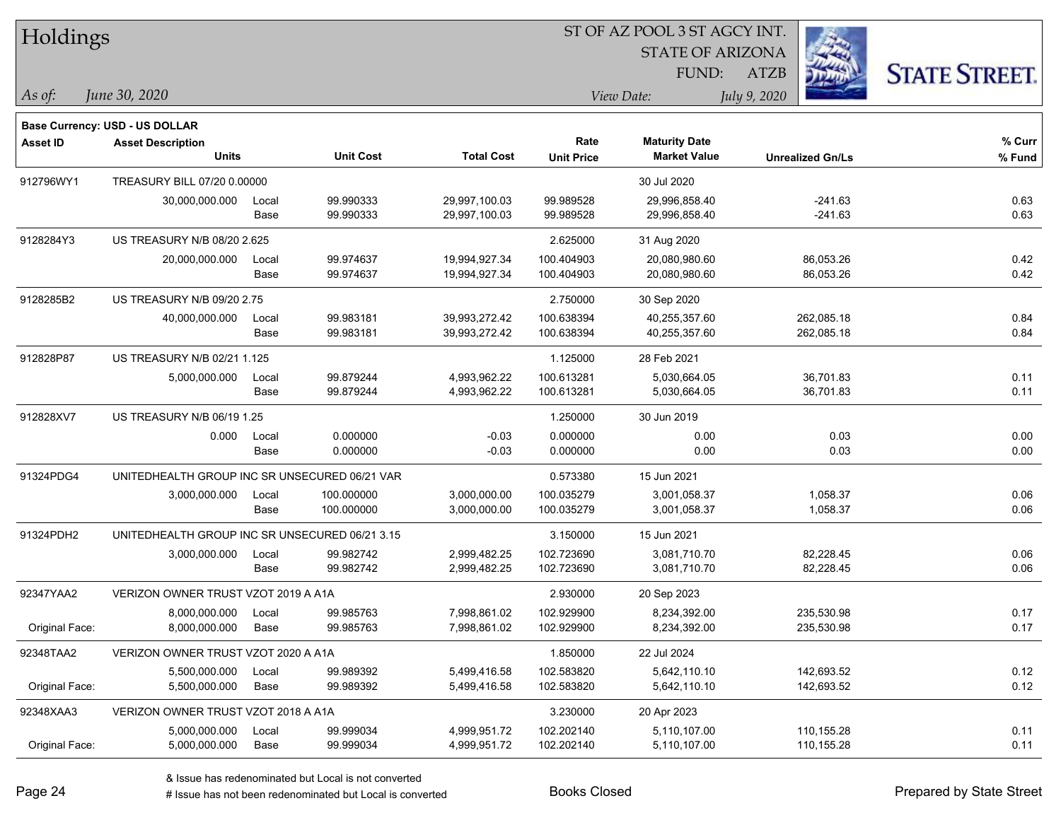| Holdings        |                                                |       |                  |                   | 51 OF AZ POOL 3 51 AGCY INT. |                         |                         |                     |  |  |  |
|-----------------|------------------------------------------------|-------|------------------|-------------------|------------------------------|-------------------------|-------------------------|---------------------|--|--|--|
|                 |                                                |       |                  |                   |                              | <b>STATE OF ARIZONA</b> |                         | <b>STATE STREET</b> |  |  |  |
|                 |                                                |       |                  |                   |                              | FUND:                   | ATZB                    |                     |  |  |  |
| $\vert$ As of:  | June 30, 2020                                  |       |                  |                   |                              | View Date:              | July 9, 2020            |                     |  |  |  |
|                 | <b>Base Currency: USD - US DOLLAR</b>          |       |                  |                   |                              |                         |                         |                     |  |  |  |
| <b>Asset ID</b> | <b>Asset Description</b>                       |       |                  |                   | Rate                         | <b>Maturity Date</b>    |                         | % Curr              |  |  |  |
|                 | <b>Units</b>                                   |       | <b>Unit Cost</b> | <b>Total Cost</b> | <b>Unit Price</b>            | <b>Market Value</b>     | <b>Unrealized Gn/Ls</b> | % Fund              |  |  |  |
| 912796WY1       | TREASURY BILL 07/20 0.00000                    |       |                  |                   |                              | 30 Jul 2020             |                         |                     |  |  |  |
|                 | 30,000,000.000                                 | Local | 99.990333        | 29,997,100.03     | 99.989528                    | 29,996,858.40           | $-241.63$               | 0.63                |  |  |  |
|                 |                                                | Base  | 99.990333        | 29,997,100.03     | 99.989528                    | 29,996,858.40           | $-241.63$               | 0.63                |  |  |  |
| 9128284Y3       | US TREASURY N/B 08/20 2.625                    |       |                  |                   | 2.625000                     | 31 Aug 2020             |                         |                     |  |  |  |
|                 | 20,000,000.000                                 | Local | 99.974637        | 19,994,927.34     | 100.404903                   | 20,080,980.60           | 86,053.26               | 0.42                |  |  |  |
|                 |                                                | Base  | 99.974637        | 19,994,927.34     | 100.404903                   | 20,080,980.60           | 86,053.26               | 0.42                |  |  |  |
| 9128285B2       | <b>US TREASURY N/B 09/20 2.75</b>              |       |                  |                   | 2.750000                     | 30 Sep 2020             |                         |                     |  |  |  |
|                 | 40,000,000.000                                 | Local | 99.983181        | 39,993,272.42     | 100.638394                   | 40,255,357.60           | 262,085.18              | 0.84                |  |  |  |
|                 |                                                | Base  | 99.983181        | 39,993,272.42     | 100.638394                   | 40,255,357.60           | 262,085.18              | 0.84                |  |  |  |
| 912828P87       | US TREASURY N/B 02/21 1.125                    |       |                  |                   | 1.125000                     | 28 Feb 2021             |                         |                     |  |  |  |
|                 | 5,000,000.000                                  | Local | 99.879244        | 4,993,962.22      | 100.613281                   | 5,030,664.05            | 36,701.83               | 0.11                |  |  |  |
|                 |                                                | Base  | 99.879244        | 4,993,962.22      | 100.613281                   | 5,030,664.05            | 36,701.83               | 0.11                |  |  |  |
| 912828XV7       | US TREASURY N/B 06/19 1.25                     |       |                  |                   | 1.250000                     | 30 Jun 2019             |                         |                     |  |  |  |
|                 | 0.000                                          | Local | 0.000000         | $-0.03$           | 0.000000                     | 0.00                    | 0.03                    | 0.00                |  |  |  |
|                 |                                                | Base  | 0.000000         | $-0.03$           | 0.000000                     | 0.00                    | 0.03                    | 0.00                |  |  |  |
| 91324PDG4       | UNITEDHEALTH GROUP INC SR UNSECURED 06/21 VAR  |       |                  |                   | 0.573380                     | 15 Jun 2021             |                         |                     |  |  |  |
|                 | 3,000,000.000                                  | Local | 100.000000       | 3,000,000.00      | 100.035279                   | 3,001,058.37            | 1,058.37                | 0.06                |  |  |  |
|                 |                                                | Base  | 100.000000       | 3,000,000.00      | 100.035279                   | 3,001,058.37            | 1,058.37                | 0.06                |  |  |  |
| 91324PDH2       | UNITEDHEALTH GROUP INC SR UNSECURED 06/21 3.15 |       |                  |                   | 3.150000                     | 15 Jun 2021             |                         |                     |  |  |  |
|                 | 3,000,000.000                                  | Local | 99.982742        | 2,999,482.25      | 102.723690                   | 3,081,710.70            | 82,228.45               | 0.06                |  |  |  |
|                 |                                                | Base  | 99.982742        | 2,999,482.25      | 102.723690                   | 3,081,710.70            | 82,228.45               | 0.06                |  |  |  |
| 92347YAA2       | VERIZON OWNER TRUST VZOT 2019 A A1A            |       |                  |                   | 2.930000                     | 20 Sep 2023             |                         |                     |  |  |  |
|                 | 8,000,000.000                                  | Local | 99.985763        | 7,998,861.02      | 102.929900                   | 8,234,392.00            | 235,530.98              | 0.17                |  |  |  |
| Original Face:  | 8,000,000.000                                  | Base  | 99.985763        | 7,998,861.02      | 102.929900                   | 8,234,392.00            | 235,530.98              | 0.17                |  |  |  |
| 92348TAA2       | VERIZON OWNER TRUST VZOT 2020 A A1A            |       |                  |                   | 1.850000                     | 22 Jul 2024             |                         |                     |  |  |  |
|                 | 5,500,000.000                                  | Local | 99.989392        | 5,499,416.58      | 102.583820                   | 5,642,110.10            | 142,693.52              | 0.12                |  |  |  |
| Original Face:  | 5,500,000.000                                  | Base  | 99.989392        | 5,499,416.58      | 102.583820                   | 5,642,110.10            | 142,693.52              | 0.12                |  |  |  |
| 92348XAA3       | VERIZON OWNER TRUST VZOT 2018 A A1A            |       |                  |                   | 3.230000                     | 20 Apr 2023             |                         |                     |  |  |  |
|                 | 5,000,000.000                                  | Local | 99.999034        | 4,999,951.72      | 102.202140                   | 5.110.107.00            | 110,155.28              | 0.11                |  |  |  |
| Original Face:  | 5,000,000.000                                  | Base  | 99.999034        | 4,999,951.72      | 102.202140                   | 5,110,107.00            | 110,155.28              | 0.11                |  |  |  |

 $\overline{S}$   $\overline{S}$   $\overline{S}$   $\overline{S}$   $\overline{S}$   $\overline{S}$   $\overline{S}$   $\overline{S}$   $\overline{S}$   $\overline{S}$   $\overline{S}$   $\overline{S}$   $\overline{S}$   $\overline{S}$   $\overline{S}$   $\overline{S}$   $\overline{S}$   $\overline{S}$   $\overline{S}$   $\overline{S}$   $\overline{S}$   $\overline{S}$   $\overline{S}$   $\overline{S}$   $\overline{$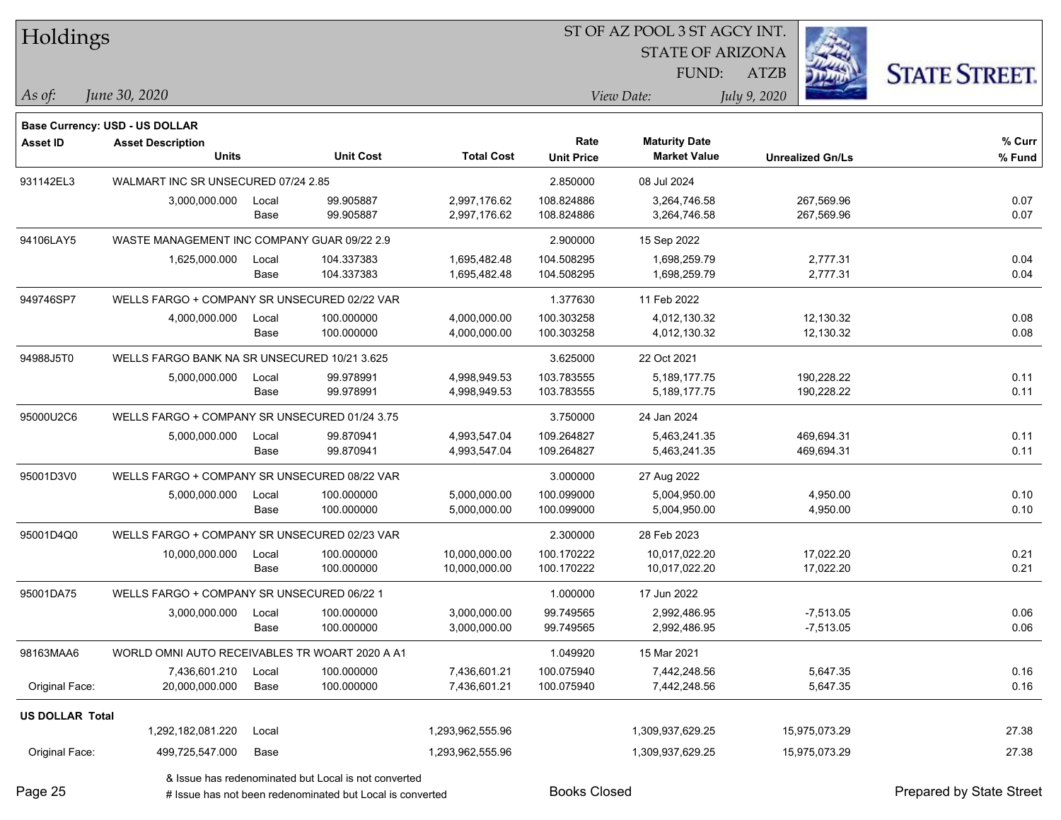| Holdings               |                                                |       |                                                           |                   | ST OF AZ POOL 3 ST AGCY INT. |                         |                         |                          |
|------------------------|------------------------------------------------|-------|-----------------------------------------------------------|-------------------|------------------------------|-------------------------|-------------------------|--------------------------|
|                        |                                                |       |                                                           |                   |                              | <b>STATE OF ARIZONA</b> |                         |                          |
|                        |                                                |       |                                                           |                   |                              | FUND:                   | <b>ATZB</b>             | <b>STATE STREET.</b>     |
| As of:                 | June 30, 2020                                  |       |                                                           |                   |                              | View Date:              | July 9, 2020            |                          |
|                        | <b>Base Currency: USD - US DOLLAR</b>          |       |                                                           |                   |                              |                         |                         |                          |
| <b>Asset ID</b>        | <b>Asset Description</b>                       |       |                                                           |                   | Rate                         | <b>Maturity Date</b>    |                         | % Curr                   |
|                        | <b>Units</b>                                   |       | <b>Unit Cost</b>                                          | <b>Total Cost</b> | <b>Unit Price</b>            | <b>Market Value</b>     | <b>Unrealized Gn/Ls</b> | % Fund                   |
| 931142EL3              | WALMART INC SR UNSECURED 07/24 2.85            |       |                                                           |                   | 2.850000                     | 08 Jul 2024             |                         |                          |
|                        | 3,000,000.000                                  | Local | 99.905887                                                 | 2,997,176.62      | 108.824886                   | 3,264,746.58            | 267,569.96              | 0.07                     |
|                        |                                                | Base  | 99.905887                                                 | 2,997,176.62      | 108.824886                   | 3,264,746.58            | 267,569.96              | 0.07                     |
| 94106LAY5              | WASTE MANAGEMENT INC COMPANY GUAR 09/22 2.9    |       |                                                           |                   | 2.900000                     | 15 Sep 2022             |                         |                          |
|                        | 1,625,000.000                                  | Local | 104.337383                                                | 1,695,482.48      | 104.508295                   | 1,698,259.79            | 2,777.31                | 0.04                     |
|                        |                                                | Base  | 104.337383                                                | 1,695,482.48      | 104.508295                   | 1,698,259.79            | 2,777.31                | 0.04                     |
| 949746SP7              | WELLS FARGO + COMPANY SR UNSECURED 02/22 VAR   |       |                                                           |                   | 1.377630                     | 11 Feb 2022             |                         |                          |
|                        | 4,000,000.000                                  | Local | 100.000000                                                | 4,000,000.00      | 100.303258                   | 4,012,130.32            | 12,130.32               | 0.08                     |
|                        |                                                | Base  | 100.000000                                                | 4,000,000.00      | 100.303258                   | 4,012,130.32            | 12,130.32               | 0.08                     |
| 94988J5T0              | WELLS FARGO BANK NA SR UNSECURED 10/21 3.625   |       |                                                           |                   | 3.625000                     | 22 Oct 2021             |                         |                          |
|                        | 5,000,000.000                                  | Local | 99.978991                                                 | 4,998,949.53      | 103.783555                   | 5,189,177.75            | 190,228.22              | 0.11                     |
|                        |                                                | Base  | 99.978991                                                 | 4,998,949.53      | 103.783555                   | 5,189,177.75            | 190,228.22              | 0.11                     |
| 95000U2C6              | WELLS FARGO + COMPANY SR UNSECURED 01/24 3.75  |       |                                                           |                   | 3.750000                     | 24 Jan 2024             |                         |                          |
|                        | 5,000,000.000                                  | Local | 99.870941                                                 | 4,993,547.04      | 109.264827                   | 5,463,241.35            | 469,694.31              | 0.11                     |
|                        |                                                | Base  | 99.870941                                                 | 4,993,547.04      | 109.264827                   | 5,463,241.35            | 469,694.31              | 0.11                     |
| 95001D3V0              | WELLS FARGO + COMPANY SR UNSECURED 08/22 VAR   |       |                                                           |                   | 3.000000                     | 27 Aug 2022             |                         |                          |
|                        | 5,000,000.000                                  | Local | 100.000000                                                | 5,000,000.00      | 100.099000                   | 5,004,950.00            | 4,950.00                | 0.10                     |
|                        |                                                | Base  | 100.000000                                                | 5,000,000.00      | 100.099000                   | 5,004,950.00            | 4,950.00                | 0.10                     |
| 95001D4Q0              | WELLS FARGO + COMPANY SR UNSECURED 02/23 VAR   |       |                                                           |                   | 2.300000                     | 28 Feb 2023             |                         |                          |
|                        | 10,000,000.000                                 | Local | 100.000000                                                | 10,000,000.00     | 100.170222                   | 10,017,022.20           | 17,022.20               | 0.21                     |
|                        |                                                | Base  | 100.000000                                                | 10,000,000.00     | 100.170222                   | 10,017,022.20           | 17,022.20               | 0.21                     |
| 95001DA75              | WELLS FARGO + COMPANY SR UNSECURED 06/22 1     |       |                                                           |                   | 1.000000                     | 17 Jun 2022             |                         |                          |
|                        | 3,000,000.000                                  | Local | 100.000000                                                | 3,000,000.00      | 99.749565                    | 2,992,486.95            | $-7,513.05$             | 0.06                     |
|                        |                                                | Base  | 100.000000                                                | 3,000,000.00      | 99.749565                    | 2,992,486.95            | $-7,513.05$             | 0.06                     |
| 98163MAA6              | WORLD OMNI AUTO RECEIVABLES TR WOART 2020 A A1 |       |                                                           |                   | 1.049920                     | 15 Mar 2021             |                         |                          |
|                        | 7,436,601.210                                  | Local | 100.000000                                                | 7,436,601.21      | 100.075940                   | 7,442,248.56            | 5,647.35                | 0.16                     |
| Original Face:         | 20,000,000.000                                 | Base  | 100.000000                                                | 7,436,601.21      | 100.075940                   | 7,442,248.56            | 5,647.35                | 0.16                     |
| <b>US DOLLAR Total</b> |                                                |       |                                                           |                   |                              |                         |                         |                          |
|                        | 1,292,182,081.220                              | Local |                                                           | 1,293,962,555.96  |                              | 1,309,937,629.25        | 15,975,073.29           | 27.38                    |
| Original Face:         | 499,725,547.000                                | Base  |                                                           | 1,293,962,555.96  |                              | 1,309,937,629.25        | 15,975,073.29           | 27.38                    |
|                        |                                                |       | & Issue has redenominated but Local is not converted      |                   |                              |                         |                         |                          |
| Page 25                |                                                |       | # Issue has not been redenominated but Local is converted |                   | <b>Books Closed</b>          |                         |                         | Prepared by State Street |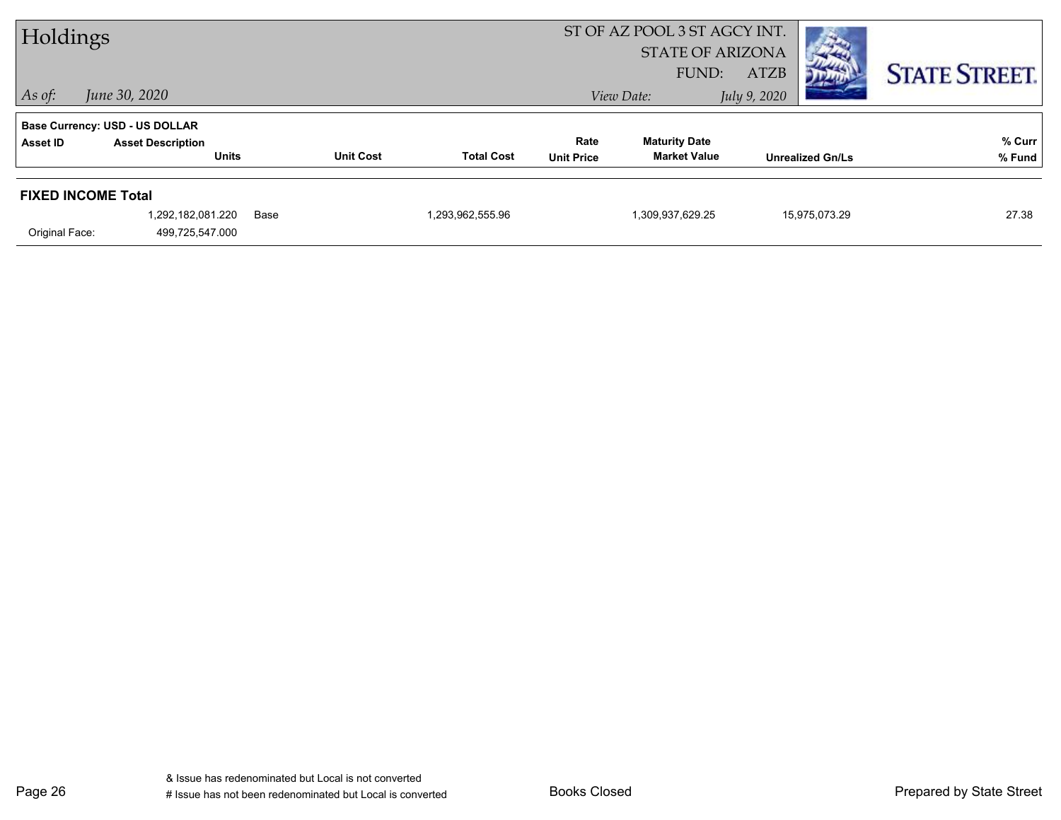| Holdings       |                                          |      |                  |                   |                           | ST OF AZ POOL 3 ST AGCY INT.<br><b>STATE OF ARIZONA</b><br>FUND: | <b>ATZB</b><br>Дер      | <b>STATE STREET.</b> |
|----------------|------------------------------------------|------|------------------|-------------------|---------------------------|------------------------------------------------------------------|-------------------------|----------------------|
| $\vert$ As of: | June 30, 2020                            |      |                  |                   |                           | View Date:                                                       | July 9, 2020            |                      |
|                | <b>Base Currency: USD - US DOLLAR</b>    |      |                  |                   |                           |                                                                  |                         |                      |
| Asset ID       | <b>Asset Description</b><br><b>Units</b> |      | <b>Unit Cost</b> | <b>Total Cost</b> | Rate<br><b>Unit Price</b> | <b>Maturity Date</b><br><b>Market Value</b>                      | <b>Unrealized Gn/Ls</b> | % Curr               |
|                |                                          |      |                  |                   |                           |                                                                  |                         | % Fund               |
|                | <b>FIXED INCOME Total</b>                |      |                  |                   |                           |                                                                  |                         |                      |
|                | 1,292,182,081.220                        | Base |                  | 1,293,962,555.96  |                           | 1,309,937,629.25                                                 | 15,975,073.29           | 27.38                |
| Original Face: | 499,725,547.000                          |      |                  |                   |                           |                                                                  |                         |                      |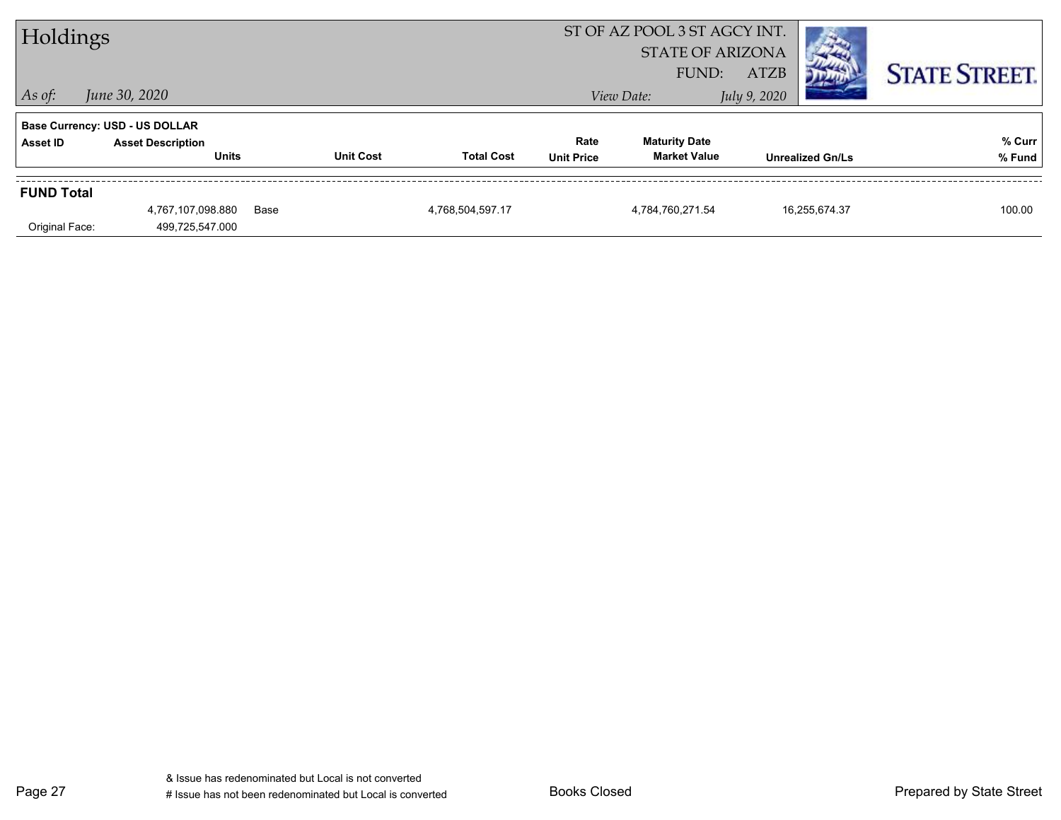| Holdings          |                                       |      |                  |                   |                   | ST OF AZ POOL 3 ST AGCY INT.<br><b>STATE OF ARIZONA</b> |                         |               |                      |
|-------------------|---------------------------------------|------|------------------|-------------------|-------------------|---------------------------------------------------------|-------------------------|---------------|----------------------|
|                   |                                       |      |                  |                   |                   | FUND:                                                   | <b>ATZB</b>             |               | <b>STATE STREET.</b> |
| $\vert$ As of:    | June 30, 2020                         |      |                  |                   |                   | View Date:                                              | July 9, 2020            |               |                      |
|                   | <b>Base Currency: USD - US DOLLAR</b> |      |                  |                   |                   |                                                         |                         |               |                      |
| Asset ID          | <b>Asset Description</b>              |      |                  |                   | Rate              | <b>Maturity Date</b>                                    |                         |               | % Curr               |
|                   | <b>Units</b>                          |      | <b>Unit Cost</b> | <b>Total Cost</b> | <b>Unit Price</b> | <b>Market Value</b>                                     | <b>Unrealized Gn/Ls</b> |               | % Fund               |
| <b>FUND Total</b> |                                       |      |                  |                   |                   |                                                         |                         |               |                      |
|                   | 4,767,107,098.880                     | Base |                  | 4,768,504,597.17  |                   | 4,784,760,271.54                                        |                         | 16,255,674.37 | 100.00               |
| Original Face:    | 499,725,547.000                       |      |                  |                   |                   |                                                         |                         |               |                      |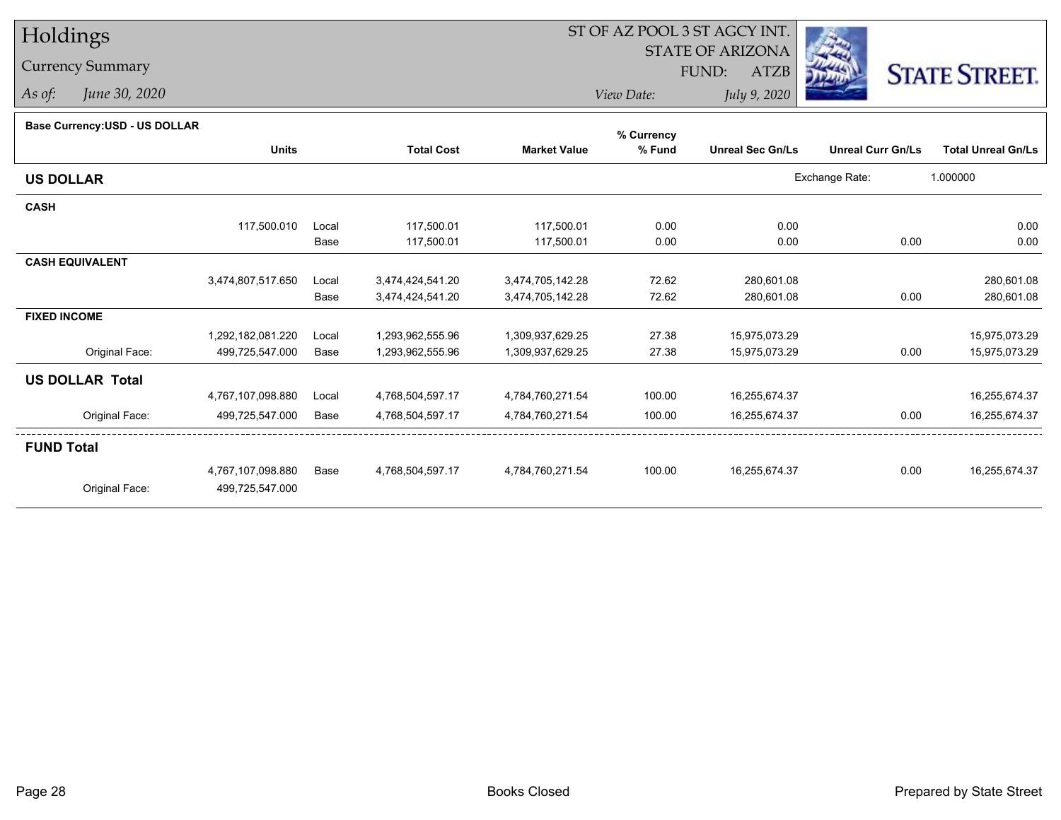## Holdings

Currency Summary

*As of: June 30, 2020*

## ST OF AZ POOL 3 ST AGCY INT.

STATE OF ARIZONA

FUND: ATZB



*View Date:July 9, 2020*

## **Base Currency:USD - US DOLLAR**

|                        |                   |       |                   |                     | % Currency |                         |                          |                           |
|------------------------|-------------------|-------|-------------------|---------------------|------------|-------------------------|--------------------------|---------------------------|
|                        | <b>Units</b>      |       | <b>Total Cost</b> | <b>Market Value</b> | % Fund     | <b>Unreal Sec Gn/Ls</b> | <b>Unreal Curr Gn/Ls</b> | <b>Total Unreal Gn/Ls</b> |
| <b>US DOLLAR</b>       |                   |       |                   |                     |            |                         | Exchange Rate:           | 1.000000                  |
| <b>CASH</b>            |                   |       |                   |                     |            |                         |                          |                           |
|                        | 117,500.010       | Local | 117,500.01        | 117,500.01          | 0.00       | 0.00                    |                          | 0.00                      |
|                        |                   | Base  | 117,500.01        | 117,500.01          | 0.00       | 0.00                    | 0.00                     | 0.00                      |
| <b>CASH EQUIVALENT</b> |                   |       |                   |                     |            |                         |                          |                           |
|                        | 3,474,807,517.650 | Local | 3,474,424,541.20  | 3,474,705,142.28    | 72.62      | 280,601.08              |                          | 280,601.08                |
|                        |                   | Base  | 3,474,424,541.20  | 3,474,705,142.28    | 72.62      | 280,601.08              | 0.00                     | 280,601.08                |
| <b>FIXED INCOME</b>    |                   |       |                   |                     |            |                         |                          |                           |
|                        | 1,292,182,081.220 | Local | 1,293,962,555.96  | 1,309,937,629.25    | 27.38      | 15,975,073.29           |                          | 15,975,073.29             |
| Original Face:         | 499,725,547.000   | Base  | 1,293,962,555.96  | 1,309,937,629.25    | 27.38      | 15,975,073.29           | 0.00                     | 15,975,073.29             |
| <b>US DOLLAR Total</b> |                   |       |                   |                     |            |                         |                          |                           |
|                        | 4,767,107,098.880 | Local | 4,768,504,597.17  | 4,784,760,271.54    | 100.00     | 16,255,674.37           |                          | 16,255,674.37             |
| Original Face:         | 499,725,547.000   | Base  | 4,768,504,597.17  | 4,784,760,271.54    | 100.00     | 16,255,674.37           | 0.00                     | 16,255,674.37             |
| <b>FUND Total</b>      |                   |       |                   |                     |            |                         |                          |                           |
|                        | 4,767,107,098.880 | Base  | 4,768,504,597.17  | 4,784,760,271.54    | 100.00     | 16,255,674.37           | 0.00                     | 16,255,674.37             |
| Original Face:         | 499,725,547.000   |       |                   |                     |            |                         |                          |                           |
|                        |                   |       |                   |                     |            |                         |                          |                           |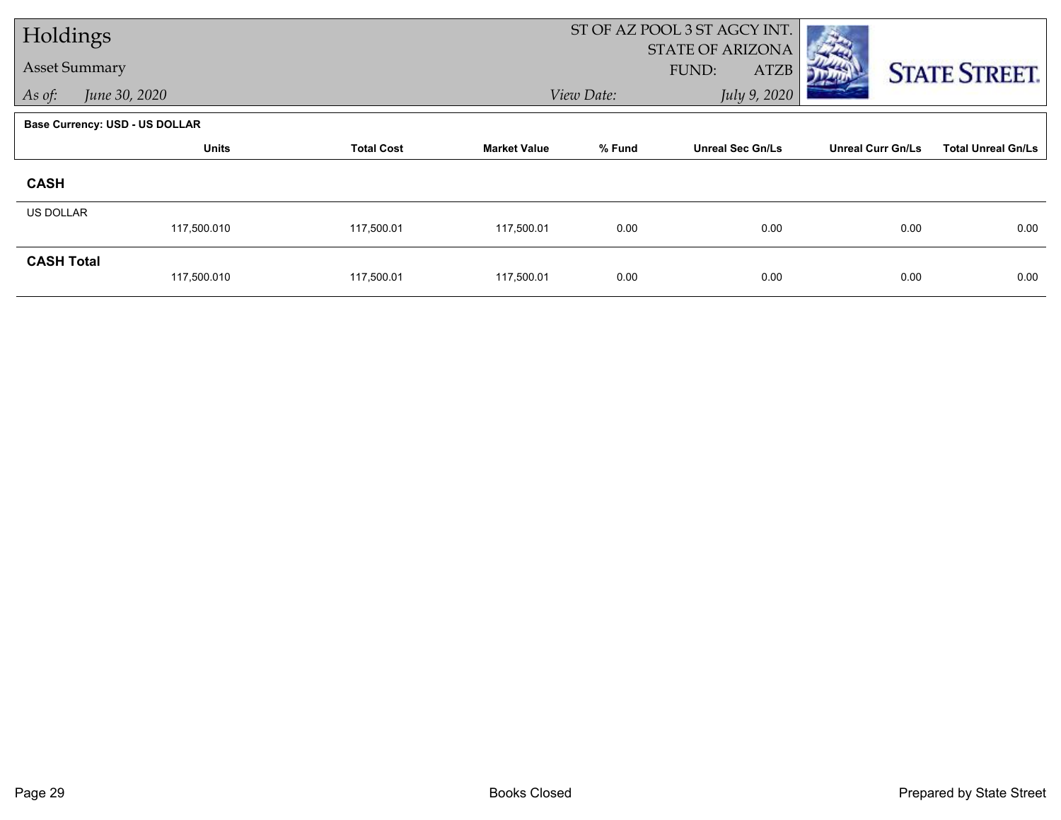| Holdings             |                                       |                   |                     | ST OF AZ POOL 3 ST AGCY INT. |                                                 |                          |                           |
|----------------------|---------------------------------------|-------------------|---------------------|------------------------------|-------------------------------------------------|--------------------------|---------------------------|
| <b>Asset Summary</b> |                                       |                   |                     |                              | <b>STATE OF ARIZONA</b><br>FUND:<br><b>ATZB</b> |                          | <b>STATE STREET.</b>      |
| As of:               | June 30, 2020                         |                   |                     | View Date:                   | July 9, 2020                                    |                          |                           |
|                      | <b>Base Currency: USD - US DOLLAR</b> |                   |                     |                              |                                                 |                          |                           |
|                      | <b>Units</b>                          | <b>Total Cost</b> | <b>Market Value</b> | % Fund                       | <b>Unreal Sec Gn/Ls</b>                         | <b>Unreal Curr Gn/Ls</b> | <b>Total Unreal Gn/Ls</b> |
| <b>CASH</b>          |                                       |                   |                     |                              |                                                 |                          |                           |
| <b>US DOLLAR</b>     |                                       |                   |                     |                              |                                                 |                          |                           |
|                      | 117,500.010                           | 117,500.01        | 117,500.01          | 0.00                         | 0.00                                            | 0.00                     | 0.00                      |
| <b>CASH Total</b>    | 117,500.010                           | 117,500.01        | 117,500.01          | 0.00                         | 0.00                                            | 0.00                     | 0.00                      |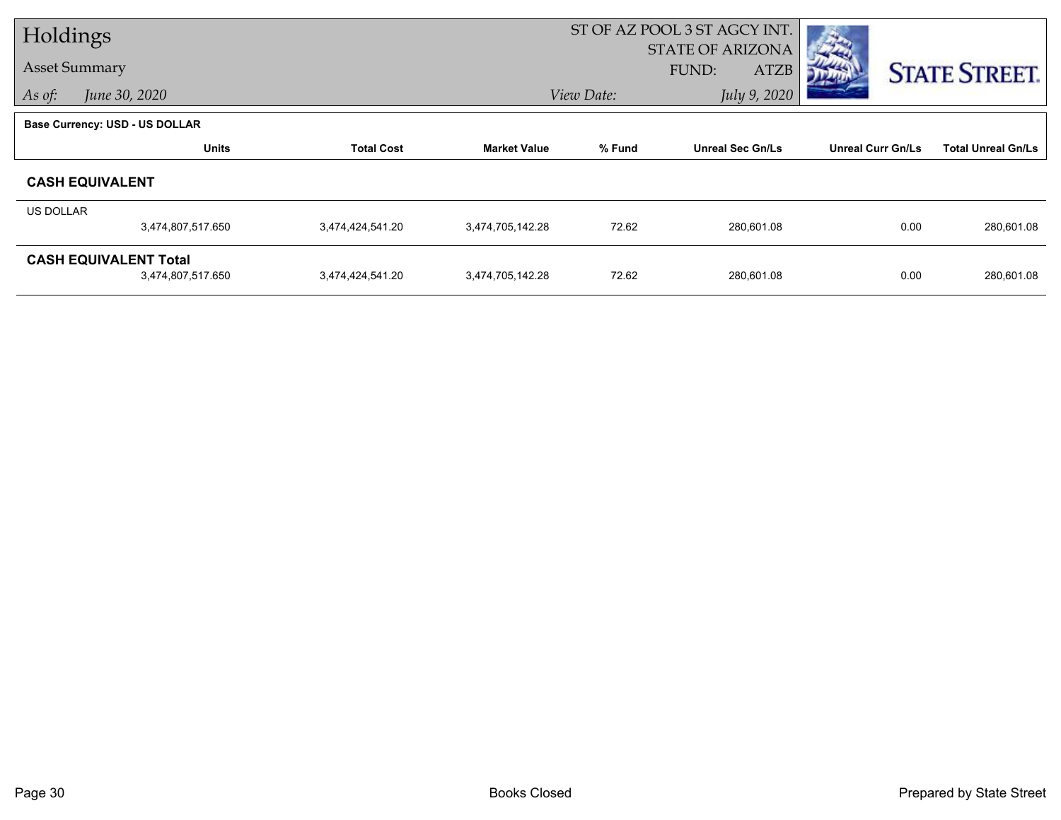| Holdings  |                                       |                   |                     | ST OF AZ POOL 3 ST AGCY INT. |                         |                          |                           |  |
|-----------|---------------------------------------|-------------------|---------------------|------------------------------|-------------------------|--------------------------|---------------------------|--|
|           | <b>Asset Summary</b>                  |                   |                     |                              | <b>STATE OF ARIZONA</b> |                          |                           |  |
|           |                                       |                   |                     |                              | FUND:<br><b>ATZB</b>    |                          | <b>STATE STREET.</b>      |  |
| As of:    | June 30, 2020                         |                   |                     | View Date:                   | July 9, 2020            |                          |                           |  |
|           | <b>Base Currency: USD - US DOLLAR</b> |                   |                     |                              |                         |                          |                           |  |
|           | <b>Units</b>                          | <b>Total Cost</b> | <b>Market Value</b> | % Fund                       | <b>Unreal Sec Gn/Ls</b> | <b>Unreal Curr Gn/Ls</b> | <b>Total Unreal Gn/Ls</b> |  |
|           | <b>CASH EQUIVALENT</b>                |                   |                     |                              |                         |                          |                           |  |
| US DOLLAR |                                       |                   |                     |                              |                         |                          |                           |  |
|           | 3,474,807,517.650                     | 3,474,424,541.20  | 3,474,705,142.28    | 72.62                        | 280,601.08              | 0.00                     | 280,601.08                |  |
|           | <b>CASH EQUIVALENT Total</b>          |                   |                     |                              |                         |                          |                           |  |
|           | 3,474,807,517.650                     | 3,474,424,541.20  | 3,474,705,142.28    | 72.62                        | 280,601.08              | 0.00                     | 280,601.08                |  |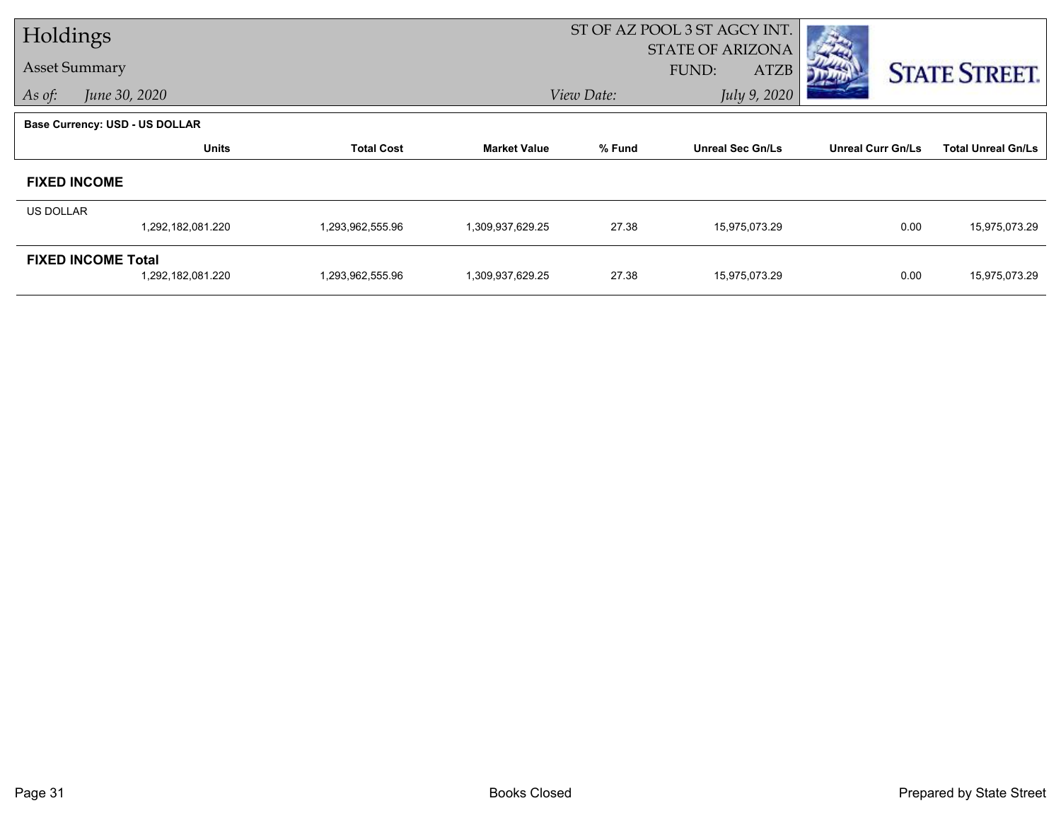| Holdings             |                                                |                   |                     | ST OF AZ POOL 3 ST AGCY INT. |                                                 |                          |                           |
|----------------------|------------------------------------------------|-------------------|---------------------|------------------------------|-------------------------------------------------|--------------------------|---------------------------|
| <b>Asset Summary</b> |                                                |                   |                     |                              | <b>STATE OF ARIZONA</b><br>FUND:<br><b>ATZB</b> |                          | <b>STATE STREET.</b>      |
| As of:               | June 30, 2020                                  |                   |                     | View Date:                   | July 9, 2020                                    |                          |                           |
|                      | <b>Base Currency: USD - US DOLLAR</b>          |                   |                     |                              |                                                 |                          |                           |
|                      | <b>Units</b>                                   | <b>Total Cost</b> | <b>Market Value</b> | % Fund                       | <b>Unreal Sec Gn/Ls</b>                         | <b>Unreal Curr Gn/Ls</b> | <b>Total Unreal Gn/Ls</b> |
|                      | <b>FIXED INCOME</b>                            |                   |                     |                              |                                                 |                          |                           |
| US DOLLAR            |                                                |                   |                     |                              |                                                 |                          |                           |
|                      | 1,292,182,081.220                              | 1,293,962,555.96  | 1,309,937,629.25    | 27.38                        | 15,975,073.29                                   | 0.00                     | 15,975,073.29             |
|                      | <b>FIXED INCOME Total</b><br>1,292,182,081.220 | 1,293,962,555.96  | 1,309,937,629.25    | 27.38                        | 15,975,073.29                                   | 0.00                     | 15,975,073.29             |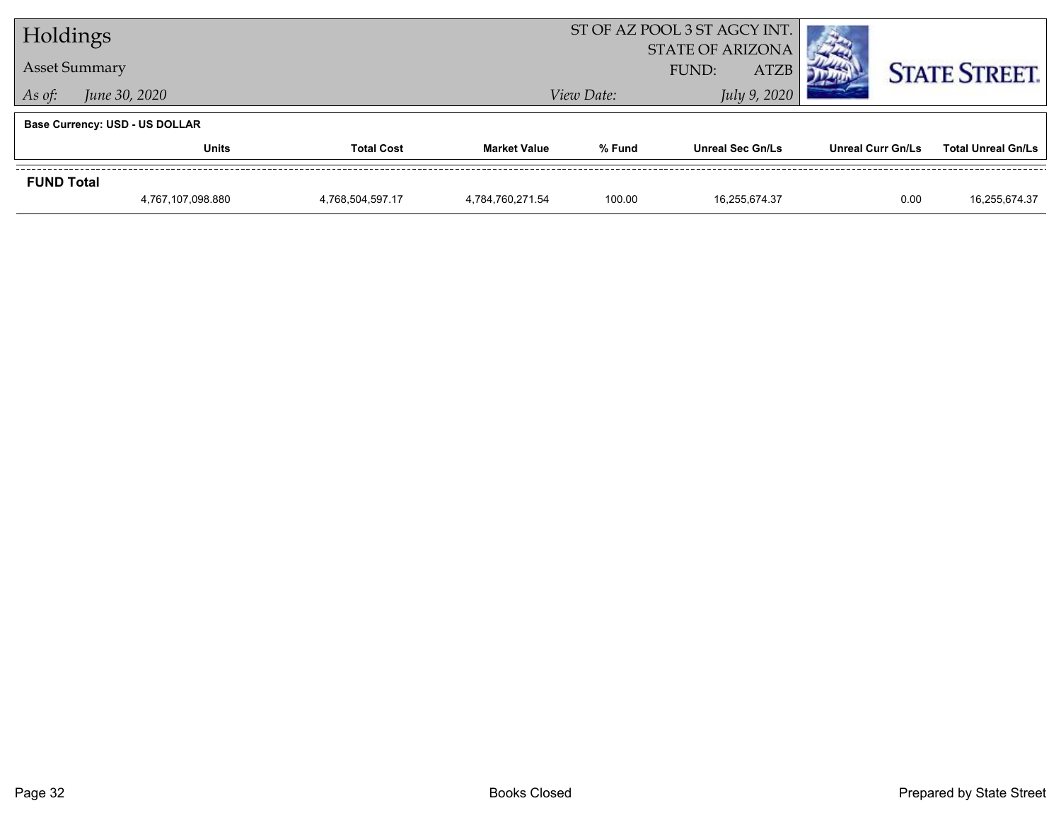| Holdings          |                                       |                   |                     | ST OF AZ POOL 3 ST AGCY INT. |                                                 |                          |                           |
|-------------------|---------------------------------------|-------------------|---------------------|------------------------------|-------------------------------------------------|--------------------------|---------------------------|
|                   | <b>Asset Summary</b>                  |                   |                     |                              | <b>STATE OF ARIZONA</b><br><b>ATZB</b><br>FUND: |                          | <b>STATE STREET.</b>      |
| As of:            | June 30, 2020                         |                   |                     | View Date:                   | July 9, 2020                                    |                          |                           |
|                   | <b>Base Currency: USD - US DOLLAR</b> |                   |                     |                              |                                                 |                          |                           |
|                   | Units                                 | <b>Total Cost</b> | <b>Market Value</b> | % Fund                       | <b>Unreal Sec Gn/Ls</b>                         | <b>Unreal Curr Gn/Ls</b> | <b>Total Unreal Gn/Ls</b> |
| <b>FUND Total</b> |                                       |                   |                     |                              |                                                 |                          |                           |
|                   | 4,767,107,098.880                     | 4,768,504,597.17  | 4.784.760.271.54    | 100.00                       | 16.255.674.37                                   | 0.00                     | 16,255,674.37             |